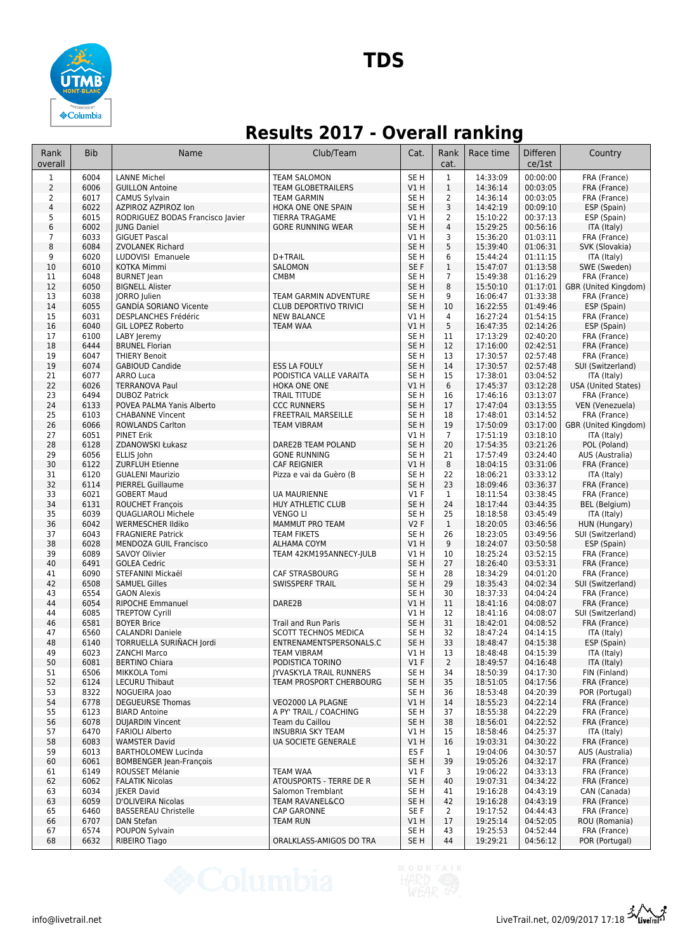

### **Results 2017 - Overall ranking**

| Rank<br>overall | <b>Bib</b>   | Name                                                         | Club/Team                                    | Cat.                               | Rank<br>cat.       | Race time            | <b>Differen</b><br>ce/1st | Country                            |
|-----------------|--------------|--------------------------------------------------------------|----------------------------------------------|------------------------------------|--------------------|----------------------|---------------------------|------------------------------------|
| 1               | 6004         | <b>LANNE Michel</b>                                          | <b>TEAM SALOMON</b>                          | SE <sub>H</sub>                    | $\mathbf{1}$       | 14:33:09             | 00:00:00                  | FRA (France)                       |
| $\overline{2}$  | 6006         | <b>GUILLON Antoine</b>                                       | <b>TEAM GLOBETRAILERS</b>                    | VIH                                | $\,1$              | 14:36:14             | 00:03:05                  | FRA (France)                       |
| $\overline{2}$  | 6017         | <b>CAMUS Sylvain</b>                                         | <b>TEAM GARMIN</b>                           | SE <sub>H</sub>                    | $\overline{2}$     | 14:36:14             | 00:03:05                  | FRA (France)                       |
| $\sqrt{4}$      | 6022         | AZPIROZ AZPIROZ Ion                                          | HOKA ONE ONE SPAIN                           | SE <sub>H</sub>                    | 3                  | 14:42:19             | 00:09:10                  | ESP (Spain)                        |
| 5               | 6015         | RODRIGUEZ BODAS Francisco Javier                             | <b>TIERRA TRAGAME</b>                        | V1H                                | $\overline{2}$     | 15:10:22             | 00:37:13                  | ESP (Spain)                        |
| 6               | 6002         | <b>IUNG Daniel</b>                                           | <b>GORE RUNNING WEAR</b>                     | SE <sub>H</sub>                    | $\overline{4}$     | 15:29:25             | 00:56:16                  | ITA (Italy)                        |
| 7               | 6033         | <b>GIGUET Pascal</b>                                         |                                              | V1H                                | 3                  | 15:36:20             | 01:03:11                  | FRA (France)                       |
| 8               | 6084         | <b>ZVOLANEK Richard</b>                                      |                                              | SE <sub>H</sub>                    | 5                  | 15:39:40             | 01:06:31                  | SVK (Slovakia)                     |
| 9               | 6020         | LUDOVISI Emanuele                                            | D+TRAIL                                      | SE <sub>H</sub>                    | 6                  | 15:44:24             | 01:11:15                  | ITA (Italy)                        |
| 10              | 6010         | <b>KOTKA Mimmi</b>                                           | <b>SALOMON</b>                               | SE F                               | $\mathbf{1}$       | 15:47:07             | 01:13:58                  | SWE (Sweden)                       |
| 11              | 6048         | <b>BURNET</b> Jean                                           | <b>CMBM</b>                                  | SE <sub>H</sub>                    | $\overline{7}$     | 15:49:38             | 01:16:29                  | FRA (France)                       |
| 12              | 6050         | <b>BIGNELL Alister</b>                                       |                                              | SE <sub>H</sub>                    | 8                  | 15:50:10             | 01:17:01                  | GBR (United Kingdom)               |
| 13              | 6038<br>6055 | <b>JORRO</b> Julien                                          | TEAM GARMIN ADVENTURE                        | SE <sub>H</sub><br>SE <sub>H</sub> | 9<br>10            | 16:06:47             | 01:33:38<br>01:49:46      | FRA (France)<br>ESP (Spain)        |
| 14<br>15        | 6031         | <b>GANDIA SORIANO Vicente</b><br><b>DESPLANCHES Frédéric</b> | CLUB DEPORTIVO TRIVICI<br><b>NEW BALANCE</b> | V1H                                | $\overline{4}$     | 16:22:55<br>16:27:24 | 01:54:15                  | FRA (France)                       |
| 16              | 6040         | GIL LOPEZ Roberto                                            | TEAM WAA                                     | V1H                                | 5                  | 16:47:35             | 02:14:26                  | ESP (Spain)                        |
| 17              | 6100         | LABY Jeremy                                                  |                                              | SE <sub>H</sub>                    | 11                 | 17:13:29             | 02:40:20                  | FRA (France)                       |
| 18              | 6444         | <b>BRUNEL Florian</b>                                        |                                              | SE <sub>H</sub>                    | 12                 | 17:16:00             | 02:42:51                  | FRA (France)                       |
| 19              | 6047         | <b>THIERY Benoit</b>                                         |                                              | SE <sub>H</sub>                    | 13                 | 17:30:57             | 02:57:48                  | FRA (France)                       |
| 19              | 6074         | <b>GABIOUD Candide</b>                                       | <b>ESS LA FOULY</b>                          | SE <sub>H</sub>                    | 14                 | 17:30:57             | 02:57:48                  | SUI (Switzerland)                  |
| 21              | 6077         | <b>ARRO Luca</b>                                             | PODISTICA VALLE VARAITA                      | SE <sub>H</sub>                    | 15                 | 17:38:01             | 03:04:52                  | ITA (Italy)                        |
| 22              | 6026         | <b>TERRANOVA Paul</b>                                        | HOKA ONE ONE                                 | V1H                                | $6\,$              | 17:45:37             | 03:12:28                  | <b>USA (United States)</b>         |
| 23              | 6494         | <b>DUBOZ Patrick</b>                                         | <b>TRAIL TITUDE</b>                          | SE <sub>H</sub>                    | 16                 | 17:46:16             | 03:13:07                  | FRA (France)                       |
| 24              | 6133         | POVEA PALMA Yanis Alberto                                    | <b>CCC RUNNERS</b>                           | SE <sub>H</sub>                    | 17                 | 17:47:04             | 03:13:55                  | VEN (Venezuela)                    |
| 25              | 6103         | <b>CHABANNE Vincent</b>                                      | <b>FREETRAIL MARSEILLE</b>                   | SE <sub>H</sub>                    | 18                 | 17:48:01             | 03:14:52                  | FRA (France)                       |
| 26              | 6066         | <b>ROWLANDS Carlton</b>                                      | <b>TEAM VIBRAM</b>                           | SE <sub>H</sub>                    | 19                 | 17:50:09             | 03:17:00                  | GBR (United Kingdom)               |
| 27              | 6051         | <b>PINET Erik</b>                                            |                                              | V1 H                               | $\overline{7}$     | 17:51:19             | 03:18:10                  | ITA (Italy)                        |
| 28              | 6128         | ZDANOWSKI Łukasz                                             | DARE2B TEAM POLAND                           | SE <sub>H</sub>                    | 20                 | 17:54:35             | 03:21:26                  | POL (Poland)                       |
| 29              | 6056         | ELLIS John                                                   | <b>GONE RUNNING</b>                          | SE <sub>H</sub>                    | 21                 | 17:57:49             | 03:24:40                  | AUS (Australia)                    |
| 30              | 6122         | <b>ZURFLUH Etienne</b>                                       | <b>CAF REIGNIER</b>                          | V1H                                | 8                  | 18:04:15             | 03:31:06                  | FRA (France)                       |
| 31              | 6120         | <b>GUALENI Maurizio</b>                                      | Pizza e vai da Guèro (B                      | SE <sub>H</sub>                    | 22                 | 18:06:21             | 03:33:12                  | ITA (Italy)                        |
| 32              | 6114         | PIERREL Guillaume                                            |                                              | SE <sub>H</sub>                    | 23                 | 18:09:46             | 03:36:37                  | FRA (France)                       |
| 33              | 6021         | <b>GOBERT Maud</b>                                           | <b>UA MAURIENNE</b>                          | $VI$ F                             | $\mathbf{1}$       | 18:11:54             | 03:38:45                  | FRA (France)                       |
| 34              | 6131         | <b>ROUCHET François</b>                                      | HUY ATHLETIC CLUB                            | SE <sub>H</sub>                    | 24                 | 18:17:44             | 03:44:35                  | <b>BEL</b> (Belgium)               |
| 35              | 6039         | <b>QUAGLIAROLI Michele</b>                                   | <b>VENGO LI</b>                              | SE <sub>H</sub>                    | 25                 | 18:18:58             | 03:45:49                  | ITA (Italy)                        |
| 36<br>37        | 6042<br>6043 | <b>WERMESCHER Ildiko</b><br><b>FRAGNIERE Patrick</b>         | MAMMUT PRO TEAM<br><b>TEAM FIKETS</b>        | V2F<br>SE <sub>H</sub>             | $\mathbf{1}$<br>26 | 18:20:05<br>18:23:05 | 03:46:56<br>03:49:56      | HUN (Hungary)<br>SUI (Switzerland) |
| 38              | 6028         | MENDOZA GUIL Francisco                                       | ALHAMA COYM                                  | V1H                                | 9                  | 18:24:07             | 03:50:58                  | ESP (Spain)                        |
| 39              | 6089         | <b>SAVOY Olivier</b>                                         | TEAM 42KM195ANNECY-JULB                      | V1H                                | 10                 | 18:25:24             | 03:52:15                  | FRA (France)                       |
| 40              | 6491         | <b>GOLEA Cedric</b>                                          |                                              | SE <sub>H</sub>                    | 27                 | 18:26:40             | 03:53:31                  | FRA (France)                       |
| 41              | 6090         | STEFANINI Mickaël                                            | CAF STRASBOURG                               | SE <sub>H</sub>                    | 28                 | 18:34:29             | 04:01:20                  | FRA (France)                       |
| 42              | 6508         | <b>SAMUEL Gilles</b>                                         | SWISSPERF TRAIL                              | SE <sub>H</sub>                    | 29                 | 18:35:43             | 04:02:34                  | SUI (Switzerland)                  |
| 43              | 6554         | <b>GAON Alexis</b>                                           |                                              | SE <sub>H</sub>                    | 30                 | 18:37:33             | 04:04:24                  | FRA (France)                       |
| 44              | 6054         | <b>RIPOCHE Emmanuel</b>                                      | DARE2B                                       | V1H                                | 11                 | 18:41:16             | 04:08:07                  | FRA (France)                       |
| 44              | 6085         | <b>TREPTOW Cyrill</b>                                        |                                              | V1 H                               | 12                 | 18:41:16             | 04:08:07                  | SUI (Switzerland)                  |
| 46              | 6581         | <b>BOYER Brice</b>                                           | <b>Trail and Run Paris</b>                   | SE <sub>H</sub>                    | 31                 | 18:42:01             | 04:08:52                  | FRA (France)                       |
| 47              | 6560         | <b>CALANDRI Daniele</b>                                      | <b>SCOTT TECHNOS MEDICA</b>                  | SE <sub>H</sub>                    | 32                 | 18:47:24             | 04:14:15                  | ITA (Italy)                        |
| 48              | 6140         | TORRUELLA SURIÑACH Jordi                                     | ENTRENAMENTSPERSONALS.C                      | SE <sub>H</sub>                    | 33                 | 18:48:47             | 04:15:38                  | ESP (Spain)                        |
| 49              | 6023         | <b>ZANCHI Marco</b>                                          | TEAM VIBRAM                                  | V1 H                               | 13                 | 18:48:48             | 04:15:39                  | ITA (Italy)                        |
| 50              | 6081         | <b>BERTINO Chiara</b>                                        | PODISTICA TORINO                             | V1F                                | $\overline{2}$     | 18:49:57             | 04:16:48                  | ITA (Italy)                        |
| 51              | 6506         | MIKKOLA Tomi                                                 | <b>IYVASKYLA TRAIL RUNNERS</b>               | SE H                               | 34                 | 18:50:39             | 04:17:30                  | FIN (Finland)                      |
| 52              | 6124         | <b>LECURU Thibaut</b>                                        | <b>TEAM PROSPORT CHERBOURG</b>               | SE <sub>H</sub>                    | 35                 | 18:51:05             | 04:17:56                  | FRA (France)                       |
| 53              | 8322         | NOGUEIRA Joao                                                |                                              | SE <sub>H</sub>                    | 36                 | 18:53:48             | 04:20:39                  | POR (Portugal)                     |
| 54              | 6778         | <b>DEGUEURSE Thomas</b>                                      | VEO2000 LA PLAGNE<br>A PY' TRAIL / COACHING  | V1H                                | 14                 | 18:55:23             | 04:22:14                  | FRA (France)                       |
| 55<br>56        | 6123<br>6078 | <b>BIARD Antoine</b><br><b>DUJARDIN Vincent</b>              | Team du Caillou                              | SE H<br>SE <sub>H</sub>            | 37<br>38           | 18:55:38<br>18:56:01 | 04:22:29<br>04:22:52      | FRA (France)<br>FRA (France)       |
|                 | 6470         | <b>FARIOLI Alberto</b>                                       | <b>INSUBRIA SKY TEAM</b>                     | V1H                                |                    |                      | 04:25:37                  |                                    |
| 57<br>58        | 6083         | <b>WAMSTER David</b>                                         | UA SOCIETE GENERALE                          | V1 H                               | 15<br>16           | 18:58:46<br>19:03:31 | 04:30:22                  | ITA (Italy)<br>FRA (France)        |
| 59              | 6013         | <b>BARTHOLOMEW Lucinda</b>                                   |                                              | ES <sub>F</sub>                    | $\mathbf{1}$       | 19:04:06             | 04:30:57                  | AUS (Australia)                    |
| 60              | 6061         | <b>BOMBENGER Jean-François</b>                               |                                              | SE H                               | 39                 | 19:05:26             | 04:32:17                  | FRA (France)                       |
| 61              | 6149         | ROUSSET Mélanie                                              | <b>TEAM WAA</b>                              | $VI$ F                             | 3                  | 19:06:22             | 04:33:13                  | FRA (France)                       |
| 62              | 6062         | <b>FALATIK Nicolas</b>                                       | ATOUSPORTS - TERRE DE R                      | SE H                               | 40                 | 19:07:31             | 04:34:22                  | FRA (France)                       |
| 63              | 6034         | <b>IEKER David</b>                                           | Salomon Tremblant                            | SE H                               | 41                 | 19:16:28             | 04:43:19                  | CAN (Canada)                       |
| 63              | 6059         | D'OLIVEIRA Nicolas                                           | <b>TEAM RAVANEL&amp;CO</b>                   | SE <sub>H</sub>                    | 42                 | 19:16:28             | 04:43:19                  | FRA (France)                       |
| 65              | 6460         | <b>BASSEREAU Christelle</b>                                  | <b>CAP GARONNE</b>                           | SE F                               | $\overline{2}$     | 19:17:52             | 04:44:43                  | FRA (France)                       |
| 66              | 6707         | DAN Stefan                                                   | <b>TEAM RUN</b>                              | V1H                                | 17                 | 19:25:14             | 04:52:05                  | ROU (Romania)                      |
| 67              | 6574         | POUPON Sylvain                                               |                                              | SE H                               | 43                 | 19:25:53             | 04:52:44                  | FRA (France)                       |
| 68              | 6632         | RIBEIRO Tiago                                                | ORALKLASS-AMIGOS DO TRA                      | SE <sub>H</sub>                    | 44                 | 19:29:21             | 04:56:12                  | POR (Portugal)                     |

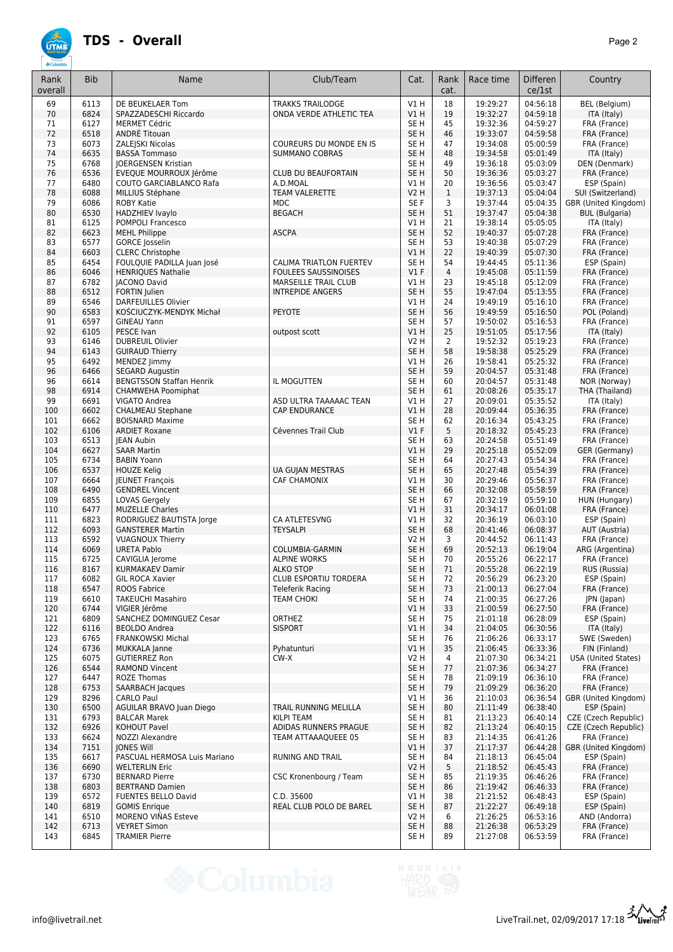

| Rank<br>overall | <b>Bib</b>   | Name                                               | Club/Team                                        | Cat.                    | Rank<br>cat.   | Race time            | <b>Differen</b><br>ce/1st | Country                                       |
|-----------------|--------------|----------------------------------------------------|--------------------------------------------------|-------------------------|----------------|----------------------|---------------------------|-----------------------------------------------|
| 69              | 6113         | DE BEUKELAER Tom                                   | <b>TRAKKS TRAILODGE</b>                          | <b>V1 H</b>             | 18             | 19:29:27             | 04:56:18                  | BEL (Belgium)                                 |
| 70              | 6824         | SPAZZADESCHI Riccardo                              | ONDA VERDE ATHLETIC TEA                          | V1H                     | 19             | 19:32:27             | 04:59:18                  | ITA (Italy)                                   |
| 71              | 6127         | <b>MERMET Cédric</b>                               |                                                  | SE <sub>H</sub>         | 45             | 19:32:36             | 04:59:27                  | FRA (France)                                  |
| 72<br>73        | 6518<br>6073 | ANDRÉ Titouan<br>ZALEJSKI Nicolas                  | COUREURS DU MONDE EN IS                          | SE <sub>H</sub><br>SE H | 46<br>47       | 19:33:07<br>19:34:08 | 04:59:58<br>05:00:59      | FRA (France)<br>FRA (France)                  |
| 74              | 6635         | <b>BASSA Tommaso</b>                               | <b>SUMMANO COBRAS</b>                            | SE <sub>H</sub>         | 48             | 19:34:58             | 05:01:49                  | ITA (Italy)                                   |
| 75              | 6768         | <b>JOERGENSEN Kristian</b>                         |                                                  | SE <sub>H</sub>         | 49             | 19:36:18             | 05:03:09                  | DEN (Denmark)                                 |
| 76              | 6536         | EVEQUE MOURROUX Jérôme                             | CLUB DU BEAUFORTAIN                              | SE <sub>H</sub>         | 50             | 19:36:36             | 05:03:27                  | FRA (France)                                  |
| 77              | 6480         | <b>COUTO GARCIABLANCO Rafa</b>                     | A.D.MOAL                                         | V1H                     | 20             | 19:36:56             | 05:03:47                  | ESP (Spain)                                   |
| 78              | 6088         | MILLIUS Stéphane                                   | TEAM VALERETTE                                   | <b>V2 H</b>             | $\mathbf{1}$   | 19:37:13             | 05:04:04                  | SUI (Switzerland)                             |
| 79<br>80        | 6086<br>6530 | <b>ROBY Katie</b><br><b>HADZHIEV Ivaylo</b>        | <b>MDC</b><br><b>BEGACH</b>                      | SE F<br>SE <sub>H</sub> | 3<br>51        | 19:37:44<br>19:37:47 | 05:04:35<br>05:04:38      | GBR (United Kingdom)<br><b>BUL</b> (Bulgaria) |
| 81              | 6125         | <b>POMPOLI Francesco</b>                           |                                                  | V1H                     | 21             | 19:38:14             | 05:05:05                  | ITA (Italy)                                   |
| 82              | 6623         | <b>MEHL Philippe</b>                               | <b>ASCPA</b>                                     | SE <sub>H</sub>         | 52             | 19:40:37             | 05:07:28                  | FRA (France)                                  |
| 83              | 6577         | <b>GORCE</b> Josselin                              |                                                  | SE H                    | 53             | 19:40:38             | 05:07:29                  | FRA (France)                                  |
| 84              | 6603         | <b>CLERC Christophe</b>                            |                                                  | V1H                     | 22             | 19:40:39             | 05:07:30                  | FRA (France)                                  |
| 85              | 6454         | FOULQUIE PADILLA Juan José                         | CALIMA TRIATLON FUERTEV                          | SE H                    | 54             | 19:44:45             | 05:11:36                  | ESP (Spain)                                   |
| 86              | 6046         | <b>HENRIQUES Nathalie</b>                          | <b>FOULEES SAUSSINOISES</b>                      | V1F                     | $\overline{4}$ | 19:45:08             | 05:11:59<br>05:12:09      | FRA (France)<br>FRA (France)                  |
| 87<br>88        | 6782<br>6512 | <b>JACONO David</b><br>FORTIN Julien               | MARSEILLE TRAIL CLUB<br><b>INTREPIDE ANGERS</b>  | V1H<br>SE <sub>H</sub>  | 23<br>55       | 19:45:18<br>19:47:04 | 05:13:55                  | FRA (France)                                  |
| 89              | 6546         | <b>DARFEUILLES Olivier</b>                         |                                                  | V1 H                    | 24             | 19:49:19             | 05:16:10                  | FRA (France)                                  |
| 90              | 6583         | KOŚCIUCZYK-MENDYK Michał                           | PEYOTE                                           | SE <sub>H</sub>         | 56             | 19:49:59             | 05:16:50                  | POL (Poland)                                  |
| 91              | 6597         | <b>GINEAU Yann</b>                                 |                                                  | SE H                    | 57             | 19:50:02             | 05:16:53                  | FRA (France)                                  |
| 92              | 6105         | PESCE Ivan                                         | outpost scott                                    | V1 H                    | 25             | 19:51:05             | 05:17:56                  | ITA (Italy)                                   |
| 93              | 6146         | <b>DUBREUIL Olivier</b>                            |                                                  | <b>V2 H</b>             | $\overline{2}$ | 19:52:32             | 05:19:23                  | FRA (France)                                  |
| 94<br>95        | 6143<br>6492 | <b>GUIRAUD Thierry</b>                             |                                                  | SE <sub>H</sub><br>V1 H | 58<br>26       | 19:58:38<br>19:58:41 | 05:25:29<br>05:25:32      | FRA (France)                                  |
| 96              | 6466         | MENDEZ Jimmy<br><b>SEGARD Augustin</b>             |                                                  | SE <sub>H</sub>         | 59             | 20:04:57             | 05:31:48                  | FRA (France)<br>FRA (France)                  |
| 96              | 6614         | <b>BENGTSSON Staffan Henrik</b>                    | IL MOGUTTEN                                      | SE H                    | 60             | 20:04:57             | 05:31:48                  | NOR (Norway)                                  |
| 98              | 6914         | CHAMWEHA Poomiphat                                 |                                                  | SE <sub>H</sub>         | 61             | 20:08:26             | 05:35:17                  | THA (Thailand)                                |
| 99              | 6691         | VIGATO Andrea                                      | ASD ULTRA TAAAAAC TEAN                           | V1 H                    | 27             | 20:09:01             | 05:35:52                  | ITA (Italy)                                   |
| 100             | 6602         | <b>CHALMEAU Stephane</b>                           | <b>CAP ENDURANCE</b>                             | V1H                     | 28             | 20:09:44             | 05:36:35                  | FRA (France)                                  |
| 101             | 6662         | <b>BOISNARD Maxime</b>                             |                                                  | SE <sub>H</sub>         | 62             | 20:16:34             | 05:43:25                  | FRA (France)                                  |
| 102<br>103      | 6106<br>6513 | <b>ARDIET Roxane</b><br><b>IEAN Aubin</b>          | Cévennes Trail Club                              | $VI$ F<br>SE H          | 5<br>63        | 20:18:32<br>20:24:58 | 05:45:23<br>05:51:49      | FRA (France)<br>FRA (France)                  |
| 104             | 6627         | <b>SAAR Martin</b>                                 |                                                  | V1 H                    | 29             | 20:25:18             | 05:52:09                  | GER (Germany)                                 |
| 105             | 6734         | <b>BABIN Yoann</b>                                 |                                                  | SE <sub>H</sub>         | 64             | 20:27:43             | 05:54:34                  | FRA (France)                                  |
| 106             | 6537         | <b>HOUZE Kelig</b>                                 | UA GUJAN MESTRAS                                 | SE <sub>H</sub>         | 65             | 20:27:48             | 05:54:39                  | FRA (France)                                  |
| 107             | 6664         | <b>JEUNET François</b>                             | <b>CAF CHAMONIX</b>                              | V1H                     | 30             | 20:29:46             | 05:56:37                  | FRA (France)                                  |
| 108             | 6490         | <b>GENDREL Vincent</b>                             |                                                  | SE <sub>H</sub>         | 66             | 20:32:08             | 05:58:59                  | FRA (France)                                  |
| 109             | 6855         | LOVAS Gergely                                      |                                                  | SE H                    | 67             | 20:32:19             | 05:59:10                  | HUN (Hungary)                                 |
| 110<br>111      | 6477<br>6823 | <b>MUZELLE Charles</b><br>RODRIGUEZ BAUTISTA Jorge | CA ATLETESVNG                                    | V1H<br>V1 H             | 31<br>32       | 20:34:17<br>20:36:19 | 06:01:08<br>06:03:10      | FRA (France)<br>ESP (Spain)                   |
| 112             | 6093         | <b>GANSTERER Martin</b>                            | <b>TEYSALPI</b>                                  | SE <sub>H</sub>         | 68             | 20:41:46             | 06:08:37                  | AUT (Austria)                                 |
| 113             | 6592         | <b>VUAGNOUX Thierry</b>                            |                                                  | <b>V2 H</b>             | 3              | 20:44:52             | 06:11:43                  | FRA (France)                                  |
| 114             | 6069         | <b>URETA Pablo</b>                                 | COLUMBIA-GARMIN                                  | SE <sub>H</sub>         | 69             | 20:52:13             | 06:19:04                  | ARG (Argentina)                               |
| 115             | 6725         | CAVIGLIA Jerome                                    | <b>ALPINE WORKS</b>                              | SE H                    | 70             | 20:55:26             | 06:22:17                  | FRA (France)                                  |
| 116             | 8167         | <b>KURMAKAEV Damir</b>                             | <b>ALKO STOP</b>                                 | SE H                    | 71             | 20:55:28             | 06:22:19                  | RUS (Russia)                                  |
| 117<br>118      | 6082<br>6547 | GIL ROCA Xavier<br>ROOS Fabrice                    | <b>CLUB ESPORTIU TORDERA</b><br>Teleferik Racing | SE H<br>SE <sub>H</sub> | 72<br>73       | 20:56:29<br>21:00:13 | 06:23:20<br>06:27:04      | ESP (Spain)<br>FRA (France)                   |
| 119             | 6610         | <b>TAKEUCHI Masahiro</b>                           | <b>TEAM CHOKI</b>                                | SE H                    | 74             | 21:00:35             | 06:27:26                  | JPN (Japan)                                   |
| 120             | 6744         | VIGIER Jérôme                                      |                                                  | VIH                     | 33             | 21:00:59             | 06:27:50                  | FRA (France)                                  |
| 121             | 6809         | SANCHEZ DOMINGUEZ Cesar                            | <b>ORTHEZ</b>                                    | SE H                    | 75             | 21:01:18             | 06:28:09                  | ESP (Spain)                                   |
| 122             | 6116         | <b>BEOLDO Andrea</b>                               | <b>SISPORT</b>                                   | VIH                     | 34             | 21:04:05             | 06:30:56                  | ITA (Italy)                                   |
| 123             | 6765         | <b>FRANKOWSKI Michal</b>                           |                                                  | SE H                    | 76             | 21:06:26             | 06:33:17                  | SWE (Sweden)                                  |
| 124             | 6736         | <b>MUKKALA Janne</b>                               | Pyhatunturi                                      | V1H                     | 35             | 21:06:45             | 06:33:36                  | FIN (Finland)                                 |
| 125<br>126      | 6075<br>6544 | <b>GUTIERREZ Ron</b><br><b>RAMOND Vincent</b>      | $CW-X$                                           | V2 H<br>SE H            | 4<br>77        | 21:07:30<br>21:07:36 | 06:34:21<br>06:34:27      | USA (United States)<br>FRA (France)           |
| 127             | 6447         | <b>ROZE Thomas</b>                                 |                                                  | SE H                    | 78             | 21:09:19             | 06:36:10                  | FRA (France)                                  |
| 128             | 6753         | SAARBACH Jacques                                   |                                                  | SE H                    | 79             | 21:09:29             | 06:36:20                  | FRA (France)                                  |
| 129             | 8296         | <b>CARLO Paul</b>                                  |                                                  | V1 H                    | 36             | 21:10:03             | 06:36:54                  | GBR (United Kingdom)                          |
| 130             | 6500         | AGUILAR BRAVO Juan Diego                           | TRAIL RUNNING MELILLA                            | SE H                    | 80             | 21:11:49             | 06:38:40                  | ESP (Spain)                                   |
| 131             | 6793         | <b>BALCAR Marek</b>                                | <b>KILPI TEAM</b>                                | SE H                    | 81             | 21:13:23             | 06:40:14                  | CZE (Czech Republic)                          |
| 132<br>133      | 6926<br>6624 | <b>KOHOUT Pavel</b><br>NOZZI Alexandre             | ADIDAS RUNNERS PRAGUE<br>TEAM ATTAAAQUEEE 05     | SE H<br>SE H            | 82<br>83       | 21:13:24<br>21:14:35 | 06:40:15<br>06:41:26      | CZE (Czech Republic)<br>FRA (France)          |
| 134             | 7151         | <b>JONES Will</b>                                  |                                                  | V1 H                    | 37             | 21:17:37             | 06:44:28                  | GBR (United Kingdom)                          |
| 135             | 6617         | PASCUAL HERMOSA Luis Mariano                       | <b>RUNING AND TRAIL</b>                          | SE <sub>H</sub>         | 84             | 21:18:13             | 06:45:04                  | ESP (Spain)                                   |
| 136             | 6690         | <b>WELTERLIN Eric</b>                              |                                                  | V2H                     | 5              | 21:18:52             | 06:45:43                  | FRA (France)                                  |
| 137             | 6730         | <b>BERNARD Pierre</b>                              | CSC Kronenbourg / Team                           | SE H                    | 85             | 21:19:35             | 06:46:26                  | FRA (France)                                  |
| 138             | 6803         | <b>BERTRAND Damien</b>                             |                                                  | SE H                    | 86             | 21:19:42             | 06:46:33                  | FRA (France)                                  |
| 139             | 6572         | <b>FUENTES BELLO David</b>                         | C.D. 35600                                       | V1 H                    | 38             | 21:21:52             | 06:48:43                  | ESP (Spain)                                   |
| 140<br>141      | 6819<br>6510 | <b>GOMIS Enrique</b><br>MORENO VIÑAS Esteve        | REAL CLUB POLO DE BAREL                          | SE H<br>V2 H            | 87<br>6        | 21:22:27<br>21:26:25 | 06:49:18<br>06:53:16      | ESP (Spain)<br>AND (Andorra)                  |
| 142             | 6713         | <b>VEYRET Simon</b>                                |                                                  | SE H                    | 88             | 21:26:38             | 06:53:29                  | FRA (France)                                  |
| 143             | 6845         | <b>TRAMIER Pierre</b>                              |                                                  | SE H                    | 89             | 21:27:08             | 06:53:59                  | FRA (France)                                  |
|                 |              |                                                    |                                                  |                         |                |                      |                           |                                               |

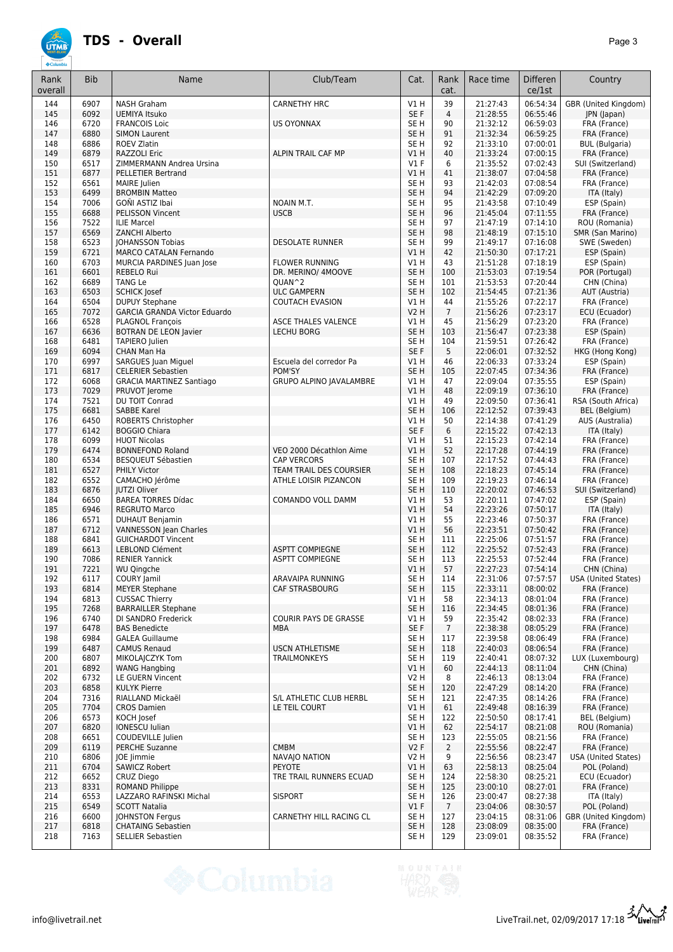

| Rank<br>overall | <b>Bib</b>   | Name                                                | Club/Team                                        | Cat.                               | Rank<br>cat.   | Race time            | Differen<br>ce/1st   | Country                               |
|-----------------|--------------|-----------------------------------------------------|--------------------------------------------------|------------------------------------|----------------|----------------------|----------------------|---------------------------------------|
| 144             | 6907         | <b>NASH Graham</b>                                  | <b>CARNETHY HRC</b>                              | V1 H                               | 39             | 21:27:43             | 06:54:34             | GBR (United Kingdom)                  |
| 145             | 6092         | <b>UEMIYA Itsuko</b>                                |                                                  | SE F                               | $\overline{4}$ | 21:28:55             | 06:55:46             | JPN (Japan)                           |
| 146             | 6720         | <b>FRANCOIS Loic</b>                                | <b>US OYONNAX</b>                                | SE <sub>H</sub>                    | 90             | 21:32:12             | 06:59:03             | FRA (France)                          |
| 147             | 6880         | <b>SIMON Laurent</b>                                |                                                  | SE <sub>H</sub>                    | 91             | 21:32:34             | 06:59:25             | FRA (France)                          |
| 148             | 6886<br>6879 | <b>ROEV Zlatin</b>                                  |                                                  | SE <sub>H</sub><br>VIH             | 92<br>40       | 21:33:10<br>21:33:24 | 07:00:01<br>07:00:15 | <b>BUL</b> (Bulgaria)<br>FRA (France) |
| 149<br>150      | 6517         | RAZZOLI Eric<br>ZIMMERMANN Andrea Ursina            | ALPIN TRAIL CAF MP                               | $VI$ F                             | 6              | 21:35:52             | 07:02:43             | SUI (Switzerland)                     |
| 151             | 6877         | <b>PELLETIER Bertrand</b>                           |                                                  | V1H                                | 41             | 21:38:07             | 07:04:58             | FRA (France)                          |
| 152             | 6561         | MAIRE Julien                                        |                                                  | SE <sub>H</sub>                    | 93             | 21:42:03             | 07:08:54             | FRA (France)                          |
| 153             | 6499         | <b>BROMBIN Matteo</b>                               |                                                  | SE <sub>H</sub>                    | 94             | 21:42:29             | 07:09:20             | ITA (Italy)                           |
| 154             | 7006         | GOÑI ASTIZ Ibai                                     | NOAIN M.T.                                       | SE H                               | 95             | 21:43:58             | 07:10:49             | ESP (Spain)                           |
| 155             | 6688         | <b>PELISSON Vincent</b>                             | <b>USCB</b>                                      | SE <sub>H</sub>                    | 96             | 21:45:04             | 07:11:55             | FRA (France)                          |
| 156             | 7522         | <b>ILIE Marcel</b>                                  |                                                  | SE H                               | 97             | 21:47:19             | 07:14:10             | ROU (Romania)                         |
| 157             | 6569         | <b>ZANCHI Alberto</b>                               |                                                  | SE H                               | 98             | 21:48:19             | 07:15:10             | SMR (San Marino)                      |
| 158             | 6523         | <b>JOHANSSON Tobias</b>                             | <b>DESOLATE RUNNER</b>                           | SE H                               | 99             | 21:49:17             | 07:16:08             | SWE (Sweden)                          |
| 159             | 6721         | MARCO CATALAN Fernando                              |                                                  | V1H                                | 42             | 21:50:30             | 07:17:21             | ESP (Spain)                           |
| 160             | 6703         | MURCIA PARDINES Juan Jose                           | <b>FLOWER RUNNING</b>                            | V1H                                | 43             | 21:51:28             | 07:18:19             | ESP (Spain)                           |
| 161             | 6601<br>6689 | REBELO Rui                                          | DR. MERINO/ 4MOOVE                               | SE <sub>H</sub>                    | 100            | 21:53:03             | 07:19:54             | POR (Portugal)                        |
| 162<br>163      | 6503         | <b>TANG Le</b><br><b>SCHICK Josef</b>               | QUAN^2<br><b>ULC GAMPERN</b>                     | SE <sub>H</sub><br>SE <sub>H</sub> | 101<br>102     | 21:53:53<br>21:54:45 | 07:20:44<br>07:21:36 | CHN (China)<br>AUT (Austria)          |
| 164             | 6504         | <b>DUPUY Stephane</b>                               | <b>COUTACH EVASION</b>                           | V1H                                | 44             | 21:55:26             | 07:22:17             | FRA (France)                          |
| 165             | 7072         | <b>GARCIA GRANDA Victor Eduardo</b>                 |                                                  | <b>V2 H</b>                        | $\overline{7}$ | 21:56:26             | 07:23:17             | ECU (Ecuador)                         |
| 166             | 6528         | <b>PLAGNOL François</b>                             | <b>ASCE THALES VALENCE</b>                       | V1H                                | 45             | 21:56:29             | 07:23:20             | FRA (France)                          |
| 167             | 6636         | <b>BOTRAN DE LEON Javier</b>                        | <b>LECHU BORG</b>                                | SE <sub>H</sub>                    | 103            | 21:56:47             | 07:23:38             | ESP (Spain)                           |
| 168             | 6481         | <b>TAPIERO</b> Julien                               |                                                  | SE H                               | 104            | 21:59:51             | 07:26:42             | FRA (France)                          |
| 169             | 6094         | CHAN Man Ha                                         |                                                  | SE F                               | 5              | 22:06:01             | 07:32:52             | HKG (Hong Kong)                       |
| 170             | 6997         | <b>SARGUES Juan Miguel</b>                          | Escuela del corredor Pa                          | VIH                                | 46             | 22:06:33             | 07:33:24             | ESP (Spain)                           |
| 171             | 6817         | <b>CELERIER Sebastien</b>                           | POM'SY                                           | SE <sub>H</sub>                    | 105            | 22:07:45             | 07:34:36             | FRA (France)                          |
| 172             | 6068         | <b>GRACIA MARTINEZ Santiago</b>                     | <b>GRUPO ALPINO IAVALAMBRE</b>                   | VIH                                | 47             | 22:09:04             | 07:35:55             | ESP (Spain)                           |
| 173             | 7029         | PRUVOT Jerome                                       |                                                  | V1H                                | 48             | 22:09:19             | 07:36:10             | FRA (France)                          |
| 174             | 7521         | DU TOIT Conrad                                      |                                                  | V1 H                               | 49             | 22:09:50             | 07:36:41             | RSA (South Africa)                    |
| 175             | 6681         | <b>SABBE Karel</b>                                  |                                                  | SE <sub>H</sub>                    | 106            | 22:12:52             | 07:39:43             | BEL (Belgium)                         |
| 176<br>177      | 6450<br>6142 | ROBERTS Christopher<br><b>BOGGIO Chiara</b>         |                                                  | VIH<br>SE F                        | 50<br>6        | 22:14:38<br>22:15:22 | 07:41:29<br>07:42:13 | AUS (Australia)                       |
| 178             | 6099         | <b>HUOT Nicolas</b>                                 |                                                  | V1H                                | 51             | 22:15:23             | 07:42:14             | ITA (Italy)<br>FRA (France)           |
| 179             | 6474         | <b>BONNEFOND Roland</b>                             | VEO 2000 Décathlon Aime                          | V1H                                | 52             | 22:17:28             | 07:44:19             | FRA (France)                          |
| 180             | 6534         | BESQUEUT Sébastien                                  | <b>CAP VERCORS</b>                               | SE H                               | 107            | 22:17:52             | 07:44:43             | FRA (France)                          |
| 181             | 6527         | PHILY Victor                                        | TEAM TRAIL DES COURSIER                          | SE <sub>H</sub>                    | 108            | 22:18:23             | 07:45:14             | FRA (France)                          |
| 182             | 6552         | CAMACHO Jérôme                                      | ATHLE LOISIR PIZANCON                            | SE <sub>H</sub>                    | 109            | 22:19:23             | 07:46:14             | FRA (France)                          |
| 183             | 6876         | <b>IUTZI Oliver</b>                                 |                                                  | SE <sub>H</sub>                    | 110            | 22:20:02             | 07:46:53             | SUI (Switzerland)                     |
| 184             | 6650         | <b>BAREA TORRES Dídac</b>                           | COMANDO VOLL DAMM                                | V1H                                | 53             | 22:20:11             | 07:47:02             | ESP (Spain)                           |
| 185             | 6946         | <b>REGRUTO Marco</b>                                |                                                  | V1H                                | 54             | 22:23:26             | 07:50:17             | ITA (Italy)                           |
| 186             | 6571         | <b>DUHAUT Benjamin</b>                              |                                                  | VIH                                | 55             | 22:23:46             | 07:50:37             | FRA (France)                          |
| 187             | 6712         | <b>VANNESSON Jean Charles</b>                       |                                                  | V1H                                | 56             | 22:23:51             | 07:50:42             | FRA (France)                          |
| 188             | 6841         | <b>GUICHARDOT Vincent</b>                           |                                                  | SE <sub>H</sub>                    | 111            | 22:25:06             | 07:51:57             | FRA (France)                          |
| 189<br>190      | 6613<br>7086 | <b>LEBLOND Clément</b><br><b>RENIER Yannick</b>     | <b>ASPTT COMPIEGNE</b><br><b>ASPTT COMPIEGNE</b> | SE <sub>H</sub><br>SE H            | 112<br>113     | 22:25:52<br>22:25:53 | 07:52:43<br>07:52:44 | FRA (France)<br>FRA (France)          |
| 191             | 7221         | WU Qingche                                          |                                                  | VIH                                | 57             | 22:27:23             | 07:54:14             | CHN (China)                           |
| 192             | 6117         | COURY Jamil                                         | ARAVAIPA RUNNING                                 | SE H                               | 114            | 22:31:06             | 07:57:57             | USA (United States)                   |
| 193             | 6814         | <b>MEYER Stephane</b>                               | CAF STRASBOURG                                   | SE <sub>H</sub>                    | 115            | 22:33:11             | 08:00:02             | FRA (France)                          |
| 194             | 6813         | <b>CUSSAC Thierry</b>                               |                                                  | V1H                                | 58             | 22:34:13             | 08:01:04             | FRA (France)                          |
| 195             | 7268         | <b>BARRAILLER Stephane</b>                          |                                                  | SE <sub>H</sub>                    | 116            | 22:34:45             | 08:01:36             | FRA (France)                          |
| 196             | 6740         | DI SANDRO Frederick                                 | COURIR PAYS DE GRASSE                            | V1H                                | 59             | 22:35:42             | 08:02:33             | FRA (France)                          |
| 197             | 6478         | <b>BAS Benedicte</b>                                | <b>MBA</b>                                       | SE F                               | $\overline{7}$ | 22:38:38             | 08:05:29             | FRA (France)                          |
| 198             | 6984         | <b>GALEA Guillaume</b>                              |                                                  | SE H                               | 117            | 22:39:58             | 08:06:49             | FRA (France)                          |
| 199             | 6487         | <b>CAMUS Renaud</b>                                 | <b>USCN ATHLETISME</b>                           | SE <sub>H</sub>                    | 118            | 22:40:03             | 08:06:54             | FRA (France)                          |
| 200             | 6807         | MIKOLAICZYK Tom                                     | <b>TRAILMONKEYS</b>                              | SE <sub>H</sub>                    | 119            | 22:40:41             | 08:07:32             | LUX (Luxembourg)                      |
| 201             | 6892         | <b>WANG Hangbing</b>                                |                                                  | V1H                                | 60             | 22:44:13             | 08:11:04             | CHN (China)                           |
| 202             | 6732         | LE GUERN Vincent<br><b>KULYK Pierre</b>             |                                                  | V2 H<br>SE <sub>H</sub>            | 8              | 22:46:13<br>22:47:29 | 08:13:04<br>08:14:20 | FRA (France)                          |
| 203<br>204      | 6858<br>7316 | RIALLAND Mickaël                                    | S/L ATHLETIC CLUB HERBL                          | SE H                               | 120<br>121     | 22:47:35             | 08:14:26             | FRA (France)<br>FRA (France)          |
| 205             | 7704         | <b>CROS Damien</b>                                  | LE TEIL COURT                                    | VIH                                | 61             | 22:49:48             | 08:16:39             | FRA (France)                          |
| 206             | 6573         | KOCH Josef                                          |                                                  | SE H                               | 122            | 22:50:50             | 08:17:41             | BEL (Belgium)                         |
| 207             | 6820         | <b>IONESCU Iulian</b>                               |                                                  | V1H                                | 62             | 22:54:17             | 08:21:08             | ROU (Romania)                         |
| 208             | 6651         | COUDEVILLE Julien                                   |                                                  | SE <sub>H</sub>                    | 123            | 22:55:05             | 08:21:56             | FRA (France)                          |
| 209             | 6119         | <b>PERCHE Suzanne</b>                               | <b>CMBM</b>                                      | V2F                                | $\overline{2}$ | 22:55:56             | 08:22:47             | FRA (France)                          |
| 210             | 6806         | <b>IOE</b> limmie                                   | NAVAIO NATION                                    | V2 H                               | 9              | 22:56:56             | 08:23:47             | USA (United States)                   |
| 211             | 6704         | SAWICZ Robert                                       | PEYOTE                                           | V1H                                | 63             | 22:58:13             | 08:25:04             | POL (Poland)                          |
| 212             | 6652         | CRUZ Diego                                          | TRE TRAIL RUNNERS ECUAD                          | SE H                               | 124            | 22:58:30             | 08:25:21             | ECU (Ecuador)                         |
| 213             | 8331         | ROMAND Philippe                                     |                                                  | SE <sub>H</sub>                    | 125            | 23:00:10             | 08:27:01             | FRA (France)                          |
| 214             | 6553         | LAZZARO RAFINSKI Michal                             | <b>SISPORT</b>                                   | SE <sub>H</sub>                    | 126            | 23:00:47             | 08:27:38             | ITA (Italy)                           |
| 215             | 6549         | <b>SCOTT Natalia</b>                                |                                                  | $VI$ F                             | $\overline{7}$ | 23:04:06             | 08:30:57             | POL (Poland)                          |
| 216<br>217      | 6600<br>6818 | <b>JOHNSTON Fergus</b><br><b>CHATAING Sebastien</b> | CARNETHY HILL RACING CL                          | SE H<br>SE <sub>H</sub>            | 127<br>128     | 23:04:15<br>23:08:09 | 08:31:06<br>08:35:00 | GBR (United Kingdom)<br>FRA (France)  |
| 218             | 7163         | <b>SELLIER Sebastien</b>                            |                                                  | SE H                               | 129            | 23:09:01             | 08:35:52             | FRA (France)                          |
|                 |              |                                                     |                                                  |                                    |                |                      |                      |                                       |

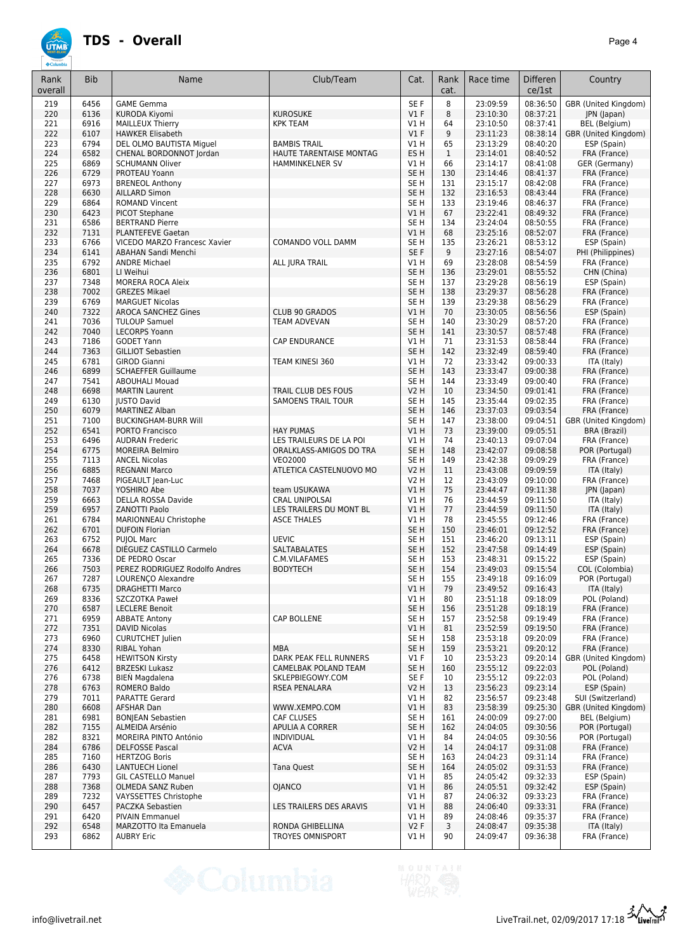| Rank<br>overall | <b>Bib</b>   | Name                                                       | Club/Team                                     | Cat.                               | Rank<br>cat. | Race time            | <b>Differen</b><br>ce/1st | Country                                      |
|-----------------|--------------|------------------------------------------------------------|-----------------------------------------------|------------------------------------|--------------|----------------------|---------------------------|----------------------------------------------|
| 219             | 6456         | <b>GAME Gemma</b>                                          |                                               | SE F                               | 8            | 23:09:59             | 08:36:50                  | GBR (United Kingdom)                         |
| 220             | 6136         | <b>KURODA Kiyomi</b>                                       | <b>KUROSUKE</b>                               | V1F                                | 8<br>64      | 23:10:30             | 08:37:21                  | JPN (Japan)                                  |
| 221<br>222      | 6916<br>6107 | MAILLEUX Thierry<br><b>HAWKER Elisabeth</b>                | <b>KPK TEAM</b>                               | V1 H<br>$VI$ F                     | 9            | 23:10:50<br>23:11:23 | 08:37:41<br>08:38:14      | <b>BEL</b> (Belgium)<br>GBR (United Kingdom) |
| 223             | 6794         | DEL OLMO BAUTISTA Miguel                                   | <b>BAMBIS TRAIL</b>                           | V1 H                               | 65           | 23:13:29             | 08:40:20                  | ESP (Spain)                                  |
| 224             | 6582         | CHENAL BORDONNOT Jordan                                    | HAUTE TARENTAISE MONTAG                       | ES <sub>H</sub>                    | $\mathbf{1}$ | 23:14:01             | 08:40:52                  | FRA (France)                                 |
| 225             | 6869         | <b>SCHUMANN Oliver</b>                                     | HAMMINKELNER SV                               | V1 H                               | 66           | 23:14:17             | 08:41:08                  | GER (Germany)                                |
| 226             | 6729         | PROTEAU Yoann                                              |                                               | SE <sub>H</sub>                    | 130          | 23:14:46             | 08:41:37                  | FRA (France)                                 |
| 227<br>228      | 6973<br>6630 | <b>BRENEOL Anthony</b><br><b>AILLARD Simon</b>             |                                               | SE <sub>H</sub><br>SE <sub>H</sub> | 131<br>132   | 23:15:17<br>23:16:53 | 08:42:08<br>08:43:44      | FRA (France)<br>FRA (France)                 |
| 229             | 6864         | <b>ROMAND Vincent</b>                                      |                                               | SE H                               | 133          | 23:19:46             | 08:46:37                  | FRA (France)                                 |
| 230             | 6423         | PICOT Stephane                                             |                                               | V1 H                               | 67           | 23:22:41             | 08:49:32                  | FRA (France)                                 |
| 231             | 6586         | <b>BERTRAND Pierre</b>                                     |                                               | SE <sub>H</sub>                    | 134          | 23:24:04             | 08:50:55                  | FRA (France)                                 |
| 232             | 7131         | <b>PLANTEFEVE Gaetan</b>                                   |                                               | V1H                                | 68           | 23:25:16             | 08:52:07                  | FRA (France)                                 |
| 233<br>234      | 6766<br>6141 | VICEDO MARZO Francesc Xavier<br><b>ABAHAN Sandi Menchi</b> | COMANDO VOLL DAMM                             | SE <sub>H</sub><br>SE F            | 135<br>9     | 23:26:21<br>23:27:16 | 08:53:12<br>08:54:07      | ESP (Spain)<br>PHI (Philippines)             |
| 235             | 6792         | <b>ANDRE Michael</b>                                       | ALL JURA TRAIL                                | V1 H                               | 69           | 23:28:08             | 08:54:59                  | FRA (France)                                 |
| 236             | 6801         | LI Weihui                                                  |                                               | SE <sub>H</sub>                    | 136          | 23:29:01             | 08:55:52                  | CHN (China)                                  |
| 237             | 7348         | MORERA ROCA Aleix                                          |                                               | SE <sub>H</sub>                    | 137          | 23:29:28             | 08:56:19                  | ESP (Spain)                                  |
| 238             | 7002         | <b>GREZES Mikael</b>                                       |                                               | SE <sub>H</sub>                    | 138          | 23:29:37             | 08:56:28                  | FRA (France)                                 |
| 239             | 6769<br>7322 | <b>MARGUET Nicolas</b>                                     | <b>CLUB 90 GRADOS</b>                         | SE <sub>H</sub><br>VIH             | 139<br>70    | 23:29:38<br>23:30:05 | 08:56:29<br>08:56:56      | FRA (France)<br>ESP (Spain)                  |
| 240<br>241      | 7036         | <b>AROCA SANCHEZ Gines</b><br><b>TULOUP Samuel</b>         | TEAM ADVEVAN                                  | SE H                               | 140          | 23:30:29             | 08:57:20                  | FRA (France)                                 |
| 242             | 7040         | <b>LECORPS Yoann</b>                                       |                                               | SE H                               | 141          | 23:30:57             | 08:57:48                  | FRA (France)                                 |
| 243             | 7186         | <b>GODET Yann</b>                                          | <b>CAP ENDURANCE</b>                          | V1 H                               | 71           | 23:31:53             | 08:58:44                  | FRA (France)                                 |
| 244             | 7363         | <b>GILLIOT Sebastien</b>                                   |                                               | SE <sub>H</sub>                    | 142          | 23:32:49             | 08:59:40                  | FRA (France)                                 |
| 245             | 6781         | <b>GIROD Gianni</b>                                        | TEAM KINESI 360                               | V1H                                | 72           | 23:33:42             | 09:00:33                  | ITA (Italy)                                  |
| 246             | 6899         | <b>SCHAEFFER Guillaume</b>                                 |                                               | SE <sub>H</sub>                    | 143          | 23:33:47             | 09:00:38                  | FRA (France)                                 |
| 247<br>248      | 7541<br>6698 | <b>ABOUHALI Mouad</b><br><b>MARTIN Laurent</b>             | TRAIL CLUB DES FOUS                           | SE <sub>H</sub><br><b>V2 H</b>     | 144<br>10    | 23:33:49<br>23:34:50 | 09:00:40<br>09:01:41      | FRA (France)<br>FRA (France)                 |
| 249             | 6130         | <b>IUSTO David</b>                                         | <b>SAMOENS TRAIL TOUR</b>                     | SE <sub>H</sub>                    | 145          | 23:35:44             | 09:02:35                  | FRA (France)                                 |
| 250             | 6079         | <b>MARTINEZ Alban</b>                                      |                                               | SE <sub>H</sub>                    | 146          | 23:37:03             | 09:03:54                  | FRA (France)                                 |
| 251             | 7100         | <b>BUCKINGHAM-BURR Will</b>                                |                                               | SE <sub>H</sub>                    | 147          | 23:38:00             | 09:04:51                  | GBR (United Kingdom)                         |
| 252             | 6541         | PORTO Francisco                                            | <b>HAY PUMAS</b>                              | V1 H                               | 73           | 23:39:00             | 09:05:51                  | BRA (Brazil)                                 |
| 253             | 6496         | <b>AUDRAN Frederic</b>                                     | LES TRAILEURS DE LA POI                       | V1 H                               | 74           | 23:40:13             | 09:07:04                  | FRA (France)                                 |
| 254<br>255      | 6775<br>7113 | <b>MOREIRA Belmiro</b><br><b>ANCEL Nicolas</b>             | ORALKLASS-AMIGOS DO TRA<br><b>VEO2000</b>     | SE <sub>H</sub><br>SE <sub>H</sub> | 148<br>149   | 23:42:07<br>23:42:38 | 09:08:58<br>09:09:29      | POR (Portugal)<br>FRA (France)               |
| 256             | 6885         | <b>REGNANI Marco</b>                                       | ATLETICA CASTELNUOVO MO                       | <b>V2 H</b>                        | 11           | 23:43:08             | 09:09:59                  | ITA (Italy)                                  |
| 257             | 7468         | PIGEAULT Jean-Luc                                          |                                               | <b>V2 H</b>                        | 12           | 23:43:09             | 09:10:00                  | FRA (France)                                 |
| 258             | 7037         | YOSHIRO Abe                                                | team USUKAWA                                  | V1H                                | 75           | 23:44:47             | 09:11:38                  | JPN (Japan)                                  |
| 259             | 6663         | DELLA ROSSA Davide                                         | <b>CRAL UNIPOLSAI</b>                         | V1 H                               | 76           | 23:44:59             | 09:11:50                  | ITA (Italy)                                  |
| 259<br>261      | 6957<br>6784 | <b>ZANOTTI Paolo</b><br>MARIONNEAU Christophe              | LES TRAILERS DU MONT BL<br><b>ASCE THALES</b> | V1H<br>V1H                         | 77<br>78     | 23:44:59<br>23:45:55 | 09:11:50<br>09:12:46      | ITA (Italy)<br>FRA (France)                  |
| 262             | 6701         | <b>DUFOIN Florian</b>                                      |                                               | SE <sub>H</sub>                    | 150          | 23:46:01             | 09:12:52                  | FRA (France)                                 |
| 263             | 6752         | <b>PUJOL Marc</b>                                          | <b>UEVIC</b>                                  | SE <sub>H</sub>                    | 151          | 23:46:20             | 09:13:11                  | ESP (Spain)                                  |
| 264             | 6678         | DIÉGUEZ CASTILLO Carmelo                                   | <b>SALTABALATES</b>                           | SE <sub>H</sub>                    | 152          | 23:47:58             | 09:14:49                  | ESP (Spain)                                  |
| 265             | 7336         | DE PEDRO Oscar                                             | C.M.VILAFAMES                                 | SE H                               | 153          | 23:48:31             | 09:15:22                  | ESP (Spain)                                  |
| 266             | 7503         | PEREZ RODRIGUEZ Rodolfo Andres                             | <b>BODYTECH</b>                               | SE <sub>H</sub>                    | 154          | 23:49:03             | 09:15:54                  | COL (Colombia)                               |
| 267<br>268      | 7287<br>6735 | LOURENÇO Alexandre<br><b>DRAGHETTI Marco</b>               |                                               | SE H<br>V1H                        | 155<br>79    | 23:49:18<br>23:49:52 | 09:16:09<br>09:16:43      | POR (Portugal)<br>ITA (Italy)                |
| 269             | 8336         | SZCZOTKA Paweł                                             |                                               | V1 H                               | 80           | 23:51:18             | 09:18:09                  | POL (Poland)                                 |
| 270             | 6587         | <b>LECLERE Benoit</b>                                      |                                               | SE <sub>H</sub>                    | 156          | 23:51:28             | 09:18:19                  | FRA (France)                                 |
| 271             | 6959         | <b>ABBATE Antony</b>                                       | CAP BOLLENE                                   | SE H                               | 157          | 23:52:58             | 09:19:49                  | FRA (France)                                 |
| 272             | 7351         | <b>DAVID Nicolas</b>                                       |                                               | V1 H                               | 81           | 23:52:59             | 09:19:50                  | FRA (France)                                 |
| 273<br>274      | 6960<br>8330 | <b>CURUTCHET Julien</b><br><b>RIBAL Yohan</b>              | <b>MBA</b>                                    | SE H<br>SE H                       | 158<br>159   | 23:53:18<br>23:53:21 | 09:20:09<br>09:20:12      | FRA (France)<br>FRA (France)                 |
| 275             | 6458         | <b>HEWITSON Kirsty</b>                                     | DARK PEAK FELL RUNNERS                        | $VI$ F                             | 10           | 23:53:23             | 09:20:14                  | GBR (United Kingdom)                         |
| 276             | 6412         | <b>BRZESKI Lukasz</b>                                      | CAMELBAK POLAND TEAM                          | SE <sub>H</sub>                    | 160          | 23:55:12             | 09:22:03                  | POL (Poland)                                 |
| 276             | 6738         | <b>BIEN</b> Magdalena                                      | SKLEPBIEGOWY.COM                              | SE F                               | 10           | 23:55:12             | 09:22:03                  | POL (Poland)                                 |
| 278             | 6763         | <b>ROMERO Baldo</b>                                        | RSEA PENALARA                                 | V2 H                               | 13           | 23:56:23             | 09:23:14                  | ESP (Spain)                                  |
| 279             | 7011         | PARATTE Gerard                                             |                                               | V1 H                               | 82           | 23:56:57             | 09:23:48                  | SUI (Switzerland)                            |
| 280<br>281      | 6608<br>6981 | <b>AFSHAR Dan</b><br><b>BONJEAN Sebastien</b>              | WWW.XEMPO.COM<br>CAF CLUSES                   | V1H<br>SE H                        | 83<br>161    | 23:58:39<br>24:00:09 | 09:25:30<br>09:27:00      | GBR (United Kingdom)<br>BEL (Belgium)        |
| 282             | 7155         | ALMEIDA Arsénio                                            | APULIA A CORRER                               | SE <sub>H</sub>                    | 162          | 24:04:05             | 09:30:56                  | POR (Portugal)                               |
| 282             | 8321         | MOREIRA PINTO António                                      | <b>INDIVIDUAL</b>                             | V1H                                | 84           | 24:04:05             | 09:30:56                  | POR (Portugal)                               |
| 284             | 6786         | <b>DELFOSSE Pascal</b>                                     | <b>ACVA</b>                                   | V2 H                               | 14           | 24:04:17             | 09:31:08                  | FRA (France)                                 |
| 285             | 7160         | <b>HERTZOG Boris</b>                                       |                                               | SE H                               | 163          | 24:04:23             | 09:31:14                  | FRA (France)                                 |
| 286<br>287      | 6430<br>7793 | <b>LANTUECH Lionel</b><br><b>GIL CASTELLO Manuel</b>       | Tana Quest                                    | SE <sub>H</sub><br>V1 H            | 164<br>85    | 24:05:02<br>24:05:42 | 09:31:53<br>09:32:33      | FRA (France)<br>ESP (Spain)                  |
| 288             | 7368         | OLMEDA SANZ Ruben                                          | <b>OJANCO</b>                                 | V1 H                               | 86           | 24:05:51             | 09:32:42                  | ESP (Spain)                                  |
| 289             | 7232         | VAYSSETTES Christophe                                      |                                               | V1 H                               | 87           | 24:06:32             | 09:33:23                  | FRA (France)                                 |
| 290             | 6457         | PACZKA Sebastien                                           | LES TRAILERS DES ARAVIS                       | V1 H                               | 88           | 24:06:40             | 09:33:31                  | FRA (France)                                 |
| 291             | 6420         | <b>PIVAIN Emmanuel</b>                                     |                                               | V1 H                               | 89           | 24:08:46             | 09:35:37                  | FRA (France)                                 |
| 292             | 6548         | MARZOTTO Ita Emanuela                                      | RONDA GHIBELLINA                              | V2F                                | 3            | 24:08:47             | 09:35:38                  | ITA (Italy)                                  |
| 293             | 6862         | <b>AUBRY Eric</b>                                          | <b>TROYES OMNISPORT</b>                       | V1 H                               | 90           | 24:09:47             | 09:36:38                  | FRA (France)                                 |

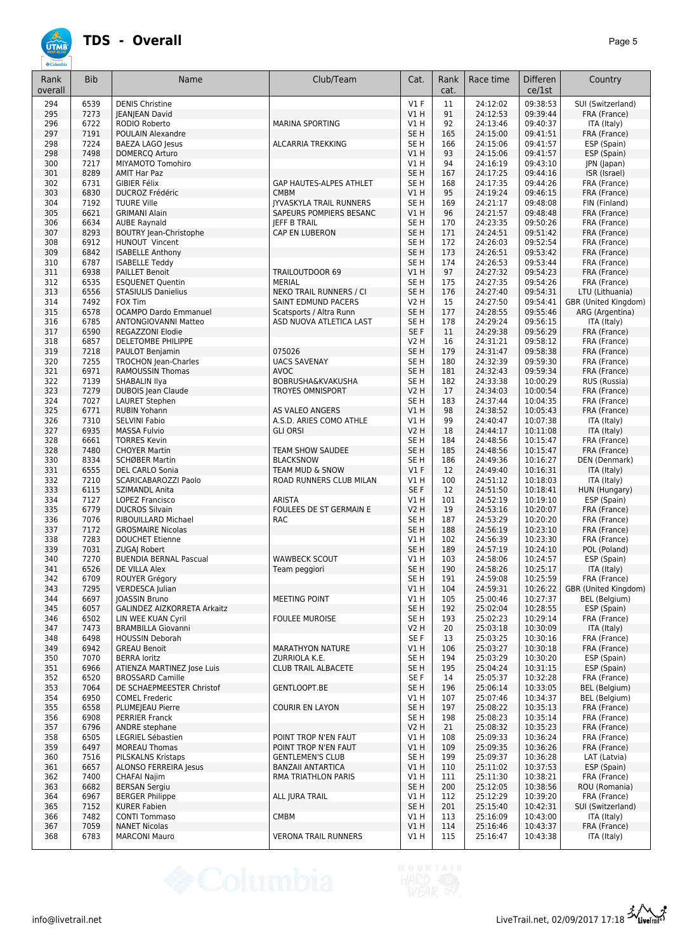

| Rank<br>overall | <b>Bib</b>   | Name                                            | Club/Team                      | Cat.                    | Rank<br>cat. | Race time            | <b>Differen</b><br>ce/1st | Country                       |
|-----------------|--------------|-------------------------------------------------|--------------------------------|-------------------------|--------------|----------------------|---------------------------|-------------------------------|
| 294             | 6539         | <b>DENIS Christine</b>                          |                                | $VI$ F                  | 11           | 24:12:02             | 09:38:53                  | SUI (Switzerland)             |
| 295             | 7273         | <b>IEANIEAN David</b>                           |                                | V1H                     | 91           | 24:12:53             | 09:39:44                  | FRA (France)                  |
| 296             | 6722         | RODIO Roberto                                   | <b>MARINA SPORTING</b>         | V1 H                    | 92           | 24:13:46             | 09:40:37                  | ITA (Italy)                   |
| 297             | 7191         | POULAIN Alexandre                               |                                | SE <sub>H</sub>         | 165          | 24:15:00             | 09:41:51                  | FRA (France)                  |
| 298             | 7224         | <b>BAEZA LAGO Jesus</b>                         | <b>ALCARRIA TREKKING</b>       | SE H                    | 166          | 24:15:06             | 09:41:57                  | ESP (Spain)                   |
| 298             | 7498         | DOMERCQ Arturo                                  |                                | V1 H                    | 93           | 24:15:06             | 09:41:57                  | ESP (Spain)                   |
| 300             | 7217         | MIYAMOTO Tomohiro                               |                                | V1 H                    | 94           | 24:16:19             | 09:43:10                  | JPN (Japan)                   |
| 301             | 8289         | <b>AMIT Har Paz</b>                             |                                | SE <sub>H</sub>         | 167          | 24:17:25             | 09:44:16                  | ISR (Israel)                  |
| 302             | 6731         | <b>GIBIER Félix</b>                             | GAP HAUTES-ALPES ATHLET        | SE <sub>H</sub>         | 168          | 24:17:35             | 09:44:26                  | FRA (France)                  |
| 303             | 6830         | <b>DUCROZ Frédéric</b>                          | <b>CMBM</b>                    | VIH                     | 95           | 24:19:24             | 09:46:15                  | FRA (France)                  |
| 304             | 7192         | <b>TUURE Ville</b>                              | <b>IYVASKYLA TRAIL RUNNERS</b> | SE H                    | 169          | 24:21:17             | 09:48:08                  | FIN (Finland)                 |
| 305             | 6621         | <b>GRIMANI Alain</b>                            | SAPEURS POMPIERS BESANC        | VIH                     | 96           | 24:21:57             | 09:48:48                  | FRA (France)                  |
| 306             | 6634         | <b>AUBE Raynald</b>                             | <b>JEFF B TRAIL</b>            | SE <sub>H</sub>         | 170          | 24:23:35             | 09:50:26                  | FRA (France)                  |
| 307             | 8293         | <b>BOUTRY Jean-Christophe</b>                   | CAP EN LUBERON                 | SE <sub>H</sub>         | 171          | 24:24:51             | 09:51:42                  | FRA (France)                  |
| 308             | 6912         | HUNOUT Vincent                                  |                                | SE <sub>H</sub>         | 172          | 24:26:03             | 09:52:54                  | FRA (France)                  |
| 309             | 6842         | <b>ISABELLE Anthony</b>                         |                                | SE <sub>H</sub>         | 173          | 24:26:51             | 09:53:42                  | FRA (France)                  |
| 310             | 6787         | <b>ISABELLE Teddy</b>                           |                                | SE H                    | 174          | 24:26:53             | 09:53:44                  | FRA (France)                  |
| 311             | 6938         | <b>PAILLET Benoit</b>                           | <b>TRAILOUTDOOR 69</b>         | VIH                     | 97           | 24:27:32             | 09:54:23                  | FRA (France)                  |
| 312             | 6535         | <b>ESQUENET Quentin</b>                         | <b>MERIAL</b>                  | SE <sub>H</sub>         | 175          | 24:27:35             | 09:54:26                  | FRA (France)                  |
| 313             | 6556         | <b>STASIULIS Danielius</b>                      | NEKO TRAIL RUNNERS / CI        | SE <sub>H</sub>         | 176          | 24:27:40             | 09:54:31                  | LTU (Lithuania)               |
| 314             | 7492         | <b>FOX Tim</b>                                  | SAINT EDMUND PACERS            | V2 H                    | 15           | 24:27:50             | 09:54:41                  | GBR (United Kingdom)          |
| 315             | 6578         | <b>OCAMPO Dardo Emmanuel</b>                    | Scatsports / Altra Runn        | SE <sub>H</sub>         | 177          | 24:28:55             | 09:55:46                  | ARG (Argentina)               |
| 316             | 6785         | <b>ANTONGIOVANNI Matteo</b>                     | ASD NUOVA ATLETICA LAST        | SE H                    | 178          | 24:29:24             | 09:56:15                  | ITA (Italy)                   |
| 317             | 6590         | REGAZZONI Elodie                                |                                | SE <sub>F</sub>         | 11           | 24:29:38             | 09:56:29                  | FRA (France)                  |
| 318             | 6857         | DELETOMBE PHILIPPE                              |                                | V2 H                    | 16           | 24:31:21             | 09:58:12                  | FRA (France)                  |
| 319             | 7218         | PAULOT Benjamin                                 | 075026                         | SE <sub>H</sub>         | 179          | 24:31:47             | 09:58:38                  | FRA (France)                  |
| 320             | 7255         | <b>TROCHON Jean-Charles</b>                     | <b>UACS SAVENAY</b>            | SE H                    | 180          | 24:32:39             | 09:59:30                  | FRA (France)                  |
| 321             | 6971         | <b>RAMOUSSIN Thomas</b>                         | <b>AVOC</b>                    | SE <sub>H</sub>         | 181          | 24:32:43             | 09:59:34                  | FRA (France)                  |
| 322             | 7139         | SHABALIN Ilya                                   | <b>BOBRUSHA&amp;KVAKUSHA</b>   | SE H                    | 182          | 24:33:38             | 10:00:29                  | RUS (Russia)                  |
| 323             | 7279         | DUBOIS Jean Claude                              | <b>TROYES OMNISPORT</b>        | V2 H                    | 17           | 24:34:03             | 10:00:54                  | FRA (France)                  |
| 324             | 7027         | <b>LAURET Stephen</b>                           |                                | SE <sub>H</sub>         | 183          | 24:37:44             | 10:04:35                  | FRA (France)                  |
| 325             | 6771         | <b>RUBIN Yohann</b>                             | AS VALEO ANGERS                | VIH                     | 98           | 24:38:52             | 10:05:43                  | FRA (France)                  |
| 326             | 7310         | <b>SELVINI Fabio</b>                            | A.S.D. ARIES COMO ATHLE        | V1 H                    | 99           | 24:40:47             | 10:07:38                  | ITA (Italy)                   |
| 327             | 6935         | <b>MASSA Fulvio</b>                             | <b>GLI ORSI</b>                | <b>V2 H</b>             | 18           | 24:44:17             | 10:11:08                  | ITA (Italy)                   |
| 328             | 6661         | <b>TORRES Kevin</b>                             |                                | SE H                    | 184          | 24:48:56             | 10:15:47                  | FRA (France)                  |
| 328             | 7480         | <b>CHOYER Martin</b>                            | TEAM SHOW SAUDEE               | SE <sub>H</sub>         | 185          | 24:48:56             | 10:15:47                  | FRA (France)                  |
| 330             | 8334         | <b>SCHØBER Martin</b>                           | <b>BLACKSNOW</b>               | SE <sub>H</sub>         | 186          | 24:49:36             | 10:16:27                  | DEN (Denmark)                 |
| 331             | 6555         | DEL CARLO Sonia                                 | TEAM MUD & SNOW                | $VI$ F                  | 12           | 24:49:40             | 10:16:31                  | ITA (Italy)                   |
| 332<br>333      | 7210<br>6115 | SCARICABAROZZI Paolo                            | ROAD RUNNERS CLUB MILAN        | VIH<br>SE F             | 100          | 24:51:12             | 10:18:03                  | ITA (Italy)                   |
| 334             | 7127         | <b>SZIMANDL Anita</b><br><b>LOPEZ Francisco</b> | <b>ARISTA</b>                  | VIH                     | 12<br>101    | 24:51:50<br>24:52:19 | 10:18:41<br>10:19:10      | HUN (Hungary)<br>ESP (Spain)  |
| 335             | 6779         | <b>DUCROS Silvain</b>                           | FOULEES DE ST GERMAIN E        | V2 H                    | 19           | 24:53:16             | 10:20:07                  | FRA (France)                  |
| 336             | 7076         | RIBOUILLARD Michael                             | <b>RAC</b>                     | SE <sub>H</sub>         | 187          | 24:53:29             | 10:20:20                  | FRA (France)                  |
| 337             | 7172         | <b>GROSMAIRE Nicolas</b>                        |                                | SE <sub>H</sub>         | 188          | 24:56:19             | 10:23:10                  | FRA (France)                  |
| 338             | 7283         | <b>DOUCHET Etienne</b>                          |                                | V1H                     | 102          | 24:56:39             | 10:23:30                  | FRA (France)                  |
| 339             | 7031         | <b>ZUGAJ Robert</b>                             |                                | SE <sub>H</sub>         | 189          | 24:57:19             | 10:24:10                  | POL (Poland)                  |
| 340             | 7270         | <b>BUENDIA BERNAL Pascual</b>                   | <b>WAWBECK SCOUT</b>           | V1 H                    | 103          | 24:58:06             | 10:24:57                  | ESP (Spain)                   |
| 341             | 6526         | DE VILLA Alex                                   | Team peggiori                  | SE <sub>H</sub>         | 190          | 24:58:26             | 10:25:17                  | ITA (Italy)                   |
| 342             | 6709         | ROUYER Grégory                                  |                                | SE H                    | 191          | 24:59:08             | 10:25:59                  | FRA (France)                  |
| 343             | 7295         | <b>VERDESCA Julian</b>                          |                                | V1H                     | 104          | 24:59:31             | 10:26:22                  | GBR (United Kingdom)          |
| 344             | 6697         | <b>JOASSIN Bruno</b>                            | MEETING POINT                  | V1 H                    | 105          | 25:00:46             | 10:27:37                  | BEL (Belgium)                 |
| 345             | 6057         | GALINDEZ AIZKORRETA Arkaitz                     |                                | SE H                    | 192          | 25:02:04             | 10:28:55                  | ESP (Spain)                   |
| 346             | 6502         | LIN WEE KUAN Cyril                              | <b>FOULEE MUROISE</b>          | SE H                    | 193          | 25:02:23             | 10:29:14                  | FRA (France)                  |
| 347             | 7473         | <b>BRAMBILLA Giovanni</b>                       |                                | V2 H                    | 20           | 25:03:18             | 10:30:09                  | ITA (Italy)                   |
| 348             | 6498         | <b>HOUSSIN Deborah</b>                          |                                | SE F                    | 13           | 25:03:25             | 10:30:16                  | FRA (France)                  |
| 349             | 6942         | <b>GREAU Benoit</b>                             | <b>MARATHYON NATURE</b>        | V1 H                    | 106          | 25:03:27             | 10:30:18                  | FRA (France)                  |
| 350             | 7070         | <b>BERRA loritz</b>                             | ZURRIOLA K.E.                  | SE H                    | 194          | 25:03:29             | 10:30:20                  | ESP (Spain)                   |
| 351             | 6966         | <b>ATIENZA MARTINEZ lose Luis</b>               | <b>CLUB TRAIL ALBACETE</b>     | SE <sub>H</sub>         | 195          | 25:04:24             | 10:31:15                  | ESP (Spain)                   |
| 352             | 6520         | <b>BROSSARD Camille</b>                         |                                | SE F                    | 14           | 25:05:37             | 10:32:28                  | FRA (France)                  |
| 353             | 7064         | DE SCHAEPMEESTER Christof                       | GENTLOOPT.BE                   | SE <sub>H</sub>         | 196          | 25:06:14             | 10:33:05                  | <b>BEL</b> (Belgium)          |
| 354             | 6950         | <b>COMEL Frederic</b>                           |                                | V1 H                    | 107          | 25:07:46             | 10:34:37                  | BEL (Belgium)                 |
| 355             | 6558         | PLUMEJEAU Pierre                                | <b>COURIR EN LAYON</b>         | SE <sub>H</sub>         | 197          | 25:08:22             | 10:35:13                  | FRA (France)                  |
| 356             | 6908         | <b>PERRIER Franck</b>                           |                                | SE H                    | 198          | 25:08:23             | 10:35:14                  | FRA (France)                  |
| 357             | 6796         | ANDRE stephane                                  |                                | <b>V2 H</b>             | 21           | 25:08:32             | 10:35:23                  | FRA (France)                  |
| 358             | 6505         | LEGRIEL Sébastien                               | POINT TROP N'EN FAUT           | VIH                     | 108          | 25:09:33             | 10:36:24                  | FRA (France)                  |
| 359             | 6497         | <b>MOREAU Thomas</b>                            | POINT TROP N'EN FAUT           | V1H                     | 109          | 25:09:35             | 10:36:26                  | FRA (France)                  |
| 360             | 7516         | PILSKALNS Kristaps                              | <b>GENTLEMEN'S CLUB</b>        | SE H                    | 199          | 25:09:37             | 10:36:28                  | LAT (Latvia)                  |
| 361             | 6657         | ALONSO FERREIRA Jesus                           | <b>BANZAII ANTARTICA</b>       | V1H                     | 110          | 25:11:02             | 10:37:53                  | ESP (Spain)                   |
| 362             | 7400         | <b>CHAFAI Najim</b>                             | RMA TRIATHLON PARIS            | V1 H<br>SE <sub>H</sub> | 111          | 25:11:30             | 10:38:21                  | FRA (France)                  |
| 363<br>364      | 6682         | <b>BERSAN Sergiu</b>                            |                                | VIH                     | 200<br>112   | 25:12:05<br>25:12:29 | 10:38:56<br>10:39:20      | ROU (Romania)<br>FRA (France) |
| 365             | 6967<br>7152 | <b>BERGER Philippe</b><br><b>KURER Fabien</b>   | ALL JURA TRAIL                 | SE <sub>H</sub>         | 201          | 25:15:40             | 10:42:31                  | SUI (Switzerland)             |
| 366             | 7482         | <b>CONTI Tommaso</b>                            | <b>CMBM</b>                    | V1 H                    | 113          | 25:16:09             | 10:43:00                  | ITA (Italy)                   |
| 367             | 7059         | <b>NANET Nicolas</b>                            |                                | V1H                     | 114          | 25:16:46             | 10:43:37                  | FRA (France)                  |
| 368             | 6783         | <b>MARCONI Mauro</b>                            | <b>VERONA TRAIL RUNNERS</b>    | V1H                     | 115          | 25:16:47             | 10:43:38                  | ITA (Italy)                   |
|                 |              |                                                 |                                |                         |              |                      |                           |                               |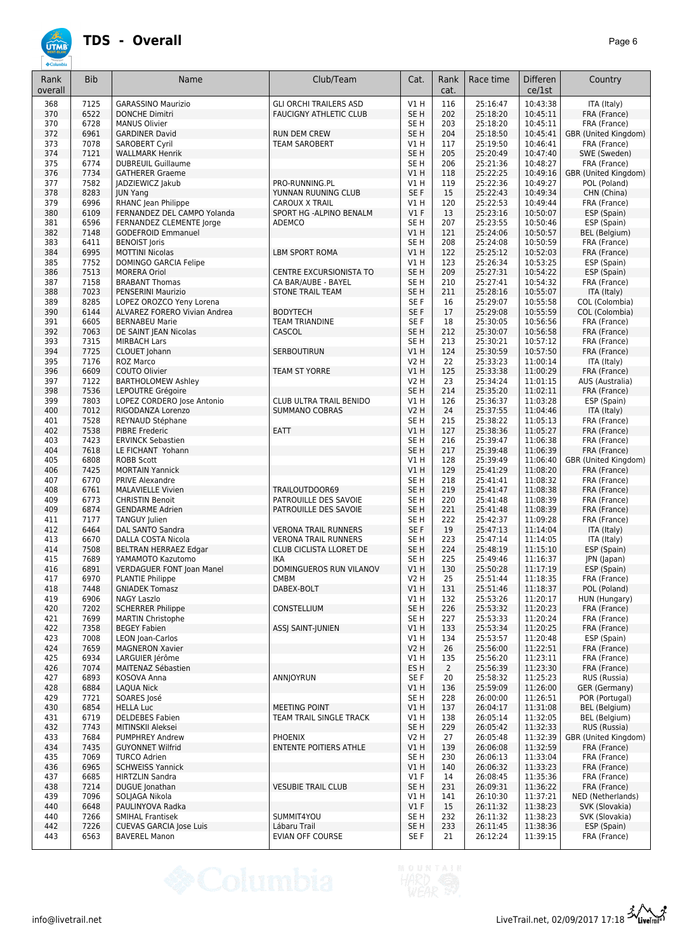| Rank<br>overall | <b>Bib</b>   | Name                                                 | Club/Team                     | Cat.                               | Rank<br>cat.   | Race time            | <b>Differen</b><br>ce/1st | Country                              |
|-----------------|--------------|------------------------------------------------------|-------------------------------|------------------------------------|----------------|----------------------|---------------------------|--------------------------------------|
|                 |              |                                                      | <b>GLI ORCHI TRAILERS ASD</b> |                                    |                |                      |                           |                                      |
| 368<br>370      | 7125<br>6522 | <b>GARASSINO Maurizio</b><br><b>DONCHE Dimitri</b>   | <b>FAUCIGNY ATHLETIC CLUB</b> | V1H<br>SE <sub>H</sub>             | 116<br>202     | 25:16:47<br>25:18:20 | 10:43:38<br>10:45:11      | ITA (Italy)<br>FRA (France)          |
| 370             | 6728         | <b>MANUS Olivier</b>                                 |                               | SE <sub>H</sub>                    | 203            | 25:18:20             | 10:45:11                  | FRA (France)                         |
| 372             | 6961         | <b>GARDINER David</b>                                | <b>RUN DEM CREW</b>           | SE <sub>H</sub>                    | 204            | 25:18:50             | 10:45:41                  | GBR (United Kingdom)                 |
| 373             | 7078         | <b>SAROBERT Cyril</b>                                | <b>TEAM SAROBERT</b>          | V1 H                               | 117            | 25:19:50             | 10:46:41                  | FRA (France)                         |
| 374             | 7121         | <b>WALLMARK Henrik</b>                               |                               | SE <sub>H</sub>                    | 205            | 25:20:49             | 10:47:40                  | SWE (Sweden)                         |
| 375             | 6774         | <b>DUBREUIL Guillaume</b>                            |                               | SE <sub>H</sub>                    | 206            | 25:21:36             | 10:48:27                  | FRA (France)                         |
| 376<br>377      | 7734<br>7582 | <b>GATHERER Graeme</b><br><b>JADZIEWICZ Jakub</b>    | PRO-RUNNING.PL                | V1H<br>V1H                         | 118<br>119     | 25:22:25<br>25:22:36 | 10:49:16<br>10:49:27      | GBR (United Kingdom)<br>POL (Poland) |
| 378             | 8283         | <b>JUN Yang</b>                                      | YUNNAN RUUNING CLUB           | SE F                               | 15             | 25:22:43             | 10:49:34                  | CHN (China)                          |
| 379             | 6996         | RHANC Jean Philippe                                  | <b>CAROUX X TRAIL</b>         | V1H                                | 120            | 25:22:53             | 10:49:44                  | FRA (France)                         |
| 380             | 6109         | FERNANDEZ DEL CAMPO Yolanda                          | SPORT HG -ALPINO BENALM       | $VI$ F                             | 13             | 25:23:16             | 10:50:07                  | ESP (Spain)                          |
| 381             | 6596         | FERNANDEZ CLEMENTE Jorge                             | <b>ADEMCO</b>                 | SE <sub>H</sub>                    | 207            | 25:23:55             | 10:50:46                  | ESP (Spain)                          |
| 382             | 7148         | <b>GODEFROID Emmanuel</b>                            |                               | VIH                                | 121            | 25:24:06             | 10:50:57                  | BEL (Belgium)                        |
| 383<br>384      | 6411<br>6995 | <b>BENOIST Joris</b><br><b>MOTTINI Nicolas</b>       | <b>LBM SPORT ROMA</b>         | SE <sub>H</sub><br>VIH             | 208<br>122     | 25:24:08<br>25:25:12 | 10:50:59<br>10:52:03      | FRA (France)<br>FRA (France)         |
| 385             | 7752         | DOMINGO GARCIA Felipe                                |                               | V1 H                               | 123            | 25:26:34             | 10:53:25                  | ESP (Spain)                          |
| 386             | 7513         | <b>MORERA Oriol</b>                                  | CENTRE EXCURSIONISTA TO       | SE <sub>H</sub>                    | 209            | 25:27:31             | 10:54:22                  | ESP (Spain)                          |
| 387             | 7158         | <b>BRABANT Thomas</b>                                | CA BAR/AUBE - BAYEL           | SE <sub>H</sub>                    | 210            | 25:27:41             | 10:54:32                  | FRA (France)                         |
| 388             | 7023         | PENSERINI Maurizio                                   | <b>STONE TRAIL TEAM</b>       | SE <sub>H</sub>                    | 211            | 25:28:16             | 10:55:07                  | ITA (Italy)                          |
| 389             | 8285         | LOPEZ OROZCO Yeny Lorena                             |                               | SE <sub>F</sub>                    | 16             | 25:29:07             | 10:55:58                  | COL (Colombia)                       |
| 390             | 6144         | ALVAREZ FORERO Vivian Andrea                         | <b>BODYTECH</b>               | SE F                               | 17             | 25:29:08             | 10:55:59                  | COL (Colombia)                       |
| 391             | 6605         | <b>BERNABEU Marie</b>                                | <b>TEAM TRIANDINE</b>         | SE F                               | 18             | 25:30:05             | 10:56:56                  | FRA (France)                         |
| 392             | 7063<br>7315 | DE SAINT JEAN Nicolas                                | CASCOL                        | SE <sub>H</sub><br>SE <sub>H</sub> | 212<br>213     | 25:30:07<br>25:30:21 | 10:56:58<br>10:57:12      | FRA (France)                         |
| 393<br>394      | 7725         | <b>MIRBACH Lars</b><br>CLOUET Johann                 | <b>SERBOUTIRUN</b>            | VIH                                | 124            | 25:30:59             | 10:57:50                  | FRA (France)<br>FRA (France)         |
| 395             | 7176         | ROZ Marco                                            |                               | V2 H                               | 22             | 25:33:23             | 11:00:14                  | ITA (Italy)                          |
| 396             | 6609         | COUTO Olivier                                        | <b>TEAM ST YORRE</b>          | VIH                                | 125            | 25:33:38             | 11:00:29                  | FRA (France)                         |
| 397             | 7122         | <b>BARTHOLOMEW Ashley</b>                            |                               | <b>V2 H</b>                        | 23             | 25:34:24             | 11:01:15                  | AUS (Australia)                      |
| 398             | 7536         | LEPOUTRE Grégoire                                    |                               | SE <sub>H</sub>                    | 214            | 25:35:20             | 11:02:11                  | FRA (France)                         |
| 399             | 7803         | LOPEZ CORDERO Jose Antonio                           | CLUB ULTRA TRAIL BENIDO       | V1H                                | 126            | 25:36:37             | 11:03:28                  | ESP (Spain)                          |
| 400             | 7012         | RIGODANZA Lorenzo                                    | <b>SUMMANO COBRAS</b>         | <b>V2 H</b>                        | 24             | 25:37:55             | 11:04:46                  | ITA (Italy)                          |
| 401             | 7528         | REYNAUD Stéphane                                     |                               | SE <sub>H</sub>                    | 215            | 25:38:22             | 11:05:13                  | FRA (France)                         |
| 402<br>403      | 7538<br>7423 | <b>PIBRE Frederic</b><br><b>ERVINCK Sebastien</b>    | <b>EATT</b>                   | V1H<br>SE <sub>H</sub>             | 127<br>216     | 25:38:36<br>25:39:47 | 11:05:27<br>11:06:38      | FRA (France)                         |
| 404             | 7618         | LE FICHANT Yohann                                    |                               | SE <sub>H</sub>                    | 217            | 25:39:48             | 11:06:39                  | FRA (France)<br>FRA (France)         |
| 405             | 6808         | <b>ROBB Scott</b>                                    |                               | V1H                                | 128            | 25:39:49             | 11:06:40                  | GBR (United Kingdom)                 |
| 406             | 7425         | <b>MORTAIN Yannick</b>                               |                               | VIH                                | 129            | 25:41:29             | 11:08:20                  | FRA (France)                         |
| 407             | 6770         | PRIVE Alexandre                                      |                               | SE <sub>H</sub>                    | 218            | 25:41:41             | 11:08:32                  | FRA (France)                         |
| 408             | 6761         | <b>MALAVIELLE Vivien</b>                             | TRAILOUTDOOR69                | SE <sub>H</sub>                    | 219            | 25:41:47             | 11:08:38                  | FRA (France)                         |
| 409             | 6773         | <b>CHRISTIN Benoit</b>                               | PATROUILLE DES SAVOIE         | SE H                               | 220            | 25:41:48             | 11:08:39                  | FRA (France)                         |
| 409             | 6874         | <b>GENDARME Adrien</b>                               | PATROUILLE DES SAVOIE         | SE <sub>H</sub>                    | 221            | 25:41:48             | 11:08:39                  | FRA (France)                         |
| 411<br>412      | 7177<br>6464 | <b>TANGUY Julien</b><br>DAL SANTO Sandra             | <b>VERONA TRAIL RUNNERS</b>   | SE <sub>H</sub><br>SE F            | 222<br>19      | 25:42:37<br>25:47:13 | 11:09:28<br>11:14:04      | FRA (France)<br>ITA (Italy)          |
| 413             | 6670         | DALLA COSTA Nicola                                   | <b>VERONA TRAIL RUNNERS</b>   | SE <sub>H</sub>                    | 223            | 25:47:14             | 11:14:05                  | ITA (Italy)                          |
| 414             | 7508         | BELTRAN HERRAEZ Edgar                                | CLUB CICLISTA LLORET DE       | SE <sub>H</sub>                    | 224            | 25:48:19             | 11:15:10                  | ESP (Spain)                          |
| 415             | 7689         | YAMAMOTO Kazutomo                                    | IKA                           | SE <sub>H</sub>                    | 225            | 25:49:46             | 11:16:37                  | JPN (Japan)                          |
| 416             | 6891         | <b>VERDAGUER FONT loan Manel</b>                     | DOMINGUEROS RUN VILANOV       | V1H                                | 130            | 25:50:28             | 11:17:19                  | ESP (Spain)                          |
| 417             | 6970         | PLANTIE Philippe                                     | CMBM                          | V2 H                               | 25             | 25:51:44             | 11:18:35                  | FRA (France)                         |
| 418             | 7448         | <b>GNIADEK Tomasz</b>                                | DABEX-BOLT                    | VIH                                | 131            | 25:51:46             | 11:18:37                  | POL (Poland)                         |
| 419             | 6906         | <b>NAGY Laszlo</b>                                   |                               | V1 H                               | 132            | 25:53:26             | 11:20:17                  | HUN (Hungary)                        |
| 420<br>421      | 7202<br>7699 | <b>SCHERRER Philippe</b><br><b>MARTIN Christophe</b> | CONSTELLIUM                   | SE <sub>H</sub><br>SE <sub>H</sub> | 226<br>227     | 25:53:32<br>25:53:33 | 11:20:23<br>11:20:24      | FRA (France)<br>FRA (France)         |
| 422             | 7358         | <b>BEGEY Fabien</b>                                  | ASSJ SAINT-JUNIEN             | V1H                                | 133            | 25:53:34             | 11:20:25                  | FRA (France)                         |
| 423             | 7008         | LEON Joan-Carlos                                     |                               | V1 H                               | 134            | 25:53:57             | 11:20:48                  | ESP (Spain)                          |
| 424             | 7659         | <b>MAGNERON Xavier</b>                               |                               | <b>V2 H</b>                        | 26             | 25:56:00             | 11:22:51                  | FRA (France)                         |
| 425             | 6934         | LARGUIER Jérôme                                      |                               | $VI$ H                             | 135            | 25:56:20             | 11:23:11                  | FRA (France)                         |
| 426             | 7074         | MAITENAZ Sébastien                                   |                               | ES H                               | $\overline{2}$ | 25:56:39             | 11:23:30                  | FRA (France)                         |
| 427             | 6893         | KOSOVA Anna                                          | ANNJOYRUN                     | SE F                               | 20             | 25:58:32             | 11:25:23                  | RUS (Russia)                         |
| 428             | 6884         | <b>LAQUA Nick</b><br>SOARES José                     |                               | V1H<br>SE <sub>H</sub>             | 136<br>228     | 25:59:09             | 11:26:00<br>11:26:51      | GER (Germany)<br>POR (Portugal)      |
| 429<br>430      | 7721<br>6854 | <b>HELLA Luc</b>                                     | <b>MEETING POINT</b>          | V1H                                | 137            | 26:00:00<br>26:04:17 | 11:31:08                  | <b>BEL</b> (Belgium)                 |
| 431             | 6719         | <b>DELDEBES Fabien</b>                               | TEAM TRAIL SINGLE TRACK       | V1 H                               | 138            | 26:05:14             | 11:32:05                  | BEL (Belgium)                        |
| 432             | 7743         | MITINSKII Aleksei                                    |                               | SE <sub>H</sub>                    | 229            | 26:05:42             | 11:32:33                  | RUS (Russia)                         |
| 433             | 7684         | <b>PUMPHREY Andrew</b>                               | <b>PHOENIX</b>                | V2 H                               | 27             | 26:05:48             | 11:32:39                  | GBR (United Kingdom)                 |
| 434             | 7435         | <b>GUYONNET Wilfrid</b>                              | ENTENTE POITIERS ATHLE        | V1H                                | 139            | 26:06:08             | 11:32:59                  | FRA (France)                         |
| 435             | 7069         | <b>TURCO Adrien</b>                                  |                               | SE <sub>H</sub>                    | 230            | 26:06:13             | 11:33:04                  | FRA (France)                         |
| 436             | 6965         | <b>SCHWEISS Yannick</b>                              |                               | V1H                                | 140            | 26:06:32             | 11:33:23                  | FRA (France)                         |
| 437             | 6685         | <b>HIRTZLIN Sandra</b>                               |                               | $VI$ F                             | 14             | 26:08:45             | 11:35:36                  | FRA (France)                         |
| 438<br>439      | 7214<br>7096 | DUGUE Jonathan<br>SOLJAGA Nikola                     | <b>VESUBIE TRAIL CLUB</b>     | SE <sub>H</sub><br>V1 H            | 231<br>141     | 26:09:31<br>26:10:30 | 11:36:22<br>11:37:21      | FRA (France)<br>NED (Netherlands)    |
| 440             | 6648         | PAULINYOVA Radka                                     |                               | $VI$ F                             | 15             | 26:11:32             | 11:38:23                  | SVK (Slovakia)                       |
| 440             | 7266         | <b>SMIHAL Frantisek</b>                              | SUMMIT4YOU                    | SE H                               | 232            | 26:11:32             | 11:38:23                  | SVK (Slovakia)                       |
| 442             | 7226         | <b>CUEVAS GARCIA Jose Luis</b>                       | Lábaru Trail                  | SE <sub>H</sub>                    | 233            | 26:11:45             | 11:38:36                  | ESP (Spain)                          |
| 443             | 6563         | <b>BAVEREL Manon</b>                                 | EVIAN OFF COURSE              | SE F                               | 21             | 26:12:24             | 11:39:15                  | FRA (France)                         |

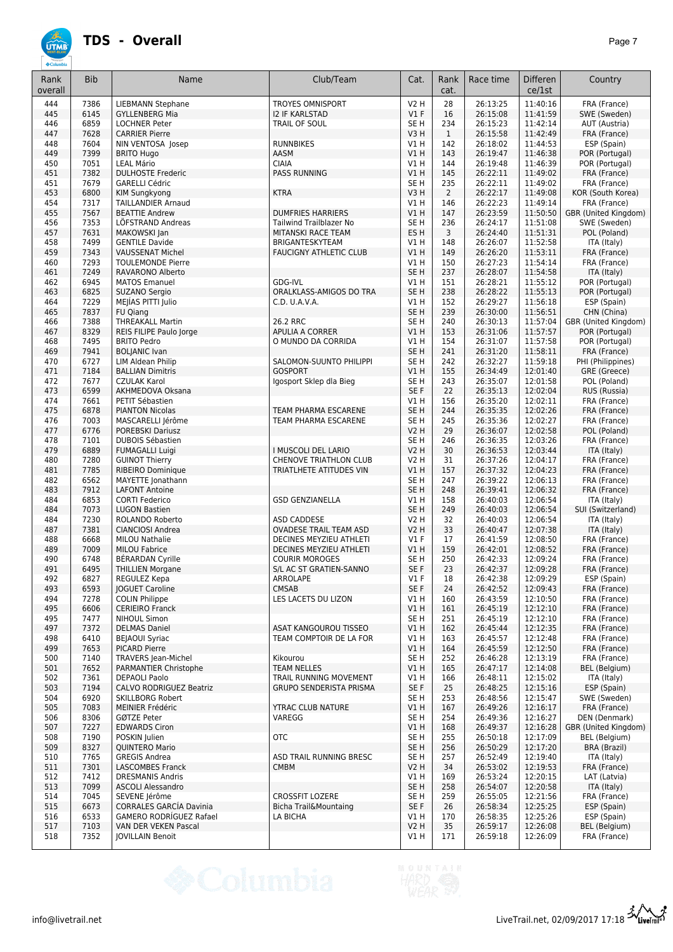

| Rank<br>overall | <b>Bib</b>   | Name                                               | Club/Team                                           | Cat.                           | Rank<br>cat.   | Race time            | <b>Differen</b><br>ce/1st | Country                               |
|-----------------|--------------|----------------------------------------------------|-----------------------------------------------------|--------------------------------|----------------|----------------------|---------------------------|---------------------------------------|
| 444             | 7386         | <b>LIEBMANN Stephane</b>                           | <b>TROYES OMNISPORT</b>                             | <b>V2 H</b>                    | 28             | 26:13:25             | 11:40:16                  | FRA (France)                          |
| 445             | 6145         | <b>GYLLENBERG Mia</b>                              | <b>I2 IF KARLSTAD</b>                               | $VI$ F                         | 16             | 26:15:08             | 11:41:59                  | SWE (Sweden)                          |
| 446             | 6859         | <b>LOCHNER Peter</b>                               | TRAIL OF SOUL                                       | SE H                           | 234            | 26:15:23             | 11:42:14                  | AUT (Austria)                         |
| 447             | 7628         | <b>CARRIER Pierre</b>                              |                                                     | V3H                            | $\mathbf{1}$   | 26:15:58             | 11:42:49                  | FRA (France)                          |
| 448<br>449      | 7604<br>7399 | NIN VENTOSA Josep<br><b>BRITO Hugo</b>             | <b>RUNNBIKES</b><br>AASM                            | V1 H<br>V1H                    | 142<br>143     | 26:18:02<br>26:19:47 | 11:44:53<br>11:46:38      | ESP (Spain)<br>POR (Portugal)         |
| 450             | 7051         | <b>LEAL Mário</b>                                  | <b>CIAIA</b>                                        | V1H                            | 144            | 26:19:48             | 11:46:39                  | POR (Portugal)                        |
| 451             | 7382         | <b>DULHOSTE Frederic</b>                           | <b>PASS RUNNING</b>                                 | VIH                            | 145            | 26:22:11             | 11:49:02                  | FRA (France)                          |
| 451             | 7679         | <b>GARELLI Cédric</b>                              |                                                     | SE <sub>H</sub>                | 235            | 26:22:11             | 11:49:02                  | FRA (France)                          |
| 453             | 6800         | <b>KIM Sungkyong</b>                               | <b>KTRA</b>                                         | V3H                            | $\overline{2}$ | 26:22:17             | 11:49:08                  | KOR (South Korea)                     |
| 454             | 7317         | <b>TAILLANDIER Arnaud</b>                          |                                                     | V1 H                           | 146            | 26:22:23             | 11:49:14                  | FRA (France)                          |
| 455<br>456      | 7567<br>7353 | <b>BEATTIE Andrew</b><br>LÖFSTRAND Andreas         | <b>DUMFRIES HARRIERS</b><br>Tailwind Trailblazer No | VIH<br>SE H                    | 147<br>236     | 26:23:59<br>26:24:17 | 11:50:50<br>11:51:08      | GBR (United Kingdom)<br>SWE (Sweden)  |
| 457             | 7631         | MAKOWSKI Jan                                       | MITANSKI RACE TEAM                                  | ES <sub>H</sub>                | 3              | 26:24:40             | 11:51:31                  | POL (Poland)                          |
| 458             | 7499         | <b>GENTILE Davide</b>                              | BRIGANTESKYTEAM                                     | V1 H                           | 148            | 26:26:07             | 11:52:58                  | ITA (Italy)                           |
| 459             | 7343         | <b>VAUSSENAT Michel</b>                            | <b>FAUCIGNY ATHLETIC CLUB</b>                       | VIH                            | 149            | 26:26:20             | 11:53:11                  | FRA (France)                          |
| 460             | 7293         | <b>TOULEMONDE Pierre</b>                           |                                                     | V1 H                           | 150            | 26:27:23             | 11:54:14                  | FRA (France)                          |
| 461             | 7249         | RAVARONO Alberto                                   |                                                     | SE <sub>H</sub>                | 237            | 26:28:07             | 11:54:58                  | ITA (Italy)                           |
| 462<br>463      | 6945<br>6825 | <b>MATOS Emanuel</b>                               | GDG-IVL<br>ORALKLASS-AMIGOS DO TRA                  | $VI$ H<br>SE <sub>H</sub>      | 151<br>238     | 26:28:21<br>26:28:22 | 11:55:12<br>11:55:13      | POR (Portugal)<br>POR (Portugal)      |
| 464             | 7229         | SUZANO Sergio<br>MEJIAS PITTI Julio                | C.D. U.A.V.A.                                       | V1 H                           | 152            | 26:29:27             | 11:56:18                  | ESP (Spain)                           |
| 465             | 7837         | <b>FU Qiang</b>                                    |                                                     | SE <sub>H</sub>                | 239            | 26:30:00             | 11:56:51                  | CHN (China)                           |
| 466             | 7388         | <b>THREAKALL Martin</b>                            | 26.2 RRC                                            | SE <sub>H</sub>                | 240            | 26:30:13             | 11:57:04                  | GBR (United Kingdom)                  |
| 467             | 8329         | REIS FILIPE Paulo Jorge                            | <b>APULIA A CORRER</b>                              | VIH                            | 153            | 26:31:06             | 11:57:57                  | POR (Portugal)                        |
| 468             | 7495         | <b>BRITO Pedro</b>                                 | O MUNDO DA CORRIDA                                  | V1 H                           | 154            | 26:31:07             | 11:57:58                  | POR (Portugal)                        |
| 469             | 7941         | <b>BOLIANIC Ivan</b>                               |                                                     | SE <sub>H</sub>                | 241            | 26:31:20             | 11:58:11                  | FRA (France)                          |
| 470<br>471      | 6727<br>7184 | LIM Aldean Philip<br><b>BALLIAN Dimitris</b>       | SALOMON-SUUNTO PHILIPPI<br><b>GOSPORT</b>           | SE H<br>VIH                    | 242<br>155     | 26:32:27<br>26:34:49 | 11:59:18<br>12:01:40      | PHI (Philippines)<br>GRE (Greece)     |
| 472             | 7677         | <b>CZULAK Karol</b>                                | Igosport Sklep dla Bieg                             | SE <sub>H</sub>                | 243            | 26:35:07             | 12:01:58                  | POL (Poland)                          |
| 473             | 6599         | AKHMEDOVA Oksana                                   |                                                     | SE F                           | 22             | 26:35:13             | 12:02:04                  | RUS (Russia)                          |
| 474             | 7661         | PETIT Sébastien                                    |                                                     | V1H                            | 156            | 26:35:20             | 12:02:11                  | FRA (France)                          |
| 475             | 6878         | <b>PIANTON Nicolas</b>                             | TEAM PHARMA ESCARENE                                | SE <sub>H</sub>                | 244            | 26:35:35             | 12:02:26                  | FRA (France)                          |
| 476             | 7003         | MASCARELLI Jérôme                                  | TEAM PHARMA ESCARENE                                | SE <sub>H</sub>                | 245            | 26:35:36             | 12:02:27                  | FRA (France)                          |
| 477             | 6776         | <b>POREBSKI Dariusz</b>                            |                                                     | <b>V2 H</b>                    | 29             | 26:36:07             | 12:02:58                  | POL (Poland)                          |
| 478<br>479      | 7101<br>6889 | <b>DUBOIS Sébastien</b><br><b>FUMAGALLI Luigi</b>  | I MUSCOLI DEL LARIO                                 | SE <sub>H</sub><br><b>V2 H</b> | 246<br>30      | 26:36:35<br>26:36:53 | 12:03:26<br>12:03:44      | FRA (France)<br>ITA (Italy)           |
| 480             | 7280         | <b>GUINOT Thierry</b>                              | CHENOVE TRIATHLON CLUB                              | V2 H                           | 31             | 26:37:26             | 12:04:17                  | FRA (France)                          |
| 481             | 7785         | RIBEIRO Dominique                                  | TRIATLHETE ATITUDES VIN                             | VIH                            | 157            | 26:37:32             | 12:04:23                  | FRA (France)                          |
| 482             | 6562         | MAYETTE Jonathann                                  |                                                     | SE <sub>H</sub>                | 247            | 26:39:22             | 12:06:13                  | FRA (France)                          |
| 483             | 7912         | <b>LAFONT Antoine</b>                              |                                                     | SE <sub>H</sub>                | 248            | 26:39:41             | 12:06:32                  | FRA (France)                          |
| 484             | 6853         | <b>CORTI Federico</b>                              | <b>GSD GENZIANELLA</b>                              | V1 H                           | 158            | 26:40:03             | 12:06:54                  | ITA (Italy)                           |
| 484<br>484      | 7073<br>7230 | <b>LUGON Bastien</b><br>ROLANDO Roberto            | ASD CADDESE                                         | SE <sub>H</sub><br><b>V2 H</b> | 249<br>32      | 26:40:03<br>26:40:03 | 12:06:54<br>12:06:54      | SUI (Switzerland)<br>ITA (Italy)      |
| 487             | 7381         | CIANCIOSI Andrea                                   | <b>OVADESE TRAIL TEAM ASD</b>                       | <b>V2 H</b>                    | 33             | 26:40:47             | 12:07:38                  | ITA (Italy)                           |
| 488             | 6668         | <b>MILOU Nathalie</b>                              | DECINES MEYZIEU ATHLETI                             | $VI$ F                         | 17             | 26:41:59             | 12:08:50                  | FRA (France)                          |
| 489             | 7009         | <b>MILOU Fabrice</b>                               | DECINES MEYZIEU ATHLETI                             | VIH                            | 159            | 26:42:01             | 12:08:52                  | FRA (France)                          |
| 490             | 6748         | <b>BÉRARDAN Cyrille</b>                            | <b>COURIR MOROGES</b>                               | SE H                           | 250            | 26:42:33             | 12:09:24                  | FRA (France)                          |
| 491             | 6495         | <b>THILLIEN Morgane</b>                            | S/L AC ST GRATIEN-SANNO                             | SE F                           | 23             | 26:42:37             | 12:09:28                  | FRA (France)                          |
| 492<br>493      | 6827<br>6593 | REGULEZ Kepa<br>JOGUET Caroline                    | ARROLAPE<br><b>CMSAB</b>                            | $VI$ F<br>SE F                 | 18<br>24       | 26:42:38<br>26:42:52 | 12:09:29<br>12:09:43      | ESP (Spain)<br>FRA (France)           |
| 494             | 7278         | <b>COLIN Philippe</b>                              | LES LACETS DU LIZON                                 | V1 H                           | 160            | 26:43:59             | 12:10:50                  | FRA (France)                          |
| 495             | 6606         | <b>CERIEIRO Franck</b>                             |                                                     | V1H                            | 161            | 26:45:19             | 12:12:10                  | FRA (France)                          |
| 495             | 7477         | NIHOUL Simon                                       |                                                     | SE <sub>H</sub>                | 251            | 26:45:19             | 12:12:10                  | FRA (France)                          |
| 497             | 7372         | <b>DELMAS Daniel</b>                               | <b>ASAT KANGOUROU TISSEO</b>                        | V1 H                           | 162            | 26:45:44             | 12:12:35                  | FRA (France)                          |
| 498             | 6410         | <b>BEJAOUI Syriac</b>                              | TEAM COMPTOIR DE LA FOR                             | V1 H                           | 163            | 26:45:57             | 12:12:48                  | FRA (France)                          |
| 499<br>500      | 7653<br>7140 | <b>PICARD Pierre</b><br><b>TRAVERS Jean-Michel</b> | Kikourou                                            | V1H<br>SE <sub>H</sub>         | 164<br>252     | 26:45:59<br>26:46:28 | 12:12:50<br>12:13:19      | FRA (France)<br>FRA (France)          |
| 501             | 7652         | PARMANTIER Christophe                              | <b>TEAM NELLES</b>                                  | V1H                            | 165            | 26:47:17             | 12:14:08                  | BEL (Belgium)                         |
| 502             | 7361         | <b>DEPAOLI Paolo</b>                               | TRAIL RUNNING MOVEMENT                              | V1 H                           | 166            | 26:48:11             | 12:15:02                  | ITA (Italy)                           |
| 503             | 7194         | <b>CALVO RODRIGUEZ Beatriz</b>                     | <b>GRUPO SENDERISTA PRISMA</b>                      | SE F                           | 25             | 26:48:25             | 12:15:16                  | ESP (Spain)                           |
| 504             | 6920         | <b>SKILLBORG Robert</b>                            |                                                     | SE H                           | 253            | 26:48:56             | 12:15:47                  | SWE (Sweden)                          |
| 505             | 7083         | MEINIER Frédéric                                   | <b>YTRAC CLUB NATURE</b>                            | V1H                            | 167            | 26:49:26             | 12:16:17                  | FRA (France)                          |
| 506             | 8306         | GØTZE Peter                                        | VAREGG                                              | SE H                           | 254            | 26:49:36             | 12:16:27                  | DEN (Denmark)                         |
| 507<br>508      | 7227<br>7190 | <b>EDWARDS Ciron</b><br>POSKIN Julien              | <b>OTC</b>                                          | V1 H<br>SE <sub>H</sub>        | 168<br>255     | 26:49:37<br>26:50:18 | 12:16:28<br>12:17:09      | GBR (United Kingdom)<br>BEL (Belgium) |
| 509             | 8327         | QUINTERO Mario                                     |                                                     | SE <sub>H</sub>                | 256            | 26:50:29             | 12:17:20                  | <b>BRA</b> (Brazil)                   |
| 510             | 7765         | <b>GREGIS Andrea</b>                               | ASD TRAIL RUNNING BRESC                             | SE H                           | 257            | 26:52:49             | 12:19:40                  | ITA (Italy)                           |
| 511             | 7301         | <b>LASCOMBES Franck</b>                            | <b>CMBM</b>                                         | <b>V2 H</b>                    | 34             | 26:53:02             | 12:19:53                  | FRA (France)                          |
| 512             | 7412         | <b>DRESMANIS Andris</b>                            |                                                     | V1 H                           | 169            | 26:53:24             | 12:20:15                  | LAT (Latvia)                          |
| 513             | 7099         | <b>ASCOLI Alessandro</b>                           |                                                     | SE <sub>H</sub>                | 258            | 26:54:07             | 12:20:58                  | ITA (Italy)                           |
| 514<br>515      | 7045<br>6673 | SEVENE Jérôme<br><b>CORRALES GARCÍA Davinia</b>    | <b>CROSSFIT LOZERE</b><br>Bicha Trail&Mountaing     | SE H<br>SE F                   | 259<br>26      | 26:55:05<br>26:58:34 | 12:21:56<br>12:25:25      | FRA (France)<br>ESP (Spain)           |
| 516             | 6533         | <b>GAMERO RODRIGUEZ Rafael</b>                     | LA BICHA                                            | V1 H                           | 170            | 26:58:35             | 12:25:26                  | ESP (Spain)                           |
| 517             | 7103         | VAN DER VEKEN Pascal                               |                                                     | <b>V2 H</b>                    | 35             | 26:59:17             | 12:26:08                  | BEL (Belgium)                         |
| 518             | 7352         | <b>JOVILLAIN Benoit</b>                            |                                                     | V1 H                           | 171            | 26:59:18             | 12:26:09                  | FRA (France)                          |



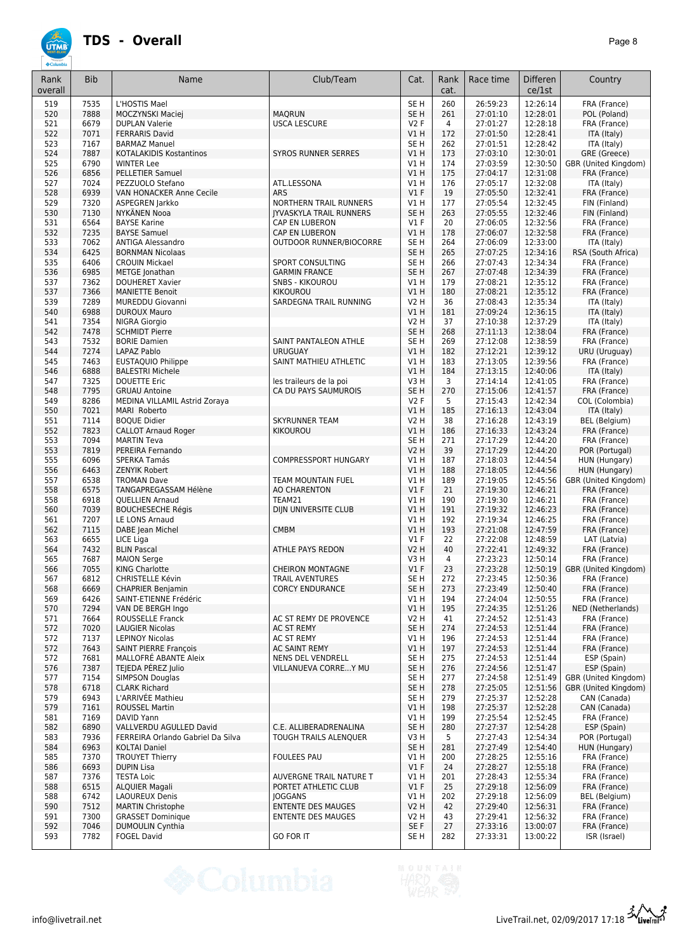# **ÚTMB**

|--|--|

| Rank<br>overall | <b>Bib</b>   | Name                                                | Club/Team                      | Cat.               | Rank<br>cat.   | Race time            | <b>Differen</b><br>ce/1st | Country                              |
|-----------------|--------------|-----------------------------------------------------|--------------------------------|--------------------|----------------|----------------------|---------------------------|--------------------------------------|
| 519             | 7535         | L'HOSTIS Mael                                       |                                | SE <sub>H</sub>    | 260            | 26:59:23             | 12:26:14                  | FRA (France)                         |
| 520             | 7888         | MOCZYNSKI Maciej                                    | <b>MAQRUN</b>                  | SE <sub>H</sub>    | 261            | 27:01:10             | 12:28:01                  | POL (Poland)                         |
| 521             | 6679         | <b>DUPLAN Valerie</b>                               | <b>USCA LESCURE</b>            | V2F                | $\overline{4}$ | 27:01:27             | 12:28:18                  | FRA (France)                         |
| 522             | 7071         | <b>FERRARIS David</b>                               |                                | VIH                | 172            | 27:01:50             | 12:28:41                  | ITA (Italy)                          |
| 523             | 7167         | <b>BARMAZ Manuel</b>                                |                                | SE <sub>H</sub>    | 262            | 27:01:51             | 12:28:42                  | ITA (Italy)                          |
| 524<br>525      | 7887<br>6790 | <b>KOTALAKIDIS Kostantinos</b><br><b>WINTER Lee</b> | <b>SYROS RUNNER SERRES</b>     | V1 H               | 173            | 27:03:10             | 12:30:01<br>12:30:50      | GRE (Greece)                         |
| 526             | 6856         | <b>PELLETIER Samuel</b>                             |                                | V1 H<br>V1 H       | 174<br>175     | 27:03:59<br>27:04:17 | 12:31:08                  | GBR (United Kingdom)<br>FRA (France) |
| 527             | 7024         | PEZZUOLO Stefano                                    | ATL.LESSONA                    | V1 H               | 176            | 27:05:17             | 12:32:08                  | ITA (Italy)                          |
| 528             | 6939         | VAN HONACKER Anne Cecile                            | <b>ARS</b>                     | V1F                | 19             | 27:05:50             | 12:32:41                  | FRA (France)                         |
| 529             | 7320         | ASPEGREN Jarkko                                     | NORTHERN TRAIL RUNNERS         | V1 H               | 177            | 27:05:54             | 12:32:45                  | FIN (Finland)                        |
| 530             | 7130         | NYKÄNEN Nooa                                        | <b>JYVASKYLA TRAIL RUNNERS</b> | SE <sub>H</sub>    | 263            | 27:05:55             | 12:32:46                  | FIN (Finland)                        |
| 531             | 6564         | <b>BAYSE Karine</b>                                 | CAP EN LUBERON                 | $VI$ F             | 20             | 27:06:05             | 12:32:56                  | FRA (France)                         |
| 532             | 7235         | <b>BAYSE Samuel</b>                                 | CAP EN LUBERON                 | V1H                | 178            | 27:06:07             | 12:32:58                  | FRA (France)                         |
| 533             | 7062         | <b>ANTIGA Alessandro</b>                            | OUTDOOR RUNNER/BIOCORRE        | SE H               | 264            | 27:06:09             | 12:33:00                  | ITA (Italy)                          |
| 534             | 6425         | <b>BORNMAN Nicolaas</b>                             |                                | SE <sub>H</sub>    | 265            | 27:07:25             | 12:34:16                  | RSA (South Africa)                   |
| 535             | 6406         | <b>CROUIN Mickael</b>                               | <b>SPORT CONSULTING</b>        | SE <sub>H</sub>    | 266            | 27:07:43             | 12:34:34                  | FRA (France)                         |
| 536             | 6985         | METGE Jonathan                                      | <b>GARMIN FRANCE</b>           | SE <sub>H</sub>    | 267            | 27:07:48             | 12:34:39                  | FRA (France)                         |
| 537             | 7362         | <b>DOUHERET Xavier</b>                              | <b>SNBS - KIKOUROU</b>         | V1H                | 179            | 27:08:21             | 12:35:12                  | FRA (France)                         |
| 537             | 7366         | <b>MANIETTE Benoit</b>                              | <b>KIKOUROU</b>                | VIH                | 180            | 27:08:21             | 12:35:12                  | FRA (France)                         |
| 539             | 7289         | MUREDDU Giovanni                                    | SARDEGNA TRAIL RUNNING         | <b>V2 H</b>        | 36             | 27:08:43             | 12:35:34                  | ITA (Italy)                          |
| 540             | 6988<br>7354 | <b>DUROUX Mauro</b><br><b>NIGRA Giorgio</b>         |                                | VIH<br><b>V2 H</b> | 181<br>37      | 27:09:24             | 12:36:15<br>12:37:29      | ITA (Italy)                          |
| 541<br>542      | 7478         | <b>SCHMIDT Pierre</b>                               |                                | SE <sub>H</sub>    | 268            | 27:10:38<br>27:11:13 | 12:38:04                  | ITA (Italy)<br>FRA (France)          |
| 543             | 7532         | <b>BORIE Damien</b>                                 | SAINT PANTALEON ATHLE          | SE <sub>H</sub>    | 269            | 27:12:08             | 12:38:59                  | FRA (France)                         |
| 544             | 7274         | LAPAZ Pablo                                         | <b>URUGUAY</b>                 | V1H                | 182            | 27:12:21             | 12:39:12                  | URU (Uruguay)                        |
| 545             | 7463         | EUSTAQUIO Philippe                                  | SAINT MATHIEU ATHLETIC         | V1H                | 183            | 27:13:05             | 12:39:56                  | FRA (France)                         |
| 546             | 6888         | <b>BALESTRI Michele</b>                             |                                | VIH                | 184            | 27:13:15             | 12:40:06                  | ITA (Italy)                          |
| 547             | 7325         | <b>DOUETTE Eric</b>                                 | les traileurs de la poi        | V3H                | 3              | 27:14:14             | 12:41:05                  | FRA (France)                         |
| 548             | 7795         | <b>GRUAU Antoine</b>                                | CA DU PAYS SAUMUROIS           | SE <sub>H</sub>    | 270            | 27:15:06             | 12:41:57                  | FRA (France)                         |
| 549             | 8286         | MEDINA VILLAMIL Astrid Zoraya                       |                                | V2F                | 5              | 27:15:43             | 12:42:34                  | COL (Colombia)                       |
| 550             | 7021         | MARI Roberto                                        |                                | V1 H               | 185            | 27:16:13             | 12:43:04                  | ITA (Italy)                          |
| 551             | 7114         | <b>BOQUE Didier</b>                                 | <b>SKYRUNNER TEAM</b>          | V2 H               | 38             | 27:16:28             | 12:43:19                  | BEL (Belgium)                        |
| 552             | 7823         | <b>CALLOT Arnaud Roger</b>                          | KIKOUROU                       | V1 H               | 186            | 27:16:33             | 12:43:24                  | FRA (France)                         |
| 553             | 7094         | <b>MARTIN Teva</b>                                  |                                | SE <sub>H</sub>    | 271            | 27:17:29             | 12:44:20                  | FRA (France)                         |
| 553             | 7819         | PEREIRA Fernando                                    |                                | <b>V2 H</b>        | 39             | 27:17:29             | 12:44:20                  | POR (Portugal)                       |
| 555             | 6096         | <b>SPERKA Tamás</b>                                 | COMPRESSPORT HUNGARY           | V1 H               | 187            | 27:18:03             | 12:44:54                  | HUN (Hungary)                        |
| 556             | 6463         | <b>ZENYIK Robert</b>                                |                                | VIH                | 188            | 27:18:05             | 12:44:56                  | HUN (Hungary)                        |
| 557             | 6538         | <b>TROMAN Dave</b>                                  | TEAM MOUNTAIN FUEL             | V1 H               | 189            | 27:19:05             | 12:45:56                  | GBR (United Kingdom)                 |
| 558             | 6575         | TANGAPREGASSAM Hélène                               | <b>AO CHARENTON</b>            | V1F                | 21             | 27:19:30             | 12:46:21                  | FRA (France)                         |
| 558             | 6918         | QUELLIEN Arnaud                                     | TEAM21                         | V1H                | 190            | 27:19:30             | 12:46:21                  | FRA (France)                         |
| 560             | 7039         | <b>BOUCHESECHE Régis</b>                            | DIJN UNIVERSITE CLUB           | V1H                | 191            | 27:19:32             | 12:46:23                  | FRA (France)                         |
| 561<br>562      | 7207<br>7115 | LE LONS Arnaud<br>DABE Jean Michel                  | <b>CMBM</b>                    | V1H<br>VIH         | 192<br>193     | 27:19:34<br>27:21:08 | 12:46:25<br>12:47:59      | FRA (France)<br>FRA (France)         |
| 563             | 6655         | LICE Liga                                           |                                | $VI$ F             | 22             | 27:22:08             | 12:48:59                  | LAT (Latvia)                         |
| 564             | 7432         | <b>BLIN Pascal</b>                                  | ATHLE PAYS REDON               | V2 H               | 40             | 27:22:41             | 12:49:32                  | FRA (France)                         |
| 565             | 7687         | <b>MAION Serge</b>                                  |                                | V3 H               | 4              | 27:23:23             | 12:50:14                  | FRA (France)                         |
| 566             | 7055         | KING Charlotte                                      | <b>CHEIRON MONTAGNE</b>        | V1F                | 23             | 27:23:28             | 12:50:19                  | GBR (United Kingdom)                 |
| 567             | 6812         | <b>CHRISTELLE Kévin</b>                             | <b>TRAIL AVENTURES</b>         | SE H               | 272            | 27:23:45             | 12:50:36                  | FRA (France)                         |
| 568             | 6669         | <b>CHAPRIER Benjamin</b>                            | <b>CORCY ENDURANCE</b>         | SE <sub>H</sub>    | 273            | 27:23:49             | 12:50:40                  | FRA (France)                         |
| 569             | 6426         | SAINT-ETIENNE Frédéric                              |                                | V1 H               | 194            | 27:24:04             | 12:50:55                  | FRA (France)                         |
| 570             | 7294         | VAN DE BERGH Ingo                                   |                                | VIH                | 195            | 27:24:35             | 12:51:26                  | NED (Netherlands)                    |
| 571             | 7664         | <b>ROUSSELLE Franck</b>                             | AC ST REMY DE PROVENCE         | V2 H               | 41             | 27:24:52             | 12:51:43                  | FRA (France)                         |
| 572             | 7020         | <b>LAUGIER Nicolas</b>                              | AC ST REMY                     | SE <sub>H</sub>    | 274            | 27:24:53             | 12:51:44                  | FRA (France)                         |
| 572             | 7137         | <b>LEPINOY Nicolas</b>                              | AC ST REMY                     | V1 H               | 196            | 27:24:53             | 12:51:44                  | FRA (France)                         |
| 572             | 7643         | <b>SAINT PIERRE François</b>                        | AC SAINT REMY                  | V1 H               | 197            | 27:24:53             | 12:51:44                  | FRA (France)                         |
| 572             | 7681         | MALLOFRE ABANTE Aleix                               | <b>NENS DEL VENDRELL</b>       | SE H               | 275            | 27:24:53             | 12:51:44                  | ESP (Spain)                          |
| 576             | 7387         | TEJEDA PÉREZ Julio                                  | VILLANUEVA CORREY MU           | SE H               | 276            | 27:24:56             | 12:51:47                  | ESP (Spain)                          |
| 577             | 7154         | <b>SIMPSON Douglas</b>                              |                                | SE H               | 277            | 27:24:58             | 12:51:49                  | GBR (United Kingdom)                 |
| 578<br>579      | 6718         | <b>CLARK Richard</b><br>L'ARRIVÉE Mathieu           |                                | SE <sub>H</sub>    | 278<br>279     | 27:25:05<br>27:25:37 | 12:51:56<br>12:52:28      | GBR (United Kingdom)<br>CAN (Canada) |
| 579             | 6943<br>7161 | <b>ROUSSEL Martin</b>                               |                                | SE H<br>VIH        | 198            | 27:25:37             | 12:52:28                  | CAN (Canada)                         |
| 581             | 7169         | DAVID Yann                                          |                                | V1 H               | 199            | 27:25:54             | 12:52:45                  | FRA (France)                         |
| 582             | 6890         | VALLVERDU AGULLED David                             | C.E. ALLIBERADRENALINA         | SE <sub>H</sub>    | 280            | 27:27:37             | 12:54:28                  | ESP (Spain)                          |
| 583             | 7936         | FERREIRA Orlando Gabriel Da Silva                   | TOUGH TRAILS ALENQUER          | V3H                | 5              | 27:27:43             | 12:54:34                  | POR (Portugal)                       |
| 584             | 6963         | <b>KOLTAI Daniel</b>                                |                                | SE <sub>H</sub>    | 281            | 27:27:49             | 12:54:40                  | HUN (Hungary)                        |
| 585             | 7370         | <b>TROUYET Thierry</b>                              | <b>FOULEES PAU</b>             | VIH                | 200            | 27:28:25             | 12:55:16                  | FRA (France)                         |
| 586             | 6693         | <b>DUPIN Lisa</b>                                   |                                | $VI$ F             | 24             | 27:28:27             | 12:55:18                  | FRA (France)                         |
| 587             | 7376         | <b>TESTA Loic</b>                                   | AUVERGNE TRAIL NATURE T        | V1 H               | 201            | 27:28:43             | 12:55:34                  | FRA (France)                         |
| 588             | 6515         | ALQUIER Magali                                      | PORTET ATHLETIC CLUB           | $VI$ F             | 25             | 27:29:18             | 12:56:09                  | FRA (France)                         |
| 588             | 6742         | <b>LAOUREUX Denis</b>                               | <b>JOGGANS</b>                 | V1 H               | 202            | 27:29:18             | 12:56:09                  | BEL (Belgium)                        |
| 590             | 7512         | <b>MARTIN Christophe</b>                            | <b>ENTENTE DES MAUGES</b>      | <b>V2 H</b>        | 42             | 27:29:40             | 12:56:31                  | FRA (France)                         |
| 591             | 7300         | <b>GRASSET Dominique</b>                            | <b>ENTENTE DES MAUGES</b>      | <b>V2 H</b>        | 43             | 27:29:41             | 12:56:32                  | FRA (France)                         |
| 592             | 7046         | <b>DUMOULIN Cynthia</b>                             |                                | SE F               | 27             | 27:33:16             | 13:00:07                  | FRA (France)                         |
| 593             | 7782         | <b>FOGEL David</b>                                  | <b>GO FOR IT</b>               | SE H               | 282            | 27:33:31             | 13:00:22                  | ISR (Israel)                         |

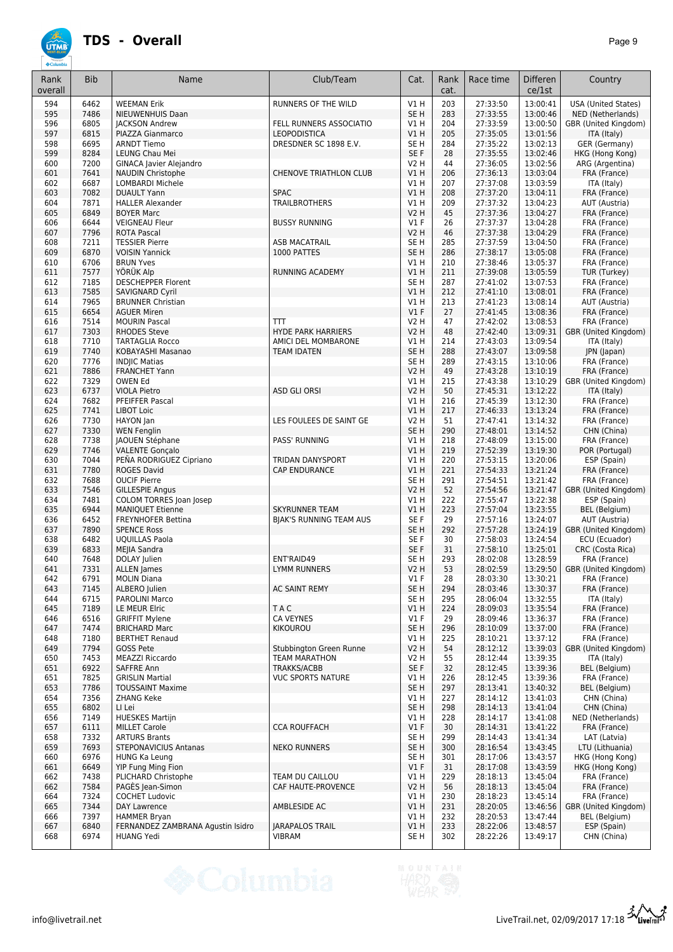| Rank<br>overall | <b>Bib</b>   | Name                                                | Club/Team                                    | Cat.                               | Rank<br>cat. | Race time            | <b>Differen</b><br>ce/1st | Country                              |
|-----------------|--------------|-----------------------------------------------------|----------------------------------------------|------------------------------------|--------------|----------------------|---------------------------|--------------------------------------|
| 594             | 6462         | <b>WEEMAN Erik</b>                                  | RUNNERS OF THE WILD                          | V1H                                | 203          | 27:33:50             | 13:00:41                  | <b>USA</b> (United States)           |
| 595             | 7486         | NIEUWENHUIS Daan                                    |                                              | SE <sub>H</sub>                    | 283          | 27:33:55             | 13:00:46                  | NED (Netherlands)                    |
| 596             | 6805         | <b>JACKSON Andrew</b>                               | FELL RUNNERS ASSOCIATIO                      | V1 H                               | 204          | 27:33:59             | 13:00:50                  | GBR (United Kingdom)                 |
| 597<br>598      | 6815<br>6695 | PIAZZA Gianmarco<br><b>ARNDT Tiemo</b>              | <b>LEOPODISTICA</b><br>DRESDNER SC 1898 E.V. | V1H<br>SE H                        | 205<br>284   | 27:35:05<br>27:35:22 | 13:01:56<br>13:02:13      | ITA (Italy)<br>GER (Germany)         |
| 599             | 8284         | LEUNG Chau Mei                                      |                                              | SE F                               | 28           | 27:35:55             | 13:02:46                  | HKG (Hong Kong)                      |
| 600             | 7200         | <b>GINACA Javier Alejandro</b>                      |                                              | <b>V2 H</b>                        | 44           | 27:36:05             | 13:02:56                  | ARG (Argentina)                      |
| 601             | 7641         | NAUDIN Christophe                                   | CHENOVE TRIATHLON CLUB                       | V1H                                | 206          | 27:36:13             | 13:03:04                  | FRA (France)                         |
| 602             | 6687         | <b>LOMBARDI Michele</b>                             |                                              | V1H                                | 207          | 27:37:08             | 13:03:59                  | ITA (Italy)                          |
| 603             | 7082         | <b>DUAULT Yann</b>                                  | <b>SPAC</b>                                  | V1H                                | 208          | 27:37:20             | 13:04:11                  | FRA (France)                         |
| 604             | 7871<br>6849 | <b>HALLER Alexander</b><br><b>BOYER Marc</b>        | <b>TRAILBROTHERS</b>                         | V1 H<br><b>V2 H</b>                | 209<br>45    | 27:37:32<br>27:37:36 | 13:04:23<br>13:04:27      | AUT (Austria)<br>FRA (France)        |
| 605<br>606      | 6644         | <b>VEIGNEAU Fleur</b>                               | <b>BUSSY RUNNING</b>                         | $VI$ F                             | 26           | 27:37:37             | 13:04:28                  | FRA (France)                         |
| 607             | 7796         | <b>ROTA Pascal</b>                                  |                                              | <b>V2 H</b>                        | 46           | 27:37:38             | 13:04:29                  | FRA (France)                         |
| 608             | 7211         | <b>TESSIER Pierre</b>                               | <b>ASB MACATRAIL</b>                         | SE <sub>H</sub>                    | 285          | 27:37:59             | 13:04:50                  | FRA (France)                         |
| 609             | 6870         | <b>VOISIN Yannick</b>                               | 1000 PATTES                                  | SE <sub>H</sub>                    | 286          | 27:38:17             | 13:05:08                  | FRA (France)                         |
| 610             | 6706         | <b>BRUN Yves</b>                                    |                                              | V1 H                               | 210          | 27:38:46             | 13:05:37                  | FRA (France)                         |
| 611             | 7577         | YÖRÜK Alp                                           | <b>RUNNING ACADEMY</b>                       | VIH                                | 211          | 27:39:08             | 13:05:59                  | TUR (Turkey)                         |
| 612<br>613      | 7185<br>7585 | <b>DESCHEPPER Florent</b><br><b>SAVIGNARD Cyril</b> |                                              | SE <sub>H</sub><br>V1H             | 287<br>212   | 27:41:02<br>27:41:10 | 13:07:53<br>13:08:01      | FRA (France)<br>FRA (France)         |
| 614             | 7965         | <b>BRUNNER Christian</b>                            |                                              | V1H                                | 213          | 27:41:23             | 13:08:14                  | AUT (Austria)                        |
| 615             | 6654         | <b>AGUER Miren</b>                                  |                                              | V1F                                | 27           | 27:41:45             | 13:08:36                  | FRA (France)                         |
| 616             | 7514         | <b>MOURIN Pascal</b>                                | TП                                           | <b>V2 H</b>                        | 47           | 27:42:02             | 13:08:53                  | FRA (France)                         |
| 617             | 7303         | <b>RHODES Steve</b>                                 | <b>HYDE PARK HARRIERS</b>                    | <b>V2 H</b>                        | 48           | 27:42:40             | 13:09:31                  | GBR (United Kingdom)                 |
| 618             | 7710         | <b>TARTAGLIA Rocco</b>                              | AMICI DEL MOMBARONE                          | V1H                                | 214          | 27:43:03             | 13:09:54                  | ITA (Italy)                          |
| 619             | 7740<br>7776 | KOBAYASHI Masanao                                   | <b>TEAM IDATEN</b>                           | SE <sub>H</sub><br>SE <sub>H</sub> | 288<br>289   | 27:43:07             | 13:09:58<br>13:10:06      | JPN (Japan)<br>FRA (France)          |
| 620<br>621      | 7886         | <b>INDIIC Matias</b><br><b>FRANCHET Yann</b>        |                                              | <b>V2 H</b>                        | 49           | 27:43:15<br>27:43:28 | 13:10:19                  | FRA (France)                         |
| 622             | 7329         | OWEN Ed                                             |                                              | V1 H                               | 215          | 27:43:38             | 13:10:29                  | GBR (United Kingdom)                 |
| 623             | 6737         | <b>VIOLA Pietro</b>                                 | <b>ASD GLI ORSI</b>                          | V2 H                               | 50           | 27:45:31             | 13:12:22                  | ITA (Italy)                          |
| 624             | 7682         | PFEIFFER Pascal                                     |                                              | V1 H                               | 216          | 27:45:39             | 13:12:30                  | FRA (France)                         |
| 625             | 7741         | <b>LIBOT Loic</b>                                   |                                              | V1H                                | 217          | 27:46:33             | 13:13:24                  | FRA (France)                         |
| 626             | 7730         | HAYON Jan                                           | LES FOULEES DE SAINT GE                      | <b>V2 H</b>                        | 51           | 27:47:41             | 13:14:32                  | FRA (France)                         |
| 627<br>628      | 7330<br>7738 | <b>WEN Fenglin</b><br>JAOUEN Stéphane               | PASS' RUNNING                                | SE <sub>H</sub><br>V1 H            | 290<br>218   | 27:48:01<br>27:48:09 | 13:14:52<br>13:15:00      | CHN (China)<br>FRA (France)          |
| 629             | 7746         | <b>VALENTE Gonçalo</b>                              |                                              | V1H                                | 219          | 27:52:39             | 13:19:30                  | POR (Portugal)                       |
| 630             | 7044         | PEÑA RODRIGUEZ Cipriano                             | TRIDAN DANYSPORT                             | V1 H                               | 220          | 27:53:15             | 13:20:06                  | ESP (Spain)                          |
| 631             | 7780         | <b>ROGES David</b>                                  | <b>CAP ENDURANCE</b>                         | V1H                                | 221          | 27:54:33             | 13:21:24                  | FRA (France)                         |
| 632             | 7688         | <b>OUCIF Pierre</b>                                 |                                              | SE <sub>H</sub>                    | 291          | 27:54:51             | 13:21:42                  | FRA (France)                         |
| 633             | 7546         | <b>GILLESPIE Angus</b>                              |                                              | <b>V2 H</b>                        | 52           | 27:54:56             | 13:21:47                  | GBR (United Kingdom)                 |
| 634<br>635      | 7481<br>6944 | COLOM TORRES Joan Josep<br><b>MANIQUET Etienne</b>  | <b>SKYRUNNER TEAM</b>                        | V1 H<br>VIH                        | 222<br>223   | 27:55:47<br>27:57:04 | 13:22:38<br>13:23:55      | ESP (Spain)<br>BEL (Belgium)         |
| 636             | 6452         | <b>FREYNHOFER Bettina</b>                           | BJAK'S RUNNING TEAM AUS                      | SE <sub>F</sub>                    | 29           | 27:57:16             | 13:24:07                  | AUT (Austria)                        |
| 637             | 7890         | <b>SPENCE Ross</b>                                  |                                              | SE <sub>H</sub>                    | 292          | 27:57:28             | 13:24:19                  | GBR (United Kingdom)                 |
| 638             | 6482         | <b>UQUILLAS Paola</b>                               |                                              | SE <sub>F</sub>                    | 30           | 27:58:03             | 13:24:54                  | ECU (Ecuador)                        |
| 639             | 6833         | MEJIA Sandra                                        |                                              | SE F                               | 31           | 27:58:10             | 13:25:01                  | CRC (Costa Rica)                     |
| 640             | 7648<br>7331 | DOLAY Julien                                        | ENT'RAID49                                   | SE H<br><b>V2 H</b>                | 293<br>53    | 28:02:08<br>28:02:59 | 13:28:59                  | FRA (France)                         |
| 641<br>642      | 6791         | <b>ALLEN</b> James<br><b>MOLIN Diana</b>            | <b>LYMM RUNNERS</b>                          | V1F                                | 28           | 28:03:30             | 13:29:50<br>13:30:21      | GBR (United Kingdom)<br>FRA (France) |
| 643             | 7145         | ALBERO Julien                                       | AC SAINT REMY                                | SE H                               | 294          | 28:03:46             | 13:30:37                  | FRA (France)                         |
| 644             | 6715         | <b>PAROLINI Marco</b>                               |                                              | SE <sub>H</sub>                    | 295          | 28:06:04             | 13:32:55                  | ITA (Italy)                          |
| 645             | 7189         | LE MEUR Elric                                       | <b>TAC</b>                                   | VIH                                | 224          | 28:09:03             | 13:35:54                  | FRA (France)                         |
| 646             | 6516         | <b>GRIFFIT Mylene</b>                               | CA VEYNES                                    | $VI$ F                             | 29           | 28:09:46             | 13:36:37                  | FRA (France)                         |
| 647<br>648      | 7474<br>7180 | <b>BRICHARD Marc</b><br><b>BERTHET Renaud</b>       | KIKOUROU                                     | SE H<br>V1 H                       | 296<br>225   | 28:10:09<br>28:10:21 | 13:37:00<br>13:37:12      | FRA (France)<br>FRA (France)         |
| 649             | 7794         | GOSS Pete                                           | Stubbington Green Runne                      | V2 H                               | 54           | 28:12:12             | 13:39:03                  | GBR (United Kingdom)                 |
| 650             | 7453         | <b>MEAZZI Riccardo</b>                              | <b>TEAM MARATHON</b>                         | V2 H                               | 55           | 28:12:44             | 13:39:35                  | ITA (Italy)                          |
| 651             | 6922         | <b>SAFFRE Ann</b>                                   | TRAKKS/ACBB                                  | SE F                               | 32           | 28:12:45             | 13:39:36                  | BEL (Belgium)                        |
| 651             | 7825         | <b>GRISLIN Martial</b>                              | <b>VUC SPORTS NATURE</b>                     | V1 H                               | 226          | 28:12:45             | 13:39:36                  | FRA (France)                         |
| 653             | 7786         | <b>TOUSSAINT Maxime</b>                             |                                              | SE H                               | 297          | 28:13:41             | 13:40:32                  | BEL (Belgium)                        |
| 654<br>655      | 7356<br>6802 | <b>ZHANG Keke</b><br>LI Lei                         |                                              | V1 H<br>SE H                       | 227<br>298   | 28:14:12<br>28:14:13 | 13:41:03<br>13:41:04      | CHN (China)<br>CHN (China)           |
| 656             | 7149         | <b>HUESKES Martijn</b>                              |                                              | V1 H                               | 228          | 28:14:17             | 13:41:08                  | NED (Netherlands)                    |
| 657             | 6111         | <b>MILLET Carole</b>                                | <b>CCA ROUFFACH</b>                          | $VI$ F                             | 30           | 28:14:31             | 13:41:22                  | FRA (France)                         |
| 658             | 7332         | <b>ARTURS Brants</b>                                |                                              | SE H                               | 299          | 28:14:43             | 13:41:34                  | LAT (Latvia)                         |
| 659             | 7693         | <b>STEPONAVICIUS Antanas</b>                        | <b>NEKO RUNNERS</b>                          | SE H                               | 300          | 28:16:54             | 13:43:45                  | LTU (Lithuania)                      |
| 660             | 6976         | <b>HUNG Ka Leung</b>                                |                                              | SE H                               | 301          | 28:17:06             | 13:43:57                  | HKG (Hong Kong)                      |
| 661             | 6649<br>7438 | <b>YIP Fung Ming Fion</b>                           | TEAM DU CAILLOU                              | $VI$ F<br>V1 H                     | 31           | 28:17:08             | 13:43:59<br>13:45:04      | HKG (Hong Kong)                      |
| 662<br>662      | 7584         | PLICHARD Christophe<br>PAGÉS Jean-Simon             | CAF HAUTE-PROVENCE                           | V2 H                               | 229<br>56    | 28:18:13<br>28:18:13 | 13:45:04                  | FRA (France)<br>FRA (France)         |
| 664             | 7324         | <b>COCHET Ludovic</b>                               |                                              | V1 H                               | 230          | 28:18:23             | 13:45:14                  | FRA (France)                         |
| 665             | 7344         | DAY Lawrence                                        | AMBLESIDE AC                                 | V1 H                               | 231          | 28:20:05             | 13:46:56                  | GBR (United Kingdom)                 |
| 666             | 7397         | <b>HAMMER Bryan</b>                                 |                                              | V1 H                               | 232          | 28:20:53             | 13:47:44                  | BEL (Belgium)                        |
| 667             | 6840         | FERNANDEZ ZAMBRANA Agustin Isidro                   | <b>JARAPALOS TRAIL</b>                       | VIH                                | 233          | 28:22:06             | 13:48:57                  | ESP (Spain)                          |
| 668             | 6974         | <b>HUANG Yedi</b>                                   | <b>VIBRAM</b>                                | SE H                               | 302          | 28:22:26             | 13:49:17                  | CHN (China)                          |

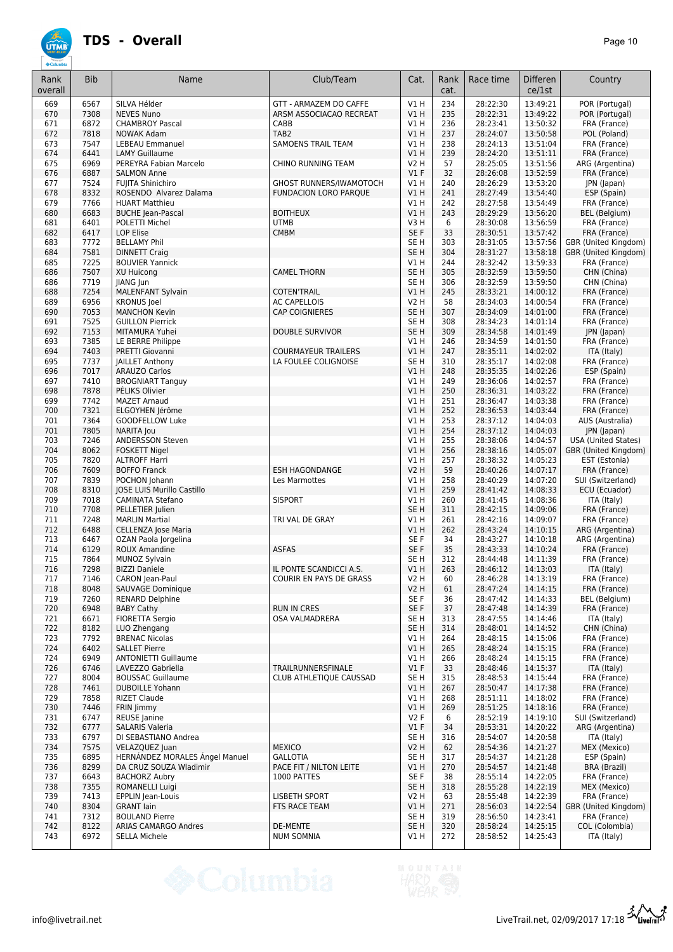| Rank       | <b>Bib</b>   | Name                                            | Club/Team                                     | Cat.                    | Rank       | Race time            | <b>Differen</b>      | Country                      |
|------------|--------------|-------------------------------------------------|-----------------------------------------------|-------------------------|------------|----------------------|----------------------|------------------------------|
| overall    |              |                                                 |                                               |                         | cat.       |                      | ce/1st               |                              |
| 669        | 6567         | SILVA Hélder                                    | GTT - ARMAZEM DO CAFFE                        | V1H                     | 234        | 28:22:30             | 13:49:21             | POR (Portugal)               |
| 670        | 7308         | <b>NEVES Nuno</b>                               | ARSM ASSOCIACAO RECREAT                       | VIH                     | 235        | 28:22:31             | 13:49:22             | POR (Portugal)               |
| 671        | 6872         | <b>CHAMBROY Pascal</b>                          | CABB                                          | V1 H                    | 236        | 28:23:41             | 13:50:32             | FRA (France)                 |
| 672        | 7818         | <b>NOWAK Adam</b>                               | TAB <sub>2</sub><br><b>SAMOENS TRAIL TEAM</b> | V1H                     | 237        | 28:24:07             | 13:50:58             | POL (Poland)                 |
| 673<br>674 | 7547<br>6441 | <b>LEBEAU Emmanuel</b><br><b>LAMY Guillaume</b> |                                               | V1H<br><b>V1 H</b>      | 238<br>239 | 28:24:13<br>28:24:20 | 13:51:04<br>13:51:11 | FRA (France)<br>FRA (France) |
| 675        | 6969         | PEREYRA Fabian Marcelo                          | CHINO RUNNING TEAM                            | <b>V2 H</b>             | 57         | 28:25:05             | 13:51:56             | ARG (Argentina)              |
| 676        | 6887         | <b>SALMON Anne</b>                              |                                               | $VI$ F                  | 32         | 28:26:08             | 13:52:59             | FRA (France)                 |
| 677        | 7524         | FUJITA Shinichiro                               | GHOST RUNNERS/IWAMOTOCH                       | V1H                     | 240        | 28:26:29             | 13:53:20             | JPN (Japan)                  |
| 678        | 8332         | ROSENDO Alvarez Dalama                          | <b>FUNDACION LORO PARQUE</b>                  | V1 H                    | 241        | 28:27:49             | 13:54:40             | ESP (Spain)                  |
| 679        | 7766         | <b>HUART Matthieu</b>                           |                                               | V1H                     | 242        | 28:27:58             | 13:54:49             | FRA (France)                 |
| 680        | 6683         | <b>BUCHE Jean-Pascal</b>                        | <b>BOITHEUX</b>                               | VIH                     | 243        | 28:29:29             | 13:56:20             | BEL (Belgium)                |
| 681        | 6401         | POLETTI Michel                                  | <b>UTMB</b>                                   | V3H                     | 6          | 28:30:08             | 13:56:59             | FRA (France)                 |
| 682        | 6417         | <b>LOP Elise</b>                                | <b>CMBM</b>                                   | SE F                    | 33         | 28:30:51             | 13:57:42             | FRA (France)                 |
| 683        | 7772         | <b>BELLAMY Phil</b>                             |                                               | SE <sub>H</sub>         | 303        | 28:31:05             | 13:57:56             | GBR (United Kingdom)         |
| 684        | 7581         | <b>DINNETT Craig</b>                            |                                               | SE <sub>H</sub>         | 304        | 28:31:27             | 13:58:18             | GBR (United Kingdom)         |
| 685        | 7225         | <b>BOUVIER Yannick</b>                          |                                               | V1 H                    | 244        | 28:32:42             | 13:59:33             | FRA (France)                 |
| 686        | 7507         | XU Huicong                                      | <b>CAMEL THORN</b>                            | SE <sub>H</sub>         | 305        | 28:32:59             | 13:59:50             | CHN (China)                  |
| 686        | 7719         | JIANG Jun                                       |                                               | SE <sub>H</sub>         | 306        | 28:32:59             | 13:59:50             | CHN (China)                  |
| 688        | 7254<br>6956 | <b>MALENFANT Sylvain</b>                        | <b>COTEN'TRAIL</b><br><b>AC CAPELLOIS</b>     | V1H                     | 245<br>58  | 28:33:21<br>28:34:03 | 14:00:12<br>14:00:54 | FRA (France)<br>FRA (France) |
| 689<br>690 | 7053         | <b>KRONUS</b> Joel<br><b>MANCHON Kevin</b>      | <b>CAP COIGNIERES</b>                         | V2 H<br>SE <sub>H</sub> | 307        | 28:34:09             | 14:01:00             |                              |
| 691        | 7525         | <b>GUILLON Pierrick</b>                         |                                               | SE <sub>H</sub>         | 308        | 28:34:23             | 14:01:14             | FRA (France)<br>FRA (France) |
| 692        | 7153         | MITAMURA Yuhei                                  | <b>DOUBLE SURVIVOR</b>                        | SE <sub>H</sub>         | 309        | 28:34:58             | 14:01:49             | JPN (Japan)                  |
| 693        | 7385         | LE BERRE Philippe                               |                                               | V1H                     | 246        | 28:34:59             | 14:01:50             | FRA (France)                 |
| 694        | 7403         | PRETTI Giovanni                                 | <b>COURMAYEUR TRAILERS</b>                    | V1 H                    | 247        | 28:35:11             | 14:02:02             | ITA (Italy)                  |
| 695        | 7737         | <b>JAILLET Anthony</b>                          | LA FOULEE COLIGNOISE                          | SE <sub>H</sub>         | 310        | 28:35:17             | 14:02:08             | FRA (France)                 |
| 696        | 7017         | <b>ARAUZO Carlos</b>                            |                                               | V1H                     | 248        | 28:35:35             | 14:02:26             | ESP (Spain)                  |
| 697        | 7410         | <b>BROGNIART Tanguy</b>                         |                                               | V1H                     | 249        | 28:36:06             | 14:02:57             | FRA (France)                 |
| 698        | 7878         | PÉLIKS Olivier                                  |                                               | V1H                     | 250        | 28:36:31             | 14:03:22             | FRA (France)                 |
| 699        | 7742         | <b>MAZET Arnaud</b>                             |                                               | V1H                     | 251        | 28:36:47             | 14:03:38             | FRA (France)                 |
| 700        | 7321         | ELGOYHEN Jérôme                                 |                                               | V1H                     | 252        | 28:36:53             | 14:03:44             | FRA (France)                 |
| 701        | 7364         | GOODFELLOW Luke                                 |                                               | V1H                     | 253        | 28:37:12             | 14:04:03             | AUS (Australia)              |
| 701        | 7805         | <b>NARITA Jou</b>                               |                                               | V1 H                    | 254        | 28:37:12             | 14:04:03             | JPN (Japan)                  |
| 703        | 7246         | <b>ANDERSSON Steven</b>                         |                                               | V1H                     | 255        | 28:38:06             | 14:04:57             | <b>USA (United States)</b>   |
| 704        | 8062         | FOSKETT Nigel                                   |                                               | V1H                     | 256        | 28:38:16             | 14:05:07             | GBR (United Kingdom)         |
| 705        | 7820         | <b>ALTROFF Harri</b>                            |                                               | V1 H                    | 257        | 28:38:32             | 14:05:23             | EST (Estonia)                |
| 706        | 7609         | <b>BOFFO Franck</b>                             | <b>ESH HAGONDANGE</b>                         | V2 H                    | 59         | 28:40:26             | 14:07:17             | FRA (France)                 |
| 707        | 7839         | POCHON Johann                                   | Les Marmottes                                 | V1 H                    | 258        | 28:40:29             | 14:07:20             | SUI (Switzerland)            |
| 708        | 8310         | JOSE LUIS Murillo Castillo                      |                                               | V1H                     | 259        | 28:41:42             | 14:08:33             | ECU (Ecuador)                |
| 709<br>710 | 7018<br>7708 | CAMINATA Stefano                                | <b>SISPORT</b>                                | V1 H<br>SE <sub>H</sub> | 260<br>311 | 28:41:45             | 14:08:36<br>14:09:06 | ITA (Italy)<br>FRA (France)  |
| 711        | 7248         | PELLETIER Julien<br><b>MARLIN Martial</b>       | TRI VAL DE GRAY                               | V1H                     | 261        | 28:42:15<br>28:42:16 | 14:09:07             | FRA (France)                 |
| 712        | 6488         | CELLENZA Jose Maria                             |                                               | V1H                     | 262        | 28:43:24             | 14:10:15             | ARG (Argentina)              |
| 713        | 6467         | OZAN Paola Jorgelina                            |                                               | SE F                    | 34         | 28:43:27             | 14:10:18             | ARG (Argentina)              |
| 714        | 6129         | ROUX Amandine                                   | <b>ASFAS</b>                                  | SE F                    | 35         | 28:43:33             | 14:10:24             | FRA (France)                 |
| 715        | 7864         | MUNOZ Sylvain                                   |                                               | SE <sub>H</sub>         | 312        | 28:44:48             | 14:11:39             | FRA (France)                 |
| 716        | 7298         | <b>BIZZI Daniele</b>                            | IL PONTE SCANDICCI A.S.                       | VIH                     | 263        | 28:46:12             | 14:13:03             | ITA (Italy)                  |
| 717        | 7146         | CARON Jean-Paul                                 | COURIR EN PAYS DE GRASS                       | V2 H                    | 60         | 28:46:28             | 14:13:19             | FRA (France)                 |
| 718        | 8048         | SAUVAGE Dominique                               |                                               | <b>V2 H</b>             | 61         | 28:47:24             | 14:14:15             | FRA (France)                 |
| 719        | 7260         | <b>RENARD Delphine</b>                          |                                               | SE F                    | 36         | 28:47:42             | 14:14:33             | BEL (Belgium)                |
| 720        | 6948         | <b>BABY Cathy</b>                               | <b>RUN IN CRES</b>                            | SE F                    | 37         | 28:47:48             | 14:14:39             | FRA (France)                 |
| 721        | 6671         | FIORETTA Sergio                                 | OSA VALMADRERA                                | SE H                    | 313        | 28:47:55             | 14:14:46             | ITA (Italy)                  |
| 722        | 8182         | LUO Zhengang                                    |                                               | SE <sub>H</sub>         | 314        | 28:48:01             | 14:14:52             | CHN (China)                  |
| 723        | 7792         | <b>BRENAC Nicolas</b>                           |                                               | V1H                     | 264        | 28:48:15             | 14:15:06             | FRA (France)                 |
| 724        | 6402         | <b>SALLET Pierre</b>                            |                                               | V1H                     | 265        | 28:48:24             | 14:15:15             | FRA (France)                 |
| 724        | 6949         | <b>ANTONIETTI Guillaume</b>                     |                                               | V1 H                    | 266        | 28:48:24             | 14:15:15             | FRA (France)                 |
| 726<br>727 | 6746<br>8004 | LAVEZZO Gabriella<br><b>BOUSSAC Guillaume</b>   | TRAILRUNNERSFINALE                            | V1F<br>SE <sub>H</sub>  | 33<br>315  | 28:48:46<br>28:48:53 | 14:15:37<br>14:15:44 | ITA (Italy)<br>FRA (France)  |
| 728        | 7461         | <b>DUBOILLE Yohann</b>                          | <b>CLUB ATHLETIQUE CAUSSAD</b>                | V1 H                    | 267        | 28:50:47             | 14:17:38             | FRA (France)                 |
| 729        | 7858         | <b>RIZET Claude</b>                             |                                               | V1H                     | 268        | 28:51:11             | 14:18:02             | FRA (France)                 |
| 730        | 7446         | FRIN Jimmy                                      |                                               | V1H                     | 269        | 28:51:25             | 14:18:16             | FRA (France)                 |
| 731        | 6747         | <b>REUSE</b> Janine                             |                                               | V2F                     | 6          | 28:52:19             | 14:19:10             | SUI (Switzerland)            |
| 732        | 6777         | <b>SALARIS Valeria</b>                          |                                               | $VI$ F                  | 34         | 28:53:31             | 14:20:22             | ARG (Argentina)              |
| 733        | 6797         | DI SEBASTIANO Andrea                            |                                               | SE H                    | 316        | 28:54:07             | 14:20:58             | ITA (Italy)                  |
| 734        | 7575         | VELAZQUEZ Juan                                  | <b>MEXICO</b>                                 | <b>V2 H</b>             | 62         | 28:54:36             | 14:21:27             | MEX (Mexico)                 |
| 735        | 6895         | HERNÁNDEZ MORALES Ángel Manuel                  | <b>GALLOTIA</b>                               | SE H                    | 317        | 28:54:37             | 14:21:28             | ESP (Spain)                  |
| 736        | 8299         | DA CRUZ SOUZA Wladimir                          | PACE FIT / NILTON LEITE                       | V1H                     | 270        | 28:54:57             | 14:21:48             | BRA (Brazil)                 |
| 737        | 6643         | <b>BACHORZ Aubry</b>                            | 1000 PATTES                                   | SE F                    | 38         | 28:55:14             | 14:22:05             | FRA (France)                 |
| 738        | 7355         | ROMANELLI Luigi                                 |                                               | SE <sub>H</sub>         | 318        | 28:55:28             | 14:22:19             | MEX (Mexico)                 |
| 739        | 7413         | EPPLIN Jean-Louis                               | LISBETH SPORT                                 | V2 H                    | 63         | 28:55:48             | 14:22:39             | FRA (France)                 |
| 740        | 8304         | <b>GRANT lain</b>                               | FTS RACE TEAM                                 | V1 H                    | 271        | 28:56:03             | 14:22:54             | GBR (United Kingdom)         |
| 741        | 7312         | <b>BOULAND Pierre</b>                           |                                               | SE H                    | 319        | 28:56:50             | 14:23:41             | FRA (France)                 |
| 742        | 8122         | ARIAS CAMARGO Andres                            | DE-MENTE                                      | SE <sub>H</sub>         | 320        | 28:58:24             | 14:25:15             | COL (Colombia)               |
| 743        | 6972         | <b>SELLA Michele</b>                            | <b>NUM SOMNIA</b>                             | V1 H                    | 272        | 28:58:52             | 14:25:43             | ITA (Italy)                  |

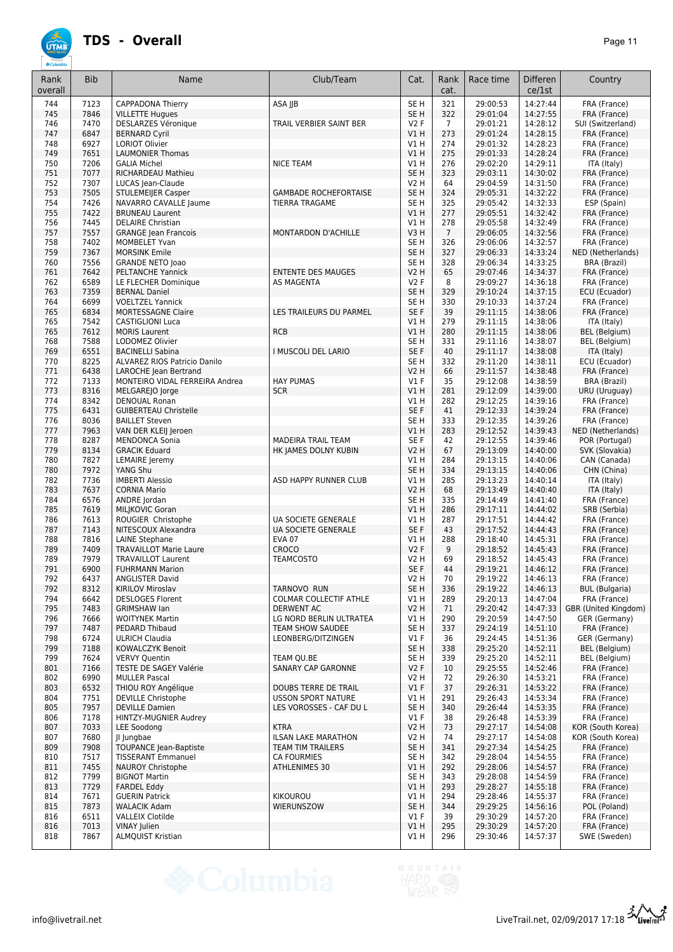| Rank<br>overall | <b>Bib</b>   | Name                                            | Club/Team                                 | Cat.                               | Rank<br>cat.   | Race time            | <b>Differen</b><br>ce/1st | Country                                |
|-----------------|--------------|-------------------------------------------------|-------------------------------------------|------------------------------------|----------------|----------------------|---------------------------|----------------------------------------|
| 744             | 7123         | <b>CAPPADONA Thierry</b>                        | ASA JJB                                   | SE <sub>H</sub>                    | 321            | 29:00:53             | 14:27:44                  | FRA (France)                           |
| 745             | 7846         | <b>VILLETTE Hugues</b>                          |                                           | SE <sub>H</sub>                    | 322            | 29:01:04             | 14:27:55                  | FRA (France)                           |
| 746             | 7470         | DESLARZES Véronique                             | TRAIL VERBIER SAINT BER                   | <b>V2F</b>                         | $\overline{7}$ | 29:01:21             | 14:28:12                  | SUI (Switzerland)                      |
| 747             | 6847         | <b>BERNARD Cyril</b>                            |                                           | V1H                                | 273            | 29:01:24             | 14:28:15                  | FRA (France)                           |
| 748             | 6927         | <b>LORIOT Olivier</b>                           |                                           | V1H                                | 274            | 29:01:32             | 14:28:23                  | FRA (France)                           |
| 749<br>750      | 7651<br>7206 | <b>LAUMONIER Thomas</b><br><b>GALIA Michel</b>  | <b>NICE TEAM</b>                          | V1H<br>V1H                         | 275<br>276     | 29:01:33<br>29:02:20 | 14:28:24<br>14:29:11      | FRA (France)<br>ITA (Italy)            |
| 751             | 7077         | RICHARDEAU Mathieu                              |                                           | SE <sub>H</sub>                    | 323            | 29:03:11             | 14:30:02                  | FRA (France)                           |
| 752             | 7307         | LUCAS Jean-Claude                               |                                           | <b>V2 H</b>                        | 64             | 29:04:59             | 14:31:50                  | FRA (France)                           |
| 753             | 7505         | <b>STULEMEIJER Casper</b>                       | <b>GAMBADE ROCHEFORTAISE</b>              | SE <sub>H</sub>                    | 324            | 29:05:31             | 14:32:22                  | FRA (France)                           |
| 754             | 7426         | NAVARRO CAVALLE Jaume                           | <b>TIERRA TRAGAME</b>                     | SE <sub>H</sub>                    | 325            | 29:05:42             | 14:32:33                  | ESP (Spain)                            |
| 755             | 7422         | <b>BRUNEAU Laurent</b>                          |                                           | VIH                                | 277            | 29:05:51             | 14:32:42                  | FRA (France)                           |
| 756             | 7445         | <b>DELAIRE Christian</b>                        |                                           | V1 H                               | 278            | 29:05:58             | 14:32:49                  | FRA (France)                           |
| 757             | 7557         | <b>GRANGE Jean Francois</b>                     | <b>MONTARDON D'ACHILLE</b>                | V3H                                | $\overline{7}$ | 29:06:05             | 14:32:56                  | FRA (France)                           |
| 758             | 7402         | <b>MOMBELET Yvan</b>                            |                                           | SE <sub>H</sub>                    | 326            | 29:06:06             | 14:32:57                  | FRA (France)                           |
| 759             | 7367         | <b>MORSINK Emile</b>                            |                                           | SE <sub>H</sub>                    | 327            | 29:06:33             | 14:33:24                  | NED (Netherlands)                      |
| 760             | 7556         | <b>GRANDE NETO Joao</b>                         |                                           | SE <sub>H</sub>                    | 328            | 29:06:34             | 14:33:25                  | <b>BRA (Brazil)</b>                    |
| 761             | 7642         | <b>PELTANCHE Yannick</b>                        | <b>ENTENTE DES MAUGES</b>                 | <b>V2 H</b>                        | 65             | 29:07:46             | 14:34:37                  | FRA (France)                           |
| 762             | 6589         | LE FLECHER Dominique                            | AS MAGENTA                                | <b>V2F</b>                         | 8              | 29:09:27             | 14:36:18                  | FRA (France)                           |
| 763             | 7359<br>6699 | <b>BERNAL Daniel</b><br><b>VOELTZEL Yannick</b> |                                           | SE <sub>H</sub><br>SE <sub>H</sub> | 329<br>330     | 29:10:24<br>29:10:33 | 14:37:15<br>14:37:24      | ECU (Ecuador)                          |
| 764<br>765      | 6834         | <b>MORTESSAGNE Claire</b>                       | LES TRAILEURS DU PARMEL                   | SE F                               | 39             | 29:11:15             | 14:38:06                  | FRA (France)<br>FRA (France)           |
| 765             | 7542         | <b>CASTIGLIONI Luca</b>                         |                                           | V1 H                               | 279            | 29:11:15             | 14:38:06                  | ITA (Italy)                            |
| 765             | 7612         | <b>MORIS Laurent</b>                            | <b>RCB</b>                                | V1 H                               | 280            | 29:11:15             | 14:38:06                  | <b>BEL</b> (Belgium)                   |
| 768             | 7588         | LODOMEZ Olivier                                 |                                           | SE <sub>H</sub>                    | 331            | 29:11:16             | 14:38:07                  | BEL (Belgium)                          |
| 769             | 6551         | <b>BACINELLI Sabina</b>                         | I MUSCOLI DEL LARIO                       | SE F                               | 40             | 29:11:17             | 14:38:08                  | ITA (Italy)                            |
| 770             | 8225         | ALVAREZ RIOS Patricio Danilo                    |                                           | SE <sub>H</sub>                    | 332            | 29:11:20             | 14:38:11                  | ECU (Ecuador)                          |
| 771             | 6438         | LAROCHE Jean Bertrand                           |                                           | <b>V2 H</b>                        | 66             | 29:11:57             | 14:38:48                  | FRA (France)                           |
| 772             | 7133         | MONTEIRO VIDAL FERREIRA Andrea                  | <b>HAY PUMAS</b>                          | $VI$ F                             | 35             | 29:12:08             | 14:38:59                  | BRA (Brazil)                           |
| 773             | 8316         | MELGAREJO Jorge                                 | <b>SCR</b>                                | V1H                                | 281            | 29:12:09             | 14:39:00                  | URU (Uruguay)                          |
| 774             | 8342         | <b>DENOUAL Ronan</b>                            |                                           | V1 H                               | 282            | 29:12:25             | 14:39:16                  | FRA (France)                           |
| 775             | 6431         | <b>GUIBERTEAU Christelle</b>                    |                                           | SE <sub>F</sub>                    | 41             | 29:12:33             | 14:39:24                  | FRA (France)                           |
| 776             | 8036         | <b>BAILLET Steven</b>                           |                                           | SE <sub>H</sub>                    | 333            | 29:12:35             | 14:39:26                  | FRA (France)                           |
| 777             | 7963         | VAN DER KLEIJ Jeroen                            |                                           | V1H                                | 283            | 29:12:52             | 14:39:43                  | NED (Netherlands)                      |
| 778             | 8287         | <b>MENDONCA Sonia</b>                           | MADEIRA TRAIL TEAM                        | SE F                               | 42             | 29:12:55             | 14:39:46                  | POR (Portugal)                         |
| 779             | 8134         | <b>GRACIK Eduard</b>                            | HK JAMES DOLNY KUBIN                      | <b>V2 H</b>                        | 67             | 29:13:09             | 14:40:00                  | SVK (Slovakia)                         |
| 780             | 7827         | LEMAIRE Jeremy                                  |                                           | V1 H                               | 284            | 29:13:15             | 14:40:06                  | CAN (Canada)                           |
| 780             | 7972         | YANG Shu                                        |                                           | SE <sub>H</sub>                    | 334            | 29:13:15             | 14:40:06                  | CHN (China)                            |
| 782             | 7736         | <b>IMBERTI Alessio</b>                          | ASD HAPPY RUNNER CLUB                     | V1H                                | 285            | 29:13:23             | 14:40:14                  | ITA (Italy)                            |
| 783             | 7637         | <b>CORNIA Mario</b>                             |                                           | <b>V2 H</b>                        | 68             | 29:13:49             | 14:40:40                  | ITA (Italy)                            |
| 784             | 6576         | ANDRE Jordan                                    |                                           | SE <sub>H</sub>                    | 335            | 29:14:49             | 14:41:40                  | FRA (France)                           |
| 785             | 7619         | MILJKOVIC Goran                                 |                                           | V1H                                | 286            | 29:17:11             | 14:44:02                  | SRB (Serbia)                           |
| 786             | 7613         | ROUGIER Christophe                              | <b>UA SOCIETE GENERALE</b>                | V1 H                               | 287            | 29:17:51             | 14:44:42                  | FRA (France)                           |
| 787<br>788      | 7143<br>7816 | NITESCOUX Alexandra<br><b>LAINE Stephane</b>    | UA SOCIETE GENERALE<br><b>EVA 07</b>      | SE <sub>F</sub><br>V1 H            | 43<br>288      | 29:17:52             | 14:44:43<br>14:45:31      | FRA (France)<br>FRA (France)           |
| 789             | 7409         | <b>TRAVAILLOT Marie Laure</b>                   | CROCO                                     | V2F                                | 9              | 29:18:40<br>29:18:52 | 14:45:43                  | FRA (France)                           |
| 789             | 7979         | <b>TRAVAILLOT Laurent</b>                       | <b>TEAMCOSTO</b>                          | V2 H                               | 69             | 29:18:52             | 14:45:43                  | FRA (France)                           |
| 791             | 6900         | <b>FUHRMANN Marion</b>                          |                                           | SE <sub>F</sub>                    | 44             | 29:19:21             | 14:46:12                  | FRA (France)                           |
| 792             | 6437         | <b>ANGLISTER David</b>                          |                                           | V2 H                               | 70             | 29:19:22             | 14:46:13                  | FRA (France)                           |
| 792             | 8312         | KIRILOV Miroslav                                | TARNOVO RUN                               | SE <sub>H</sub>                    | 336            | 29:19:22             | 14:46:13                  | <b>BUL</b> (Bulgaria)                  |
| 794             | 6642         | <b>DESLOGES Florent</b>                         | COLMAR COLLECTIF ATHLE                    | V1 H                               | 289            | 29:20:13             | 14:47:04                  | FRA (France)                           |
| 795             | 7483         | <b>GRIMSHAW lan</b>                             | <b>DERWENT AC</b>                         | <b>V2 H</b>                        | 71             | 29:20:42             | 14:47:33                  | GBR (United Kingdom)                   |
| 796             | 7666         | <b>WOITYNEK Martin</b>                          | LG NORD BERLIN ULTRATEA                   | V1 H                               | 290            | 29:20:59             | 14:47:50                  | GER (Germany)                          |
| 797             | 7487         | <b>PEDARD Thibaud</b>                           | <b>TEAM SHOW SAUDEE</b>                   | SE <sub>H</sub>                    | 337            | 29:24:19             | 14:51:10                  | FRA (France)                           |
| 798             | 6724         | <b>ULRICH Claudia</b>                           | LEONBERG/DITZINGEN                        | $VI$ F                             | 36             | 29:24:45             | 14:51:36                  | GER (Germany)                          |
| 799             | 7188         | KOWALCZYK Benoit                                |                                           | SE <sub>H</sub>                    | 338            | 29:25:20             | 14:52:11                  | BEL (Belgium)                          |
| 799             | 7624         | <b>VERVY Quentin</b>                            | TEAM QU.BE                                | SE <sub>H</sub>                    | 339            | 29:25:20             | 14:52:11                  | BEL (Belgium)                          |
| 801             | 7166         | TESTE DE SAGEY Valérie                          | SANARY CAP GARONNE                        | V2F                                | 10             | 29:25:55             | 14:52:46                  | FRA (France)                           |
| 802             | 6990         | <b>MULLER Pascal</b>                            |                                           | V2 H                               | 72             | 29:26:30             | 14:53:21                  | FRA (France)                           |
| 803             | 6532         | THIOU ROY Angélique                             | DOUBS TERRE DE TRAIL                      | $VI$ F                             | 37             | 29:26:31             | 14:53:22                  | FRA (France)                           |
| 804             | 7751         | <b>DEVILLE Christophe</b>                       | <b>USSON SPORT NATURE</b>                 | V1 H                               | 291            | 29:26:43             | 14:53:34                  | FRA (France)                           |
| 805<br>806      | 7957<br>7178 | <b>DEVILLE Damien</b><br>HINTZY-MUGNIER Audrey  | LES VOROSSES - CAF DU L                   | SE <sub>H</sub><br>$VI$ F          | 340<br>38      | 29:26:44<br>29:26:48 | 14:53:35<br>14:53:39      | FRA (France)<br>FRA (France)           |
|                 |              |                                                 |                                           |                                    |                |                      |                           |                                        |
| 807<br>807      | 7033<br>7680 | <b>LEE Soodong</b><br>JI Jungbae                | <b>KTRA</b><br><b>ILSAN LAKE MARATHON</b> | <b>V2 H</b><br>V2 H                | 73<br>74       | 29:27:17<br>29:27:17 | 14:54:08<br>14:54:08      | KOR (South Korea)<br>KOR (South Korea) |
| 809             | 7908         | <b>TOUPANCE Jean-Baptiste</b>                   | TEAM TIM TRAILERS                         | SE <sub>H</sub>                    | 341            | 29:27:34             | 14:54:25                  | FRA (France)                           |
| 810             | 7517         | <b>TISSERANT Emmanuel</b>                       | <b>CA FOURMIES</b>                        | SE H                               | 342            | 29:28:04             | 14:54:55                  | FRA (France)                           |
| 811             | 7455         | <b>NAUROY Christophe</b>                        | ATHLENIMES 30                             | V1H                                | 292            | 29:28:06             | 14:54:57                  | FRA (France)                           |
| 812             | 7799         | <b>BIGNOT Martin</b>                            |                                           | SE H                               | 343            | 29:28:08             | 14:54:59                  | FRA (France)                           |
| 813             | 7729         | <b>FARDEL Eddy</b>                              |                                           | V1H                                | 293            | 29:28:27             | 14:55:18                  | FRA (France)                           |
| 814             | 7671         | <b>GUERIN Patrick</b>                           | KIKOUROU                                  | V1 H                               | 294            | 29:28:46             | 14:55:37                  | FRA (France)                           |
| 815             | 7873         | <b>WALACIK Adam</b>                             | WIERUNSZOW                                | SE <sub>H</sub>                    | 344            | 29:29:25             | 14:56:16                  | POL (Poland)                           |
| 816             | 6511         | VALLEIX Clotilde                                |                                           | $VI$ F                             | 39             | 29:30:29             | 14:57:20                  | FRA (France)                           |
| 816             | 7013         | <b>VINAY Julien</b>                             |                                           | V1 H                               | 295            | 29:30:29             | 14:57:20                  | FRA (France)                           |
| 818             | 7867         | ALMQUIST Kristian                               |                                           | V1 H                               | 296            | 29:30:46             | 14:57:37                  | SWE (Sweden)                           |
|                 |              |                                                 |                                           |                                    |                |                      |                           |                                        |

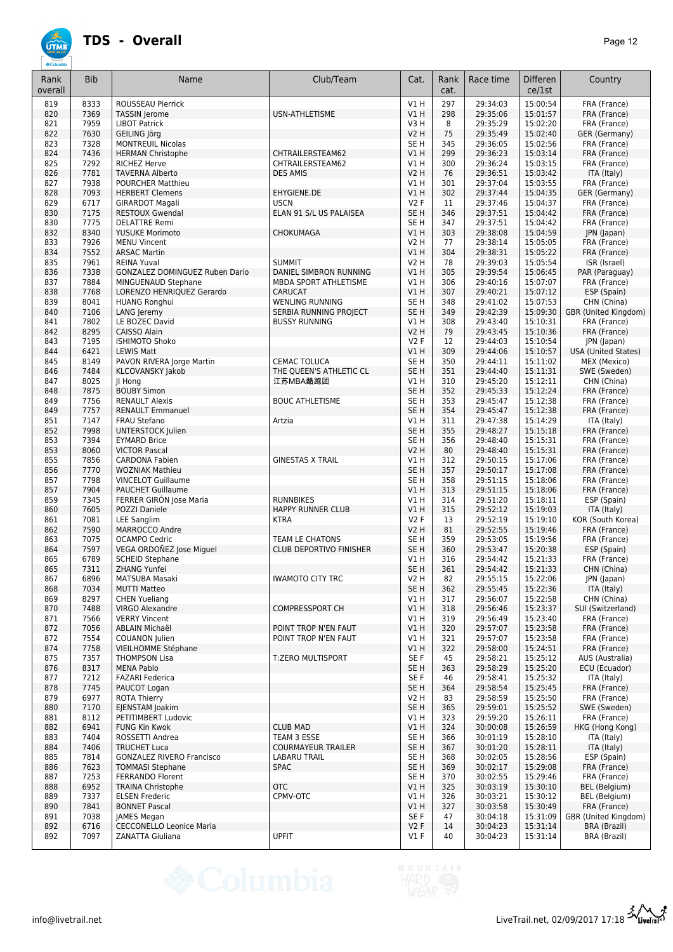| Rank<br>overall | <b>Bib</b>   | Name                                                  | Club/Team                         | Cat.                               | Rank<br>cat. | Race time            | Differen<br>ce/1st   | Country                                     |
|-----------------|--------------|-------------------------------------------------------|-----------------------------------|------------------------------------|--------------|----------------------|----------------------|---------------------------------------------|
| 819             | 8333         | ROUSSEAU Pierrick                                     |                                   | V1H                                | 297          | 29:34:03             | 15:00:54             | FRA (France)                                |
| 820             | 7369         | <b>TASSIN Jerome</b>                                  | USN-ATHLETISME                    | V1H                                | 298          | 29:35:06             | 15:01:57             | FRA (France)                                |
| 821             | 7959         | <b>LIBOT Patrick</b>                                  |                                   | V3H                                | 8            | 29:35:29             | 15:02:20             | FRA (France)                                |
| 822             | 7630         | GEILING Jörg                                          |                                   | <b>V2 H</b>                        | 75           | 29:35:49             | 15:02:40             | GER (Germany)                               |
| 823<br>824      | 7328<br>7436 | <b>MONTREUIL Nicolas</b><br><b>HERMAN Christophe</b>  | CHTRAILERSTEAM62                  | SE <sub>H</sub><br>V1H             | 345<br>299   | 29:36:05<br>29:36:23 | 15:02:56<br>15:03:14 | FRA (France)<br>FRA (France)                |
| 825             | 7292         | <b>RICHEZ Herve</b>                                   | CHTRAILERSTEAM62                  | V1H                                | 300          | 29:36:24             | 15:03:15             | FRA (France)                                |
| 826             | 7781         | <b>TAVERNA Alberto</b>                                | <b>DES AMIS</b>                   | <b>V2 H</b>                        | 76           | 29:36:51             | 15:03:42             | ITA (Italy)                                 |
| 827             | 7938         | <b>POURCHER Matthieu</b>                              |                                   | VIH                                | 301          | 29:37:04             | 15:03:55             | FRA (France)                                |
| 828             | 7093         | <b>HERBERT Clemens</b>                                | EHYGIENE.DE                       | VIH                                | 302          | 29:37:44             | 15:04:35             | GER (Germany)                               |
| 829             | 6717         | <b>GIRARDOT Magali</b>                                | <b>USCN</b>                       | <b>V2F</b>                         | 11           | 29:37:46             | 15:04:37             | FRA (France)                                |
| 830<br>830      | 7175<br>7775 | <b>RESTOUX Gwendal</b><br><b>DELATTRE Remi</b>        | ELAN 91 S/L US PALAISEA           | SE <sub>H</sub><br>SE <sub>H</sub> | 346<br>347   | 29:37:51<br>29:37:51 | 15:04:42             | FRA (France)                                |
| 832             | 8340         | <b>YUSUKE Morimoto</b>                                | CHOKUMAGA                         | V1H                                | 303          | 29:38:08             | 15:04:42<br>15:04:59 | FRA (France)<br>JPN (Japan)                 |
| 833             | 7926         | <b>MENU Vincent</b>                                   |                                   | <b>V2 H</b>                        | 77           | 29:38:14             | 15:05:05             | FRA (France)                                |
| 834             | 7552         | <b>ARSAC Martin</b>                                   |                                   | V1H                                | 304          | 29:38:31             | 15:05:22             | FRA (France)                                |
| 835             | 7961         | <b>REINA Yuval</b>                                    | <b>SUMMIT</b>                     | <b>V2 H</b>                        | 78           | 29:39:03             | 15:05:54             | ISR (Israel)                                |
| 836             | 7338         | GONZALEZ DOMINGUEZ Ruben Dario                        | DANIEL SIMBRON RUNNING            | V1H                                | 305          | 29:39:54             | 15:06:45             | PAR (Paraguay)                              |
| 837             | 7884         | MINGUENAUD Stephane                                   | MBDA SPORT ATHLETISME             | V1H                                | 306          | 29:40:16             | 15:07:07             | FRA (France)                                |
| 838<br>839      | 7768<br>8041 | LORENZO HENRIQUEZ Gerardo<br><b>HUANG Ronghui</b>     | CARUCAT<br><b>WENLING RUNNING</b> | V1H<br>SE <sub>H</sub>             | 307<br>348   | 29:40:21<br>29:41:02 | 15:07:12<br>15:07:53 | ESP (Spain)<br>CHN (China)                  |
| 840             | 7106         | LANG Jeremy                                           | SERBIA RUNNING PROJECT            | SE <sub>H</sub>                    | 349          | 29:42:39             | 15:09:30             | GBR (United Kingdom)                        |
| 841             | 7802         | LE BOZEC David                                        | <b>BUSSY RUNNING</b>              | VIH                                | 308          | 29:43:40             | 15:10:31             | FRA (France)                                |
| 842             | 8295         | CAISSO Alain                                          |                                   | <b>V2 H</b>                        | 79           | 29:43:45             | 15:10:36             | FRA (France)                                |
| 843             | 7195         | <b>ISHIMOTO Shoko</b>                                 |                                   | <b>V2F</b>                         | 12           | 29:44:03             | 15:10:54             | JPN (Japan)                                 |
| 844             | 6421         | <b>LEWIS Matt</b>                                     |                                   | V1H                                | 309          | 29:44:06             | 15:10:57             | USA (United States)                         |
| 845             | 8149         | PAVON RIVERA Jorge Martin                             | CEMAC TOLUCA                      | SE <sub>H</sub>                    | 350          | 29:44:11             | 15:11:02             | MEX (Mexico)                                |
| 846             | 7484         | KLCOVANSKY Jakob                                      | THE QUEEN'S ATHLETIC CL           | SE <sub>H</sub>                    | 351          | 29:44:40             | 15:11:31             | SWE (Sweden)                                |
| 847             | 8025         | JI Hong                                               | 江苏MBA酷跑团                          | V1H<br>SE <sub>H</sub>             | 310          | 29:45:20             | 15:12:11             | CHN (China)                                 |
| 848<br>849      | 7875<br>7756 | <b>BOUBY Simon</b><br><b>RENAULT Alexis</b>           | <b>BOUC ATHLETISME</b>            | SE <sub>H</sub>                    | 352<br>353   | 29:45:33<br>29:45:47 | 15:12:24<br>15:12:38 | FRA (France)<br>FRA (France)                |
| 849             | 7757         | <b>RENAULT Emmanuel</b>                               |                                   | SE <sub>H</sub>                    | 354          | 29:45:47             | 15:12:38             | FRA (France)                                |
| 851             | 7147         | <b>FRAU Stefano</b>                                   | Artzia                            | VIH                                | 311          | 29:47:38             | 15:14:29             | ITA (Italy)                                 |
| 852             | 7998         | <b>UNTERSTOCK Julien</b>                              |                                   | SE <sub>H</sub>                    | 355          | 29:48:27             | 15:15:18             | FRA (France)                                |
| 853             | 7394         | <b>EYMARD Brice</b>                                   |                                   | SE <sub>H</sub>                    | 356          | 29:48:40             | 15:15:31             | FRA (France)                                |
| 853             | 8060         | <b>VICTOR Pascal</b>                                  |                                   | V <sub>2</sub> H                   | 80           | 29:48:40             | 15:15:31             | FRA (France)                                |
| 855             | 7856         | <b>CARDONA Fabien</b>                                 | <b>GINESTAS X TRAIL</b>           | V1 H                               | 312          | 29:50:15             | 15:17:06             | FRA (France)                                |
| 856             | 7770<br>7798 | <b>WOZNIAK Mathieu</b>                                |                                   | SE <sub>H</sub>                    | 357          | 29:50:17             | 15:17:08             | FRA (France)                                |
| 857<br>857      | 7904         | <b>VINCELOT Guillaume</b><br><b>PAUCHET Guillaume</b> |                                   | SE <sub>H</sub><br>V1H             | 358<br>313   | 29:51:15<br>29:51:15 | 15:18:06<br>15:18:06 | FRA (France)<br>FRA (France)                |
| 859             | 7345         | FERRER GIRÓN Jose Maria                               | <b>RUNNBIKES</b>                  | V1 H                               | 314          | 29:51:20             | 15:18:11             | ESP (Spain)                                 |
| 860             | 7605         | POZZI Daniele                                         | HAPPY RUNNER CLUB                 | V1H                                | 315          | 29:52:12             | 15:19:03             | ITA (Italy)                                 |
| 861             | 7081         | <b>LEE Sanglim</b>                                    | <b>KTRA</b>                       | <b>V2F</b>                         | 13           | 29:52:19             | 15:19:10             | KOR (South Korea)                           |
| 862             | 7590         | MARROCCO Andre                                        |                                   | <b>V2 H</b>                        | 81           | 29:52:55             | 15:19:46             | FRA (France)                                |
| 863             | 7075         | <b>OCAMPO Cedric</b>                                  | TEAM LE CHATONS                   | SE <sub>H</sub>                    | 359          | 29:53:05             | 15:19:56             | FRA (France)                                |
| 864             | 7597         | VEGA ORDOÑEZ Jose Miquel                              | <b>CLUB DEPORTIVO FINISHER</b>    | SE <sub>H</sub>                    | 360          | 29:53:47             | 15:20:38             | ESP (Spain)                                 |
| 865<br>865      | 6789<br>7311 | <b>SCHEID Stephane</b><br>ZHANG Yunfei                |                                   | VIH<br>SE <sub>H</sub>             | 316<br>361   | 29:54:42<br>29:54:42 | 15:21:33<br>15:21:33 | FRA (France)<br>CHN (China)                 |
| 867             | 6896         | MATSUBA Masaki                                        | <b>IWAMOTO CITY TRC</b>           | <b>V2 H</b>                        | 82           | 29:55:15             | 15:22:06             | JPN (Japan)                                 |
| 868             | 7034         | <b>MUTTI Matteo</b>                                   |                                   | SE <sub>H</sub>                    | 362          | 29:55:45             | 15:22:36             | ITA (Italy)                                 |
| 869             | 8297         | <b>CHEN Yueliang</b>                                  |                                   | VIH                                | 317          | 29:56:07             | 15:22:58             | CHN (China)                                 |
| 870             | 7488         | <b>VIRGO Alexandre</b>                                | <b>COMPRESSPORT CH</b>            | VIH                                | 318          | 29:56:46             | 15:23:37             | SUI (Switzerland)                           |
| 871             | 7566         | <b>VERRY Vincent</b>                                  |                                   | V1 H                               | 319          | 29:56:49             | 15:23:40             | FRA (France)                                |
| 872             | 7056         | <b>ABLAIN Michaël</b>                                 | POINT TROP N'EN FAUT              | VIH                                | 320          | 29:57:07             | 15:23:58             | FRA (France)                                |
| 872<br>874      | 7554<br>7758 | COUANON Julien<br>VIEILHOMME Stéphane                 | POINT TROP N'EN FAUT              | V1 H<br>VIH                        | 321<br>322   | 29:57:07<br>29:58:00 | 15:23:58<br>15:24:51 | FRA (France)<br>FRA (France)                |
| 875             | 7357         | <b>THOMPSON Lisa</b>                                  | T:ZERO MULTISPORT                 | SE F                               | 45           | 29:58:21             | 15:25:12             | AUS (Australia)                             |
| 876             | 8317         | <b>MENA Pablo</b>                                     |                                   | SE <sub>H</sub>                    | 363          | 29:58:29             | 15:25:20             | ECU (Ecuador)                               |
| 877             | 7212         | <b>FAZARI Federica</b>                                |                                   | SE F                               | 46           | 29:58:41             | 15:25:32             | ITA (Italy)                                 |
| 878             | 7745         | PAUCOT Logan                                          |                                   | SE <sub>H</sub>                    | 364          | 29:58:54             | 15:25:45             | FRA (France)                                |
| 879             | 6977         | <b>ROTA Thierry</b>                                   |                                   | V2 H                               | 83           | 29:58:59             | 15:25:50             | FRA (France)                                |
| 880             | 7170         | EJENSTAM Joakim                                       |                                   | SE <sub>H</sub>                    | 365          | 29:59:01             | 15:25:52             | SWE (Sweden)                                |
| 881             | 8112<br>6941 | PETITIMBERT Ludovic                                   | <b>CLUB MAD</b>                   | VIH                                | 323          | 29:59:20             | 15:26:11             | FRA (France)                                |
| 882<br>883      | 7404         | <b>FUNG Kin Kwok</b><br>ROSSETTI Andrea               | TEAM 3 ESSE                       | V1 H<br>SE <sub>H</sub>            | 324<br>366   | 30:00:08<br>30:01:19 | 15:26:59<br>15:28:10 | HKG (Hong Kong)<br>ITA (Italy)              |
| 884             | 7406         | <b>TRUCHET Luca</b>                                   | <b>COURMAYEUR TRAILER</b>         | SE <sub>H</sub>                    | 367          | 30:01:20             | 15:28:11             | ITA (Italy)                                 |
| 885             | 7814         | <b>GONZALEZ RIVERO Francisco</b>                      | LABARU TRAIL                      | SE <sub>H</sub>                    | 368          | 30:02:05             | 15:28:56             | ESP (Spain)                                 |
| 886             | 7623         | <b>TOMMASI Stephane</b>                               | <b>SPAC</b>                       | SE <sub>H</sub>                    | 369          | 30:02:17             | 15:29:08             | FRA (France)                                |
| 887             | 7253         | FERRANDO Florent                                      |                                   | SE <sub>H</sub>                    | 370          | 30:02:55             | 15:29:46             | FRA (France)                                |
| 888             | 6952         | <b>TRAINA Christophe</b>                              | <b>OTC</b>                        | VIH                                | 325          | 30:03:19             | 15:30:10             | BEL (Belgium)                               |
| 889             | 7337         | <b>ELSEN Frederic</b>                                 | CPMV-OTC                          | V1 H                               | 326          | 30:03:21             | 15:30:12             | BEL (Belgium)                               |
| 890             | 7841         | <b>BONNET Pascal</b>                                  |                                   | V1 H                               | 327          | 30:03:58             | 15:30:49             | FRA (France)                                |
| 891<br>892      | 7038<br>6716 | JAMES Megan<br><b>CECCONELLO Leonice Maria</b>        |                                   | SE F<br>V2F                        | 47<br>14     | 30:04:18<br>30:04:23 | 15:31:09<br>15:31:14 | GBR (United Kingdom)<br><b>BRA (Brazil)</b> |
| 892             | 7097         | ZANATTA Giuliana                                      | <b>UPFIT</b>                      | $VI$ F                             | 40           | 30:04:23             | 15:31:14             | <b>BRA (Brazil)</b>                         |
|                 |              |                                                       |                                   |                                    |              |                      |                      |                                             |



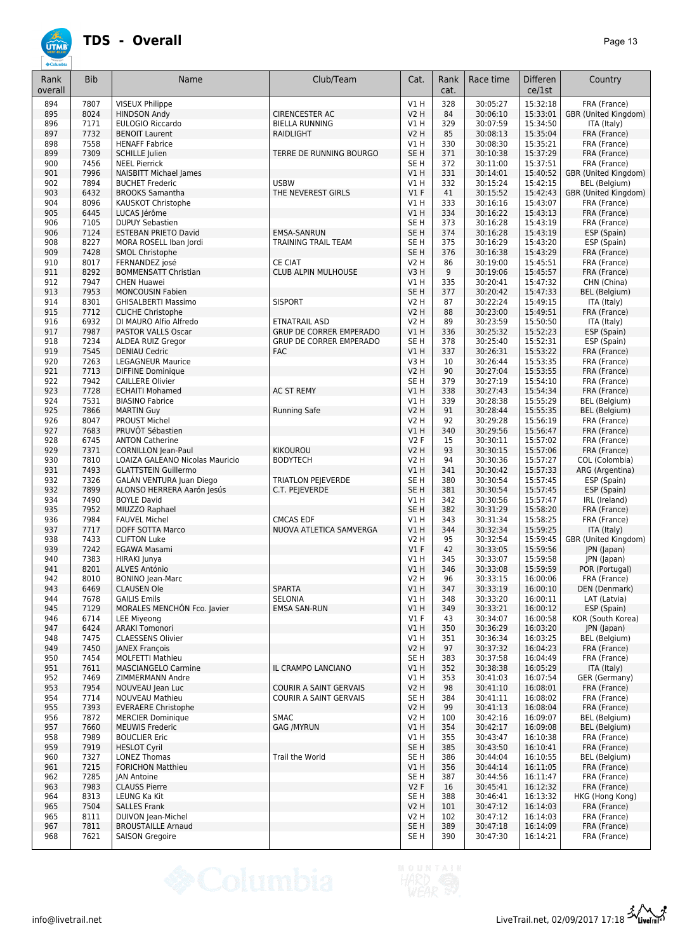| Rank<br>overall | <b>Bib</b>   | Name                                                    | Club/Team                      | Cat.                           | Rank<br>cat. | Race time            | Differen<br>ce/1st   | Country                              |
|-----------------|--------------|---------------------------------------------------------|--------------------------------|--------------------------------|--------------|----------------------|----------------------|--------------------------------------|
| 894             | 7807         | <b>VISEUX Philippe</b>                                  |                                | VIH                            | 328          | 30:05:27             | 15:32:18             | FRA (France)                         |
| 895             | 8024         | <b>HINDSON Andy</b>                                     | <b>CIRENCESTER AC</b>          | <b>V2 H</b>                    | 84           | 30:06:10             | 15:33:01             | GBR (United Kingdom)                 |
| 896             | 7171         | EULOGIO Riccardo                                        | <b>BIELLA RUNNING</b>          | V1H                            | 329          | 30:07:59             | 15:34:50             | ITA (Italy)                          |
| 897             | 7732<br>7558 | <b>BENOIT Laurent</b><br><b>HENAFF Fabrice</b>          | <b>RAIDLIGHT</b>               | <b>V2 H</b>                    | 85<br>330    | 30:08:13             | 15:35:04<br>15:35:21 | FRA (France)                         |
| 898<br>899      | 7309         | <b>SCHILLE Julien</b>                                   | TERRE DE RUNNING BOURGO        | V1 H<br>SE <sub>H</sub>        | 371          | 30:08:30<br>30:10:38 | 15:37:29             | FRA (France)<br>FRA (France)         |
| 900             | 7456         | <b>NEEL Pierrick</b>                                    |                                | SE <sub>H</sub>                | 372          | 30:11:00             | 15:37:51             | FRA (France)                         |
| 901             | 7996         | <b>NAISBITT Michael James</b>                           |                                | VIH                            | 331          | 30:14:01             | 15:40:52             | GBR (United Kingdom)                 |
| 902             | 7894         | <b>BUCHET Frederic</b>                                  | <b>USBW</b>                    | VIH                            | 332          | 30:15:24             | 15:42:15             | <b>BEL</b> (Belgium)                 |
| 903             | 6432         | <b>BROOKS Samantha</b>                                  | THE NEVEREST GIRLS             | $VI$ F                         | 41           | 30:15:52             | 15:42:43             | GBR (United Kingdom)                 |
| 904             | 8096<br>6445 | KAUSKOT Christophe<br>LUCAS Jérôme                      |                                | VIH<br>VIH                     | 333<br>334   | 30:16:16<br>30:16:22 | 15:43:07<br>15:43:13 | FRA (France)<br>FRA (France)         |
| 905<br>906      | 7105         | <b>DUPUY Sebastien</b>                                  |                                | SE <sub>H</sub>                | 373          | 30:16:28             | 15:43:19             | FRA (France)                         |
| 906             | 7124         | <b>ESTEBAN PRIETO David</b>                             | <b>EMSA-SANRUN</b>             | SE <sub>H</sub>                | 374          | 30:16:28             | 15:43:19             | ESP (Spain)                          |
| 908             | 8227         | MORA ROSELL Iban Jordi                                  | TRAINING TRAIL TEAM            | SE <sub>H</sub>                | 375          | 30:16:29             | 15:43:20             | ESP (Spain)                          |
| 909             | 7428         | SMOL Christophe                                         |                                | SE <sub>H</sub>                | 376          | 30:16:38             | 15:43:29             | FRA (France)                         |
| 910             | 8017         | FERNANDEZ josé                                          | <b>CE CIAT</b>                 | <b>V2 H</b>                    | 86           | 30:19:00             | 15:45:51             | FRA (France)                         |
| 911             | 8292         | <b>BOMMENSATT Christian</b>                             | CLUB ALPIN MULHOUSE            | V3H                            | 9            | 30:19:06             | 15:45:57             | FRA (France)                         |
| 912<br>913      | 7947<br>7953 | <b>CHEN Huawei</b><br><b>MONCOUSIN Fabien</b>           |                                | V1 H<br>SE <sub>H</sub>        | 335<br>377   | 30:20:41<br>30:20:42 | 15:47:32<br>15:47:33 | CHN (China)<br><b>BEL</b> (Belgium)  |
| 914             | 8301         | <b>GHISALBERTI Massimo</b>                              | <b>SISPORT</b>                 | <b>V2 H</b>                    | 87           | 30:22:24             | 15:49:15             | ITA (Italy)                          |
| 915             | 7712         | <b>CLICHE Christophe</b>                                |                                | <b>V2 H</b>                    | 88           | 30:23:00             | 15:49:51             | FRA (France)                         |
| 916             | 6932         | DI MAURO Alfio Alfredo                                  | ETNATRAIL ASD                  | <b>V2 H</b>                    | 89           | 30:23:59             | 15:50:50             | ITA (Italy)                          |
| 917             | 7987         | PASTOR VALLS Oscar                                      | <b>GRUP DE CORRER EMPERADO</b> | VIH                            | 336          | 30:25:32             | 15:52:23             | ESP (Spain)                          |
| 918             | 7234         | ALDEA RUIZ Gregor                                       | <b>GRUP DE CORRER EMPERADO</b> | SE <sub>H</sub>                | 378          | 30:25:40             | 15:52:31             | ESP (Spain)                          |
| 919             | 7545         | <b>DENIAU Cedric</b>                                    | <b>FAC</b>                     | VIH                            | 337          | 30:26:31             | 15:53:22             | FRA (France)                         |
| 920             | 7263         | <b>LEGAGNEUR Maurice</b>                                |                                | V3H                            | 10           | 30:26:44             | 15:53:35             | FRA (France)                         |
| 921             | 7713         | <b>DIFFINE Dominique</b>                                |                                | <b>V2 H</b>                    | 90           | 30:27:04             | 15:53:55             | FRA (France)                         |
| 922<br>923      | 7942<br>7728 | <b>CAILLERE Olivier</b><br><b>ECHAITI Mohamed</b>       | <b>AC ST REMY</b>              | SE <sub>H</sub><br>VIH         | 379<br>338   | 30:27:19<br>30:27:43 | 15:54:10<br>15:54:34 | FRA (France)<br>FRA (France)         |
| 924             | 7531         | <b>BIASINO Fabrice</b>                                  |                                | V1 H                           | 339          | 30:28:38             | 15:55:29             | BEL (Belgium)                        |
| 925             | 7866         | <b>MARTIN Guy</b>                                       | <b>Running Safe</b>            | <b>V2 H</b>                    | 91           | 30:28:44             | 15:55:35             | BEL (Belgium)                        |
| 926             | 8047         | <b>PROUST Michel</b>                                    |                                | V2 H                           | 92           | 30:29:28             | 15:56:19             | FRA (France)                         |
| 927             | 7683         | PRUVÔT Sébastien                                        |                                | VIH                            | 340          | 30:29:56             | 15:56:47             | FRA (France)                         |
| 928             | 6745         | <b>ANTON Catherine</b>                                  |                                | V2F                            | 15           | 30:30:11             | 15:57:02             | FRA (France)                         |
| 929             | 7371         | <b>CORNILLON Jean-Paul</b>                              | <b>KIKOUROU</b>                | <b>V2 H</b>                    | 93           | 30:30:15             | 15:57:06             | FRA (France)                         |
| 930             | 7810         | LOAIZA GALEANO Nicolas Mauricio                         | <b>BODYTECH</b>                | V2 H                           | 94           | 30:30:36             | 15:57:27             | COL (Colombia)                       |
| 931<br>932      | 7493<br>7326 | <b>GLATTSTEIN Guillermo</b><br>GALÁN VENTURA Juan Diego | <b>TRIATLON PEJEVERDE</b>      | VIH<br>SE <sub>H</sub>         | 341<br>380   | 30:30:42<br>30:30:54 | 15:57:33<br>15:57:45 | ARG (Argentina)<br>ESP (Spain)       |
| 932             | 7899         | ALONSO HERRERA Aarón Jesús                              | C.T. PEJEVERDE                 | SE <sub>H</sub>                | 381          | 30:30:54             | 15:57:45             | ESP (Spain)                          |
| 934             | 7490         | <b>BOYLE David</b>                                      |                                | V1 H                           | 342          | 30:30:56             | 15:57:47             | IRL (Ireland)                        |
| 935             | 7952         | MIUZZO Raphael                                          |                                | SE <sub>H</sub>                | 382          | 30:31:29             | 15:58:20             | FRA (France)                         |
| 936             | 7984         | <b>FAUVEL Michel</b>                                    | <b>CMCAS EDF</b>               | V1 H                           | 343          | 30:31:34             | 15:58:25             | FRA (France)                         |
| 937             | 7717         | DOFF SOTTA Marco                                        | NUOVA ATLETICA SAMVERGA        | V1H                            | 344          | 30:32:34             | 15:59:25             | ITA (Italy)                          |
| 938             | 7433         | <b>CLIFTON Luke</b>                                     |                                | <b>V2 H</b>                    | 95           | 30:32:54             | 15:59:45             | GBR (United Kingdom)                 |
| 939<br>940      | 7242<br>7383 | <b>EGAWA Masami</b>                                     |                                | $VI$ F<br>V1H                  | 42<br>345    | 30:33:05<br>30:33:07 | 15:59:56<br>15:59:58 | JPN (Japan)                          |
| 941             | 8201         | HIRAKI Junya<br>ALVES António                           |                                | V1H                            | 346          | 30:33:08             | 15:59:59             | JPN (Japan)<br>POR (Portugal)        |
| 942             | 8010         | <b>BONINO Jean-Marc</b>                                 |                                | V2 H                           | 96           | 30:33:15             | 16:00:06             | FRA (France)                         |
| 943             | 6469         | <b>CLAUSEN Ole</b>                                      | <b>SPARTA</b>                  | V1H                            | 347          | 30:33:19             | 16:00:10             | DEN (Denmark)                        |
| 944             | 7678         | <b>GAILIS Emils</b>                                     | SELONIA                        | V1 H                           | 348          | 30:33:20             | 16:00:11             | LAT (Latvia)                         |
| 945             | 7129         | MORALES MENCHÓN Fco. Javier                             | <b>EMSA SAN-RUN</b>            | V1 H                           | 349          | 30:33:21             | 16:00:12             | ESP (Spain)                          |
| 946             | 6714         | <b>LEE Miyeong</b>                                      |                                | $VI$ F                         | 43           | 30:34:07             | 16:00:58             | KOR (South Korea)                    |
| 947             | 6424         | <b>ARAKI Tomonori</b>                                   |                                | V1 H                           | 350          | 30:36:29             | 16:03:20             | JPN (Japan)                          |
| 948             | 7475         | <b>CLAESSENS Olivier</b>                                |                                | V1 H                           | 351          | 30:36:34             | 16:03:25             | BEL (Belgium)                        |
| 949<br>950      | 7450<br>7454 | <b>JANEX François</b><br><b>MOLFETTI Mathieu</b>        |                                | V2 H<br>SE H                   | 97<br>383    | 30:37:32<br>30:37:58 | 16:04:23<br>16:04:49 | FRA (France)<br>FRA (France)         |
| 951             | 7611         | <b>MASCIANGELO Carmine</b>                              | IL CRAMPO LANCIANO             | V1 H                           | 352          | 30:38:38             | 16:05:29             | ITA (Italy)                          |
| 952             | 7469         | <b>ZIMMERMANN Andre</b>                                 |                                | V1 H                           | 353          | 30:41:03             | 16:07:54             | GER (Germany)                        |
| 953             | 7954         | NOUVEAU Jean Luc                                        | <b>COURIR A SAINT GERVAIS</b>  | <b>V2 H</b>                    | 98           | 30:41:10             | 16:08:01             | FRA (France)                         |
| 954             | 7714         | <b>NOUVEAU Mathieu</b>                                  | COURIR A SAINT GERVAIS         | SE H                           | 384          | 30:41:11             | 16:08:02             | FRA (France)                         |
| 955             | 7393         | <b>EVERAERE Christophe</b>                              |                                | <b>V2 H</b>                    | 99           | 30:41:13             | 16:08:04             | FRA (France)                         |
| 956             | 7872         | <b>MERCIER Dominique</b>                                | SMAC                           | V2 H                           | 100          | 30:42:16             | 16:09:07             | <b>BEL</b> (Belgium)                 |
| 957<br>958      | 7660<br>7989 | <b>MEUWIS Frederic</b><br><b>BOUCLIER Eric</b>          | <b>GAG /MYRUN</b>              | V1 H<br>V1H                    | 354<br>355   | 30:42:17<br>30:43:47 | 16:09:08<br>16:10:38 | <b>BEL</b> (Belgium)<br>FRA (France) |
| 959             | 7919         | <b>HESLOT Cyril</b>                                     |                                | SE <sub>H</sub>                | 385          | 30:43:50             | 16:10:41             | FRA (France)                         |
| 960             | 7327         | <b>LONEZ Thomas</b>                                     | Trail the World                | SE H                           | 386          | 30:44:04             | 16:10:55             | BEL (Belgium)                        |
| 961             | 7215         | <b>FORICHON Matthieu</b>                                |                                | V1 H                           | 356          | 30:44:14             | 16:11:05             | FRA (France)                         |
| 962             | 7285         | <b>JAN Antoine</b>                                      |                                | SE H                           | 387          | 30:44:56             | 16:11:47             | FRA (France)                         |
| 963             | 7983         | <b>CLAUSS Pierre</b>                                    |                                | V2F                            | 16           | 30:45:41             | 16:12:32             | FRA (France)                         |
| 964             | 8313         | LEUNG Ka Kit                                            |                                | SE <sub>H</sub>                | 388          | 30:46:41             | 16:13:32             | HKG (Hong Kong)                      |
| 965             | 7504         | <b>SALLES Frank</b>                                     |                                | V <sub>2</sub> H               | 101          | 30:47:12             | 16:14:03<br>16:14:03 | FRA (France)                         |
| 965<br>967      | 8111<br>7811 | DUIVON Jean-Michel<br><b>BROUSTAILLE Arnaud</b>         |                                | <b>V2 H</b><br>SE <sub>H</sub> | 102<br>389   | 30:47:12<br>30:47:18 | 16:14:09             | FRA (France)<br>FRA (France)         |
| 968             | 7621         | <b>SAISON Gregoire</b>                                  |                                | SE H                           | 390          | 30:47:30             | 16:14:21             | FRA (France)                         |
|                 |              |                                                         |                                |                                |              |                      |                      |                                      |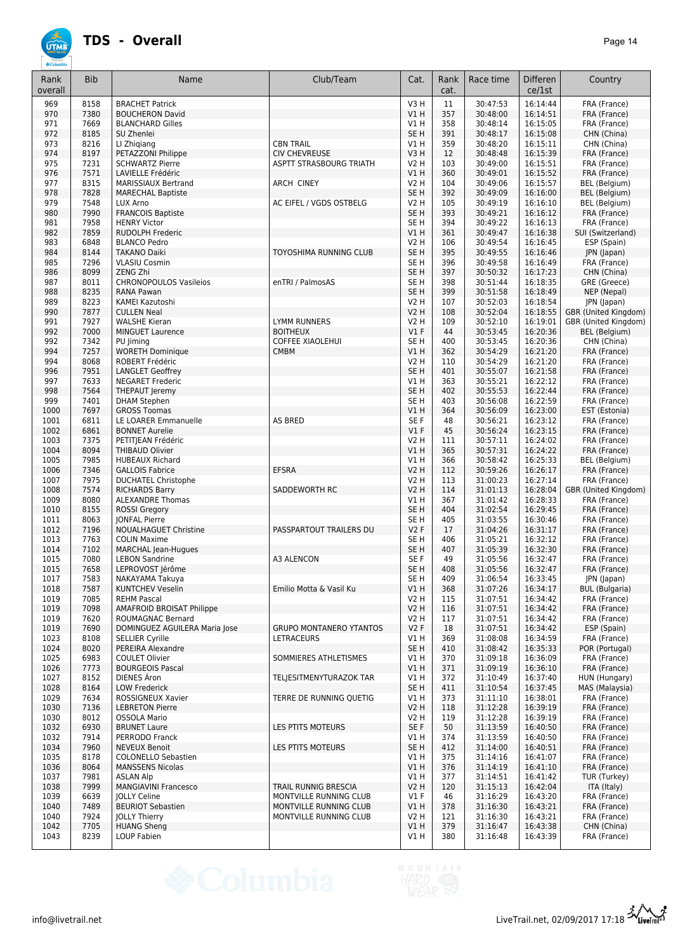| Rank<br>overall | <b>Bib</b>   | Name                                                    | Club/Team                                      | Cat.                               | Rank<br>cat. | Race time            | <b>Differen</b><br>ce/1st | Country                              |
|-----------------|--------------|---------------------------------------------------------|------------------------------------------------|------------------------------------|--------------|----------------------|---------------------------|--------------------------------------|
| 969             | 8158         | <b>BRACHET Patrick</b>                                  |                                                | V3H                                | 11           | 30:47:53             | 16:14:44                  | FRA (France)                         |
| 970             | 7380         | <b>BOUCHERON David</b>                                  |                                                | V1H                                | 357          | 30:48:00             | 16:14:51                  | FRA (France)                         |
| 971             | 7669         | <b>BLANCHARD Gilles</b>                                 |                                                | V1 H                               | 358          | 30:48:14             | 16:15:05                  | FRA (France)                         |
| 972<br>973      | 8185<br>8216 | SU Zhenlei<br>LI Zhigiang                               | <b>CBN TRAIL</b>                               | SE <sub>H</sub><br>V1 H            | 391<br>359   | 30:48:17<br>30:48:20 | 16:15:08<br>16:15:11      | CHN (China)<br>CHN (China)           |
| 974             | 8197         | PETAZZONI Philippe                                      | <b>CIV CHEVREUSE</b>                           | V3H                                | 12           | 30:48:48             | 16:15:39                  | FRA (France)                         |
| 975             | 7231         | <b>SCHWARTZ Pierre</b>                                  | ASPTT STRASBOURG TRIATH                        | <b>V2 H</b>                        | 103          | 30:49:00             | 16:15:51                  | FRA (France)                         |
| 976             | 7571         | LAVIELLE Frédéric                                       |                                                | V1H                                | 360          | 30:49:01             | 16:15:52                  | FRA (France)                         |
| 977             | 8315         | <b>MARISSIAUX Bertrand</b>                              | <b>ARCH CINEY</b>                              | <b>V2 H</b>                        | 104          | 30:49:06             | 16:15:57                  | <b>BEL</b> (Belgium)                 |
| 978             | 7828         | <b>MARECHAL Baptiste</b>                                |                                                | SE <sub>H</sub>                    | 392          | 30:49:09             | 16:16:00                  | BEL (Belgium)                        |
| 979<br>980      | 7548<br>7990 | LUX Arno                                                | AC EIFEL / VGDS OSTBELG                        | V2 H<br>SE <sub>H</sub>            | 105<br>393   | 30:49:19<br>30:49:21 | 16:16:10<br>16:16:12      | <b>BEL</b> (Belgium)<br>FRA (France) |
| 981             | 7958         | <b>FRANCOIS Baptiste</b><br><b>HENRY Victor</b>         |                                                | SE <sub>H</sub>                    | 394          | 30:49:22             | 16:16:13                  | FRA (France)                         |
| 982             | 7859         | <b>RUDOLPH Frederic</b>                                 |                                                | V1H                                | 361          | 30:49:47             | 16:16:38                  | SUI (Switzerland)                    |
| 983             | 6848         | <b>BLANCO Pedro</b>                                     |                                                | V2 H                               | 106          | 30:49:54             | 16:16:45                  | ESP (Spain)                          |
| 984             | 8144         | <b>TAKANO Daiki</b>                                     | TOYOSHIMA RUNNING CLUB                         | SE <sub>H</sub>                    | 395          | 30:49:55             | 16:16:46                  | JPN (Japan)                          |
| 985             | 7296         | <b>VLASIU Cosmin</b>                                    |                                                | SE <sub>H</sub>                    | 396          | 30:49:58             | 16:16:49                  | FRA (France)                         |
| 986             | 8099         | ZENG Zhi                                                |                                                | SE <sub>H</sub>                    | 397          | 30:50:32             | 16:17:23                  | CHN (China)                          |
| 987<br>988      | 8011<br>8235 | <b>CHRONOPOULOS Vasileios</b><br>RANA Pawan             | enTRI / PalmosAS                               | SE <sub>H</sub><br>SE <sub>H</sub> | 398<br>399   | 30:51:44<br>30:51:58 | 16:18:35<br>16:18:49      | GRE (Greece)<br>NEP (Nepal)          |
| 989             | 8223         | KAMEI Kazutoshi                                         |                                                | <b>V2 H</b>                        | 107          | 30:52:03             | 16:18:54                  | JPN (Japan)                          |
| 990             | 7877         | <b>CULLEN Neal</b>                                      |                                                | <b>V2 H</b>                        | 108          | 30:52:04             | 16:18:55                  | GBR (United Kingdom)                 |
| 991             | 7927         | <b>WALSHE Kieran</b>                                    | <b>LYMM RUNNERS</b>                            | <b>V2 H</b>                        | 109          | 30:52:10             | 16:19:01                  | GBR (United Kingdom)                 |
| 992             | 7000         | <b>MINGUET Laurence</b>                                 | <b>BOITHEUX</b>                                | $VI$ F                             | 44           | 30:53:45             | 16:20:36                  | <b>BEL</b> (Belgium)                 |
| 992             | 7342         | PU Jiming                                               | <b>COFFEE XIAOLEHUI</b>                        | SE <sub>H</sub>                    | 400          | 30:53:45             | 16:20:36                  | CHN (China)                          |
| 994             | 7257         | <b>WORETH Dominique</b>                                 | <b>CMBM</b>                                    | V1H                                | 362          | 30:54:29             | 16:21:20                  | FRA (France)                         |
| 994             | 8068         | ROBERT Frédéric                                         |                                                | <b>V2 H</b>                        | 110          | 30:54:29             | 16:21:20                  | FRA (France)                         |
| 996<br>997      | 7951<br>7633 | <b>LANGLET Geoffrey</b><br><b>NEGARET Frederic</b>      |                                                | SE <sub>H</sub><br>V1 H            | 401<br>363   | 30:55:07             | 16:21:58<br>16:22:12      | FRA (France)                         |
| 998             | 7564         | <b>THEPAUT Jeremy</b>                                   |                                                | SE <sub>H</sub>                    | 402          | 30:55:21<br>30:55:53 | 16:22:44                  | FRA (France)<br>FRA (France)         |
| 999             | 7401         | <b>DHAM Stephen</b>                                     |                                                | SE <sub>H</sub>                    | 403          | 30:56:08             | 16:22:59                  | FRA (France)                         |
| 1000            | 7697         | <b>GROSS Toomas</b>                                     |                                                | V1H                                | 364          | 30:56:09             | 16:23:00                  | EST (Estonia)                        |
| 1001            | 6811         | LE LOARER Emmanuelle                                    | AS BRED                                        | SE <sub>F</sub>                    | 48           | 30:56:21             | 16:23:12                  | FRA (France)                         |
| 1002            | 6861         | <b>BONNET Aurelie</b>                                   |                                                | V1F                                | 45           | 30:56:24             | 16:23:15                  | FRA (France)                         |
| 1003            | 7375         | PETITJEAN Frédéric                                      |                                                | V2 H                               | 111          | 30:57:11             | 16:24:02                  | FRA (France)                         |
| 1004            | 8094         | <b>THIBAUD Olivier</b>                                  |                                                | V1H                                | 365          | 30:57:31             | 16:24:22                  | FRA (France)                         |
| 1005<br>1006    | 7985<br>7346 | <b>HUBEAUX Richard</b><br><b>GALLOIS Fabrice</b>        | <b>EFSRA</b>                                   | V1H<br><b>V2 H</b>                 | 366<br>112   | 30:58:42<br>30:59:26 | 16:25:33<br>16:26:17      | BEL (Belgium)<br>FRA (France)        |
| 1007            | 7975         | <b>DUCHATEL Christophe</b>                              |                                                | <b>V2 H</b>                        | 113          | 31:00:23             | 16:27:14                  | FRA (France)                         |
| 1008            | 7574         | <b>RICHARDS Barry</b>                                   | SADDEWORTH RC                                  | <b>V2 H</b>                        | 114          | 31:01:13             | 16:28:04                  | GBR (United Kingdom)                 |
| 1009            | 8080         | <b>ALEXANDRE Thomas</b>                                 |                                                | V1 H                               | 367          | 31:01:42             | 16:28:33                  | FRA (France)                         |
| 1010            | 8155         | <b>ROSSI Gregory</b>                                    |                                                | SE <sub>H</sub>                    | 404          | 31:02:54             | 16:29:45                  | FRA (France)                         |
| 1011            | 8063         | <b>JONFAL Pierre</b>                                    |                                                | SE <sub>H</sub>                    | 405          | 31:03:55             | 16:30:46                  | FRA (France)                         |
| 1012            | 7196         | NOUALHAGUET Christine                                   | PASSPARTOUT TRAILERS DU                        | V <sub>2</sub> F                   | 17           | 31:04:26             | 16:31:17                  | FRA (France)                         |
| 1013            | 7763         | <b>COLIN Maxime</b>                                     |                                                | SE <sub>H</sub>                    | 406          | 31:05:21<br>31:05:39 | 16:32:12                  | FRA (France)                         |
| 1014<br>1015    | 7102<br>7080 | MARCHAL Jean-Hugues<br><b>LEBON Sandrine</b>            | A3 ALENCON                                     | SE <sub>H</sub><br>SE <sub>F</sub> | 407<br>49    | 31:05:56             | 16:32:30<br>16:32:47      | FRA (France)<br>FRA (France)         |
| 1015            | 7658         | LEPROVOST Jérôme                                        |                                                | SE <sub>H</sub>                    | 408          | 31:05:56             | 16:32:47                  | FRA (France)                         |
| 1017            | 7583         | NAKAYAMA Takuya                                         |                                                | SE H                               | 409          | 31:06:54             | 16:33:45                  | JPN (Japan)                          |
| 1018            | 7587         | <b>KUNTCHEV Veselin</b>                                 | Emilio Motta & Vasil Ku                        | V1H                                | 368          | 31:07:26             | 16:34:17                  | <b>BUL</b> (Bulgaria)                |
| 1019            | 7085         | <b>REHM Pascal</b>                                      |                                                | V2 H                               | 115          | 31:07:51             | 16:34:42                  | FRA (France)                         |
| 1019            | 7098         | <b>AMAFROID BROISAT Philippe</b>                        |                                                | <b>V2 H</b>                        | 116          | 31:07:51             | 16:34:42                  | FRA (France)                         |
| 1019            | 7620         | ROUMAGNAC Bernard                                       | <b>GRUPO MONTANERO YTANTOS</b>                 | V2 H                               | 117          | 31:07:51             | 16:34:42                  | FRA (France)                         |
| 1019<br>1023    | 7690<br>8108 | DOMINGUEZ AGUILERA Maria Jose<br><b>SELLIER Cyrille</b> | LETRACEURS                                     | V2F<br>V1 H                        | 18<br>369    | 31:07:51<br>31:08:08 | 16:34:42<br>16:34:59      | ESP (Spain)<br>FRA (France)          |
| 1024            | 8020         | PEREIRA Alexandre                                       |                                                | SE <sub>H</sub>                    | 410          | 31:08:42             | 16:35:33                  | POR (Portugal)                       |
| 1025            | 6983         | <b>COULET Olivier</b>                                   | SOMMIERES ATHLETISMES                          | V1 H                               | 370          | 31:09:18             | 16:36:09                  | FRA (France)                         |
| 1026            | 7773         | <b>BOURGEOIS Pascal</b>                                 |                                                | VIH                                | 371          | 31:09:19             | 16:36:10                  | FRA (France)                         |
| 1027            | 8152         | DIENES Aron                                             | TELJESITMENYTURAZOK TAR                        | V1 H                               | 372          | 31:10:49             | 16:37:40                  | HUN (Hungary)                        |
| 1028            | 8164         | <b>LOW Frederick</b>                                    |                                                | SE <sub>H</sub>                    | 411          | 31:10:54             | 16:37:45                  | MAS (Malaysia)                       |
| 1029            | 7634         | ROSSIGNEUX Xavier                                       | TERRE DE RUNNING QUETIG                        | V1 H                               | 373          | 31:11:10             | 16:38:01                  | FRA (France)                         |
| 1030<br>1030    | 7136<br>8012 | <b>LEBRETON Pierre</b><br><b>OSSOLA Mario</b>           |                                                | <b>V2 H</b><br>V2 H                | 118<br>119   | 31:12:28<br>31:12:28 | 16:39:19<br>16:39:19      | FRA (France)<br>FRA (France)         |
| 1032            | 6930         | <b>BRUNET Laure</b>                                     | LES PTITS MOTEURS                              | SE F                               | 50           | 31:13:59             | 16:40:50                  | FRA (France)                         |
| 1032            | 7914         | PERRODO Franck                                          |                                                | VIH                                | 374          | 31:13:59             | 16:40:50                  | FRA (France)                         |
| 1034            | 7960         | <b>NEVEUX Benoit</b>                                    | LES PTITS MOTEURS                              | SE H                               | 412          | 31:14:00             | 16:40:51                  | FRA (France)                         |
| 1035            | 8178         | COLONELLO Sebastien                                     |                                                | V1 H                               | 375          | 31:14:16             | 16:41:07                  | FRA (France)                         |
| 1036            | 8064         | <b>MANSSENS Nicolas</b>                                 |                                                | V1H                                | 376          | 31:14:19             | 16:41:10                  | FRA (France)                         |
| 1037            | 7981         | <b>ASLAN Alp</b>                                        |                                                | VIH                                | 377          | 31:14:51             | 16:41:42                  | TUR (Turkey)                         |
| 1038<br>1039    | 7999<br>6639 | <b>MANGIAVINI Francesco</b><br><b>JOLLY Celine</b>      | TRAIL RUNNIG BRESCIA<br>MONTVILLE RUNNING CLUB | <b>V2 H</b><br>$VI$ F              | 120<br>46    | 31:15:13<br>31:16:29 | 16:42:04<br>16:43:20      | ITA (Italy)<br>FRA (France)          |
| 1040            | 7489         | <b>BEURIOT Sebastien</b>                                | MONTVILLE RUNNING CLUB                         | V1H                                | 378          | 31:16:30             | 16:43:21                  | FRA (France)                         |
| 1040            | 7924         | JOLLY Thierry                                           | MONTVILLE RUNNING CLUB                         | V2 H                               | 121          | 31:16:30             | 16:43:21                  | FRA (France)                         |
| 1042            | 7705         | <b>HUANG Sheng</b>                                      |                                                | V1H                                | 379          | 31:16:47             | 16:43:38                  | CHN (China)                          |
| 1043            | 8239         | LOUP Fabien                                             |                                                | V1 H                               | 380          | 31:16:48             | 16:43:39                  | FRA (France)                         |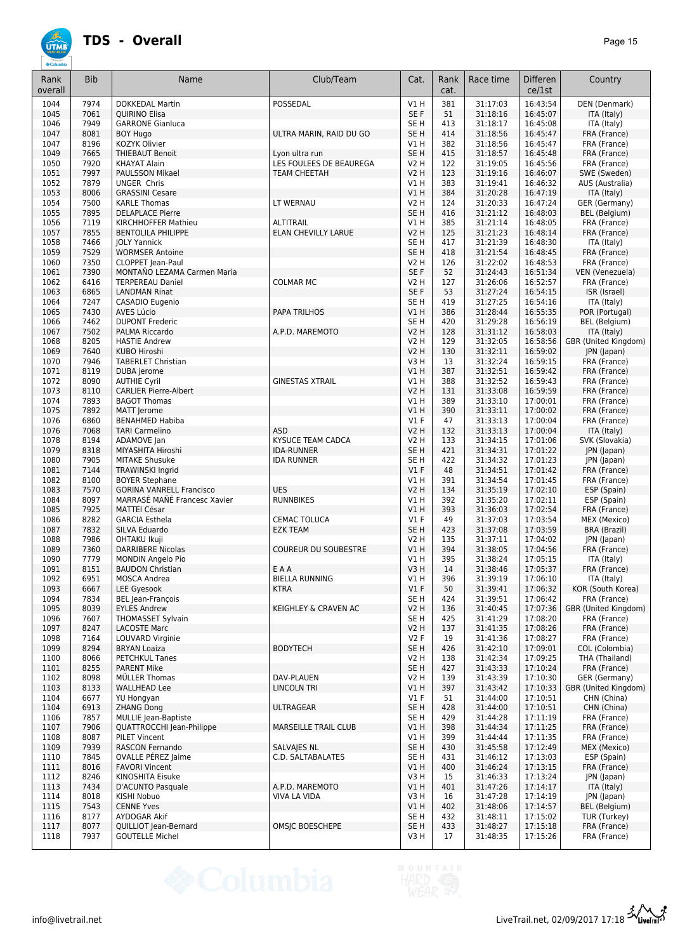| Rank<br>overall | <b>Bib</b>   | Name                                                     | Club/Team                    | Cat.                    | Rank<br>cat. | Race time            | <b>Differen</b><br>ce/1st | Country                               |
|-----------------|--------------|----------------------------------------------------------|------------------------------|-------------------------|--------------|----------------------|---------------------------|---------------------------------------|
| 1044            | 7974         | <b>DOKKEDAL Martin</b>                                   | POSSEDAL                     | V1H                     | 381          | 31:17:03             | 16:43:54                  | DEN (Denmark)                         |
| 1045            | 7061         | <b>OUIRINO Elisa</b>                                     |                              | SE F                    | 51           | 31:18:16             | 16:45:07                  | ITA (Italy)                           |
| 1046            | 7949         | <b>GARRONE Gianluca</b>                                  |                              | SE H                    | 413          | 31:18:17             | 16:45:08                  | ITA (Italy)                           |
| 1047<br>1047    | 8081<br>8196 | <b>BOY Hugo</b><br>KOZYK Olivier                         | ULTRA MARIN, RAID DU GO      | SE <sub>H</sub><br>V1 H | 414<br>382   | 31:18:56<br>31:18:56 | 16:45:47<br>16:45:47      | FRA (France)<br>FRA (France)          |
| 1049            | 7665         | <b>THIEBAUT Benoit</b>                                   | Lyon ultra run               | SE <sub>H</sub>         | 415          | 31:18:57             | 16:45:48                  | FRA (France)                          |
| 1050            | 7920         | <b>KHAYAT Alain</b>                                      | LES FOULEES DE BEAUREGA      | V2 H                    | 122          | 31:19:05             | 16:45:56                  | FRA (France)                          |
| 1051            | 7997         | <b>PAULSSON Mikael</b>                                   | <b>TEAM CHEETAH</b>          | <b>V2 H</b>             | 123          | 31:19:16             | 16:46:07                  | SWE (Sweden)                          |
| 1052            | 7879         | <b>UNGER Chris</b>                                       |                              | V1 H                    | 383          | 31:19:41             | 16:46:32                  | AUS (Australia)                       |
| 1053            | 8006         | <b>GRASSINI Cesare</b>                                   |                              | V1H                     | 384          | 31:20:28             | 16:47:19                  | ITA (Italy)                           |
| 1054<br>1055    | 7500<br>7895 | <b>KARLE Thomas</b><br><b>DELAPLACE Pierre</b>           | LT WERNAU                    | V2 H<br>SE <sub>H</sub> | 124<br>416   | 31:20:33<br>31:21:12 | 16:47:24<br>16:48:03      | GER (Germany)<br><b>BEL</b> (Belgium) |
| 1056            | 7119         | KIRCHHOFFER Mathieu                                      | <b>ALTITRAIL</b>             | V1H                     | 385          | 31:21:14             | 16:48:05                  | FRA (France)                          |
| 1057            | 7855         | <b>BENTOLILA PHILIPPE</b>                                | ELAN CHEVILLY LARUE          | <b>V2 H</b>             | 125          | 31:21:23             | 16:48:14                  | FRA (France)                          |
| 1058            | 7466         | <b>JOLY Yannick</b>                                      |                              | SE <sub>H</sub>         | 417          | 31:21:39             | 16:48:30                  | ITA (Italy)                           |
| 1059            | 7529         | <b>WORMSER Antoine</b>                                   |                              | SE <sub>H</sub>         | 418          | 31:21:54             | 16:48:45                  | FRA (France)                          |
| 1060            | 7350         | <b>CLOPPET</b> Jean-Paul                                 |                              | <b>V2 H</b>             | 126          | 31:22:02             | 16:48:53                  | FRA (France)                          |
| 1061            | 7390         | MONTAÑO LEZAMA Carmen Maria                              |                              | SE F                    | 52           | 31:24:43             | 16:51:34                  | VEN (Venezuela)                       |
| 1062<br>1063    | 6416<br>6865 | <b>TERPEREAU Daniel</b><br><b>LANDMAN Rinat</b>          | <b>COLMAR MC</b>             | V2 H<br>SE F            | 127<br>53    | 31:26:06<br>31:27:24 | 16:52:57<br>16:54:15      | FRA (France)<br>ISR (Israel)          |
| 1064            | 7247         | CASADIO Eugenio                                          |                              | SE <sub>H</sub>         | 419          | 31:27:25             | 16:54:16                  | ITA (Italy)                           |
| 1065            | 7430         | AVES Lúcio                                               | <b>PAPA TRILHOS</b>          | V1H                     | 386          | 31:28:44             | 16:55:35                  | POR (Portugal)                        |
| 1066            | 7462         | <b>DUPONT Frederic</b>                                   |                              | SE <sub>H</sub>         | 420          | 31:29:28             | 16:56:19                  | <b>BEL</b> (Belgium)                  |
| 1067            | 7502         | PALMA Riccardo                                           | A.P.D. MAREMOTO              | <b>V2 H</b>             | 128          | 31:31:12             | 16:58:03                  | ITA (Italy)                           |
| 1068            | 8205         | <b>HASTIE Andrew</b>                                     |                              | <b>V2 H</b>             | 129          | 31:32:05             | 16:58:56                  | GBR (United Kingdom)                  |
| 1069            | 7640         | KUBO Hiroshi                                             |                              | <b>V2 H</b>             | 130          | 31:32:11             | 16:59:02                  | JPN (Japan)                           |
| 1070            | 7946         | <b>TABERLET Christian</b>                                |                              | V3 H                    | 13           | 31:32:24             | 16:59:15                  | FRA (France)                          |
| 1071            | 8119         | DUBA jerome                                              |                              | V1 H                    | 387          | 31:32:51             | 16:59:42                  | FRA (France)                          |
| 1072            | 8090         | <b>AUTHIE Cyril</b>                                      | <b>GINESTAS XTRAIL</b>       | V1 H                    | 388          | 31:32:52             | 16:59:43                  | FRA (France)                          |
| 1073<br>1074    | 8110<br>7893 | <b>CARLIER Pierre-Albert</b><br><b>BAGOT Thomas</b>      |                              | <b>V2 H</b><br>V1 H     | 131<br>389   | 31:33:08<br>31:33:10 | 16:59:59<br>17:00:01      | FRA (France)<br>FRA (France)          |
| 1075            | 7892         | MATT Jerome                                              |                              | V1H                     | 390          | 31:33:11             | 17:00:02                  | FRA (France)                          |
| 1076            | 6860         | <b>BENAHMED Habiba</b>                                   |                              | $VI$ F                  | 47           | 31:33:13             | 17:00:04                  | FRA (France)                          |
| 1076            | 7068         | <b>TARI Carmelino</b>                                    | <b>ASD</b>                   | <b>V2 H</b>             | 132          | 31:33:13             | 17:00:04                  | ITA (Italy)                           |
| 1078            | 8194         | ADAMOVE Jan                                              | KYSUCE TEAM CADCA            | V2 H                    | 133          | 31:34:15             | 17:01:06                  | SVK (Slovakia)                        |
| 1079            | 8318         | MIYASHITA Hiroshi                                        | <b>IDA-RUNNER</b>            | SE <sub>H</sub>         | 421          | 31:34:31             | 17:01:22                  | JPN (Japan)                           |
| 1080            | 7905         | <b>MITAKE Shusuke</b>                                    | <b>IDA RUNNER</b>            | SE <sub>H</sub>         | 422          | 31:34:32             | 17:01:23                  | JPN (Japan)                           |
| 1081            | 7144         | <b>TRAWINSKI Ingrid</b>                                  |                              | $VI$ F                  | 48           | 31:34:51             | 17:01:42                  | FRA (France)                          |
| 1082<br>1083    | 8100<br>7570 | <b>BOYER Stephane</b><br><b>GORINA VANRELL Francisco</b> | <b>UES</b>                   | VIH<br>V2 H             | 391<br>134   | 31:34:54<br>31:35:19 | 17:01:45<br>17:02:10      | FRA (France)<br>ESP (Spain)           |
| 1084            | 8097         | MARRASÉ MAÑÉ Francesc Xavier                             | <b>RUNNBIKES</b>             | V1 H                    | 392          | 31:35:20             | 17:02:11                  | ESP (Spain)                           |
| 1085            | 7925         | <b>MATTEI César</b>                                      |                              | V1H                     | 393          | 31:36:03             | 17:02:54                  | FRA (France)                          |
| 1086            | 8282         | <b>GARCIA Esthela</b>                                    | CEMAC TOLUCA                 | $VI$ F                  | 49           | 31:37:03             | 17:03:54                  | MEX (Mexico)                          |
| 1087            | 7832         | SILVA Eduardo                                            | <b>EZK TEAM</b>              | SE <sub>H</sub>         | 423          | 31:37:08             | 17:03:59                  | <b>BRA (Brazil)</b>                   |
| 1088            | 7986         | <b>OHTAKU Ikuji</b>                                      |                              | <b>V2 H</b>             | 135          | 31:37:11             | 17:04:02                  | JPN (Japan)                           |
| 1089            | 7360         | <b>DARRIBERE Nicolas</b>                                 | <b>COUREUR DU SOUBESTRE</b>  | <b>V1 H</b>             | 394          | 31:38:05             | 17:04:56                  | FRA (France)                          |
| 1090            | 7779<br>8151 | MONDIN Angelo Pio                                        |                              | V1H                     | 395<br>14    | 31:38:24             | 17:05:15                  | ITA (Italy)                           |
| 1091<br>1092    | 6951         | <b>BAUDON Christian</b><br>MOSCA Andrea                  | EAA<br><b>BIELLA RUNNING</b> | V3H<br>V1H              | 396          | 31:38:46<br>31:39:19 | 17:05:37<br>17:06:10      | FRA (France)<br>ITA (Italy)           |
| 1093            | 6667         | LEE Gyesook                                              | <b>KTRA</b>                  | V1F                     | 50           | 31:39:41             | 17:06:32                  | KOR (South Korea)                     |
| 1094            | 7834         | BEL Jean-François                                        |                              | SE H                    | 424          | 31:39:51             | 17:06:42                  | FRA (France)                          |
| 1095            | 8039         | <b>EYLES Andrew</b>                                      | KEIGHLEY & CRAVEN AC         | V2 H                    | 136          | 31:40:45             | 17:07:36                  | GBR (United Kingdom)                  |
| 1096            | 7607         | <b>THOMASSET Sylvain</b>                                 |                              | SE H                    | 425          | 31:41:29             | 17:08:20                  | FRA (France)                          |
| 1097            | 8247         | <b>LACOSTE Marc</b>                                      |                              | V2 H                    | 137          | 31:41:35             | 17:08:26                  | FRA (France)                          |
| 1098            | 7164<br>8294 | LOUVARD Virginie<br><b>BRYAN Loaiza</b>                  | <b>BODYTECH</b>              | V2F<br>SE <sub>H</sub>  | 19           | 31:41:36             | 17:08:27                  | FRA (France)<br>COL (Colombia)        |
| 1099<br>1100    | 8066         | PETCHKUL Tanes                                           |                              | V2 H                    | 426<br>138   | 31:42:10<br>31:42:34 | 17:09:01<br>17:09:25      | THA (Thailand)                        |
| 1101            | 8255         | <b>PARENT Mike</b>                                       |                              | SE <sub>H</sub>         | 427          | 31:43:33             | 17:10:24                  | FRA (France)                          |
| 1102            | 8098         | MÜLLER Thomas                                            | DAV-PLAUEN                   | V2 H                    | 139          | 31:43:39             | 17:10:30                  | GER (Germany)                         |
| 1103            | 8133         | <b>WALLHEAD Lee</b>                                      | LINCOLN TRI                  | VIH                     | 397          | 31:43:42             | 17:10:33                  | GBR (United Kingdom)                  |
| 1104            | 6677         | YU Hongyan                                               |                              | $VI$ F                  | 51           | 31:44:00             | 17:10:51                  | CHN (China)                           |
| 1104            | 6913         | <b>ZHANG Dong</b>                                        | <b>ULTRAGEAR</b>             | SE <sub>H</sub>         | 428          | 31:44:00             | 17:10:51                  | CHN (China)                           |
| 1106            | 7857         | MULLIE Jean-Baptiste                                     |                              | SE H                    | 429          | 31:44:28             | 17:11:19                  | FRA (France)                          |
| 1107            | 7906         | QUATTROCCHI Jean-Philippe                                | <b>MARSEILLE TRAIL CLUB</b>  | V1 H                    | 398          | 31:44:34             | 17:11:25                  | FRA (France)                          |
| 1108<br>1109    | 8087<br>7939 | <b>PILET Vincent</b><br>RASCON Fernando                  | SALVAJES NL                  | V1 H<br>SE H            | 399<br>430   | 31:44:44<br>31:45:58 | 17:11:35<br>17:12:49      | FRA (France)<br>MEX (Mexico)          |
| 1110            | 7845         | OVALLE PÉREZ Jaime                                       | C.D. SALTABALATES            | SE H                    | 431          | 31:46:12             | 17:13:03                  | ESP (Spain)                           |
| 1111            | 8016         | <b>FAVORI Vincent</b>                                    |                              | V1H                     | 400          | 31:46:24             | 17:13:15                  | FRA (France)                          |
| 1112            | 8246         | KINOSHITA Eisuke                                         |                              | V3H                     | 15           | 31:46:33             | 17:13:24                  | JPN (Japan)                           |
| 1113            | 7434         | D'ACUNTO Pasquale                                        | A.P.D. MAREMOTO              | V1H                     | 401          | 31:47:26             | 17:14:17                  | ITA (Italy)                           |
| 1114            | 8018         | KISHI Nobuo                                              | <b>VIVA LA VIDA</b>          | V3H                     | 16           | 31:47:28             | 17:14:19                  | JPN (Japan)                           |
| 1115            | 7543         | <b>CENNE Yves</b>                                        |                              | V1 H                    | 402          | 31:48:06             | 17:14:57                  | BEL (Belgium)                         |
| 1116            | 8177         | AYDOGAR Akif                                             |                              | SE H                    | 432          | 31:48:11             | 17:15:02                  | TUR (Turkey)                          |
| 1117<br>1118    | 8077<br>7937 | QUILLIOT Jean-Bernard<br><b>GOUTELLE Michel</b>          | OMSJC BOESCHEPE              | SE <sub>H</sub><br>V3H  | 433<br>17    | 31:48:27<br>31:48:35 | 17:15:18<br>17:15:26      | FRA (France)<br>FRA (France)          |
|                 |              |                                                          |                              |                         |              |                      |                           |                                       |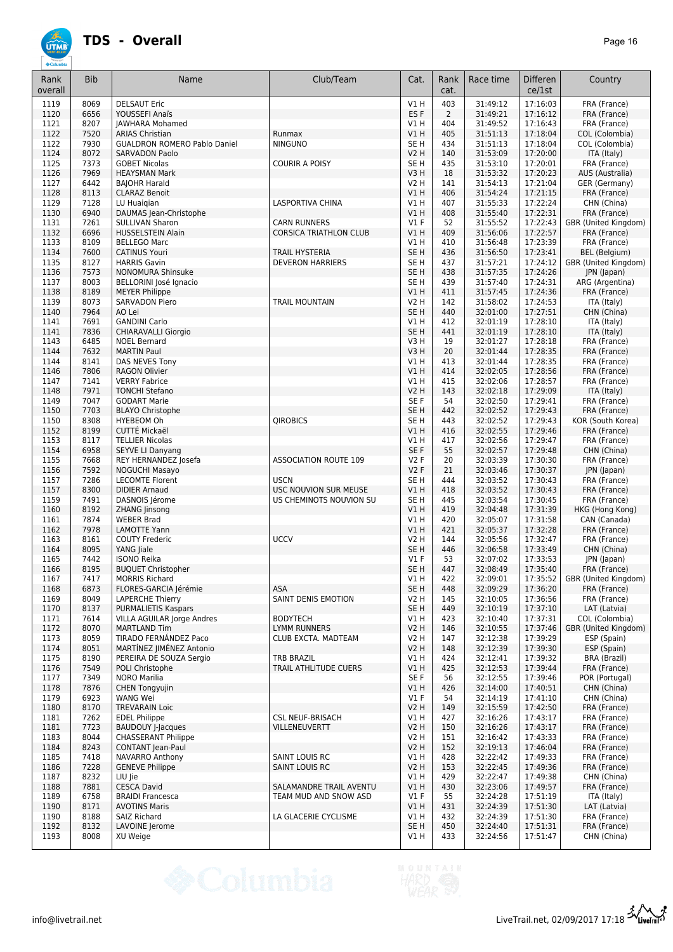| Rank<br>overall | <b>Bib</b>   | Name                                               | Club/Team                                            | Cat.                               | Rank<br>cat.   | Race time            | Differen<br>ce/1st   | Country                              |
|-----------------|--------------|----------------------------------------------------|------------------------------------------------------|------------------------------------|----------------|----------------------|----------------------|--------------------------------------|
| 1119            | 8069         | <b>DELSAUT Eric</b>                                |                                                      | V1H                                | 403            | 31:49:12             | 17:16:03             | FRA (France)                         |
| 1120            | 6656         | YOUSSEFI Anaïs                                     |                                                      | ES <sub>F</sub>                    | $\overline{2}$ | 31:49:21             | 17:16:12             | FRA (France)                         |
| 1121<br>1122    | 8207<br>7520 | <b>JAWHARA Mohamed</b><br><b>ARIAS Christian</b>   | Runmax                                               | V1 H<br>V1H                        | 404<br>405     | 31:49:52<br>31:51:13 | 17:16:43<br>17:18:04 | FRA (France)<br>COL (Colombia)       |
| 1122            | 7930         | <b>GUALDRON ROMERO Pablo Daniel</b>                | <b>NINGUNO</b>                                       | SE H                               | 434            | 31:51:13             | 17:18:04             | COL (Colombia)                       |
| 1124            | 8072         | <b>SARVADON Paolo</b>                              |                                                      | V2 H                               | 140            | 31:53:09             | 17:20:00             | ITA (Italy)                          |
| 1125            | 7373         | <b>GOBET Nicolas</b>                               | <b>COURIR A POISY</b>                                | SE <sub>H</sub>                    | 435            | 31:53:10             | 17:20:01             | FRA (France)                         |
| 1126<br>1127    | 7969<br>6442 | <b>HEAYSMAN Mark</b><br><b>BAJOHR Harald</b>       |                                                      | V3H<br><b>V2 H</b>                 | 18<br>141      | 31:53:32<br>31:54:13 | 17:20:23<br>17:21:04 | AUS (Australia)<br>GER (Germany)     |
| 1128            | 8113         | <b>CLARAZ Benoit</b>                               |                                                      | V1H                                | 406            | 31:54:24             | 17:21:15             | FRA (France)                         |
| 1129            | 7128         | LU Huaigian                                        | <b>LASPORTIVA CHINA</b>                              | V1 H                               | 407            | 31:55:33             | 17:22:24             | CHN (China)                          |
| 1130            | 6940         | DAUMAS Jean-Christophe                             |                                                      | V1H                                | 408            | 31:55:40             | 17:22:31             | FRA (France)                         |
| 1131<br>1132    | 7261<br>6696 | <b>SULLIVAN Sharon</b><br><b>HUSSELSTEIN Alain</b> | <b>CARN RUNNERS</b><br><b>CORSICA TRIATHLON CLUB</b> | $VI$ F<br>V1H                      | 52<br>409      | 31:55:52<br>31:56:06 | 17:22:43<br>17:22:57 | GBR (United Kingdom)<br>FRA (France) |
| 1133            | 8109         | <b>BELLEGO Marc</b>                                |                                                      | V1 H                               | 410            | 31:56:48             | 17:23:39             | FRA (France)                         |
| 1134            | 7600         | <b>CATINUS Youri</b>                               | <b>TRAIL HYSTERIA</b>                                | SE <sub>H</sub>                    | 436            | 31:56:50             | 17:23:41             | BEL (Belgium)                        |
| 1135            | 8127         | <b>HARRIS Gavin</b>                                | <b>DEVERON HARRIERS</b>                              | SE H                               | 437            | 31:57:21             | 17:24:12             | GBR (United Kingdom)                 |
| 1136<br>1137    | 7573<br>8003 | NONOMURA Shinsuke                                  |                                                      | SE <sub>H</sub><br>SE <sub>H</sub> | 438<br>439     | 31:57:35<br>31:57:40 | 17:24:26<br>17:24:31 | JPN (Japan)<br>ARG (Argentina)       |
| 1138            | 8189         | BELLORINI José Ignacio<br><b>MEYER Philippe</b>    |                                                      | V1H                                | 411            | 31:57:45             | 17:24:36             | FRA (France)                         |
| 1139            | 8073         | <b>SARVADON Piero</b>                              | <b>TRAIL MOUNTAIN</b>                                | <b>V2 H</b>                        | 142            | 31:58:02             | 17:24:53             | ITA (Italy)                          |
| 1140            | 7964         | AO Lei                                             |                                                      | SE <sub>H</sub>                    | 440            | 32:01:00             | 17:27:51             | CHN (China)                          |
| 1141            | 7691         | <b>GANDINI Carlo</b><br><b>CHIARAVALLI Giorgio</b> |                                                      | V1H                                | 412            | 32:01:19             | 17:28:10             | ITA (Italy)                          |
| 1141<br>1143    | 7836<br>6485 | <b>NOEL Bernard</b>                                |                                                      | SE <sub>H</sub><br>V3H             | 441<br>19      | 32:01:19<br>32:01:27 | 17:28:10<br>17:28:18 | ITA (Italy)<br>FRA (France)          |
| 1144            | 7632         | <b>MARTIN Paul</b>                                 |                                                      | V3H                                | 20             | 32:01:44             | 17:28:35             | FRA (France)                         |
| 1144            | 8141         | DAS NEVES Tony                                     |                                                      | <b>V1 H</b>                        | 413            | 32:01:44             | 17:28:35             | FRA (France)                         |
| 1146            | 7806         | <b>RAGON Olivier</b>                               |                                                      | V1H                                | 414            | 32:02:05             | 17:28:56             | FRA (France)                         |
| 1147<br>1148    | 7141<br>7971 | <b>VERRY Fabrice</b><br><b>TONCHI Stefano</b>      |                                                      | V1 H<br>V2 H                       | 415<br>143     | 32:02:06<br>32:02:18 | 17:28:57<br>17:29:09 | FRA (France)<br>ITA (Italy)          |
| 1149            | 7047         | <b>GODART Marie</b>                                |                                                      | SE F                               | 54             | 32:02:50             | 17:29:41             | FRA (France)                         |
| 1150            | 7703         | <b>BLAYO Christophe</b>                            |                                                      | SE <sub>H</sub>                    | 442            | 32:02:52             | 17:29:43             | FRA (France)                         |
| 1150            | 8308         | <b>HYEBEOM Oh</b>                                  | <b>QIROBICS</b>                                      | SE <sub>H</sub>                    | 443            | 32:02:52             | 17:29:43             | KOR (South Korea)                    |
| 1152            | 8199<br>8117 | CUTTÉ Mickaël<br><b>TELLIER Nicolas</b>            |                                                      | V1H<br>V1 H                        | 416<br>417     | 32:02:55<br>32:02:56 | 17:29:46<br>17:29:47 | FRA (France)                         |
| 1153<br>1154    | 6958         | SEYVE LI Danyang                                   |                                                      | SE F                               | 55             | 32:02:57             | 17:29:48             | FRA (France)<br>CHN (China)          |
| 1155            | 7668         | REY HERNANDEZ Josefa                               | <b>ASSOCIATION ROUTE 109</b>                         | <b>V2F</b>                         | 20             | 32:03:39             | 17:30:30             | FRA (France)                         |
| 1156            | 7592         | NOGUCHI Masayo                                     |                                                      | V2F                                | 21             | 32:03:46             | 17:30:37             | JPN (Japan)                          |
| 1157            | 7286         | <b>LECOMTE Florent</b>                             | <b>USCN</b>                                          | SE <sub>H</sub>                    | 444            | 32:03:52             | 17:30:43             | FRA (France)                         |
| 1157<br>1159    | 8300<br>7491 | <b>DIDIER Arnaud</b><br>DASNOIS Jérome             | USC NOUVION SUR MEUSE<br>US CHEMINOTS NOUVION SU     | <b>V1 H</b><br>SE H                | 418<br>445     | 32:03:52<br>32:03:54 | 17:30:43<br>17:30:45 | FRA (France)<br>FRA (France)         |
| 1160            | 8192         | <b>ZHANG Jinsong</b>                               |                                                      | V1H                                | 419            | 32:04:48             | 17:31:39             | HKG (Hong Kong)                      |
| 1161            | 7874         | <b>WEBER Brad</b>                                  |                                                      | <b>V1 H</b>                        | 420            | 32:05:07             | 17:31:58             | CAN (Canada)                         |
| 1162            | 7978         | <b>LAMOTTE Yann</b>                                |                                                      | V1H                                | 421            | 32:05:37             | 17:32:28             | FRA (France)                         |
| 1163<br>1164    | 8161<br>8095 | <b>COUTY Frederic</b><br>YANG Jiale                | <b>UCCV</b>                                          | <b>V2 H</b><br>SE <sub>H</sub>     | 144<br>446     | 32:05:56<br>32:06:58 | 17:32:47<br>17:33:49 | FRA (France)<br>CHN (China)          |
| 1165            | 7442         | <b>ISONO Reika</b>                                 |                                                      | $VI$ F                             | 53             | 32:07:02             | 17:33:53             | JPN (Japan)                          |
| 1166            | 8195         | <b>BUQUET Christopher</b>                          |                                                      | SE <sub>H</sub>                    | 447            | 32:08:49             | 17:35:40             | FRA (France)                         |
| 1167            | 7417         | <b>MORRIS Richard</b>                              |                                                      | V1H                                | 422            | 32:09:01             | 17:35:52             | GBR (United Kingdom)                 |
| 1168<br>1169    | 6873<br>8049 | FLORES-GARCIA Jérémie<br><b>LAPERCHE Thierry</b>   | <b>ASA</b><br>SAINT DENIS EMOTION                    | SE <sub>H</sub><br>V2 H            | 448<br>145     | 32:09:29<br>32:10:05 | 17:36:20<br>17:36:56 | FRA (France)<br>FRA (France)         |
| 1170            | 8137         | <b>PURMALIETIS Kaspars</b>                         |                                                      | SE H                               | 449            | 32:10:19             | 17:37:10             | LAT (Latvia)                         |
| 1171            | 7614         | <b>VILLA AGUILAR Jorge Andres</b>                  | <b>BODYTECH</b>                                      | V1H                                | 423            | 32:10:40             | 17:37:31             | COL (Colombia)                       |
| 1172            | 8070         | <b>MARTLAND Tim</b>                                | LYMM RUNNERS                                         | <b>V2 H</b>                        | 146            | 32:10:55             | 17:37:46             | GBR (United Kingdom)                 |
| 1173<br>1174    | 8059<br>8051 | TIRADO FERNÁNDEZ Paco<br>MARTÍNEZ JIMÉNEZ Antonio  | CLUB EXCTA. MADTEAM                                  | V <sub>2</sub> H<br><b>V2 H</b>    | 147<br>148     | 32:12:38<br>32:12:39 | 17:39:29<br>17:39:30 | ESP (Spain)<br>ESP (Spain)           |
| 1175            | 8190         | PEREIRA DE SOUZA Sergio                            | <b>TRB BRAZIL</b>                                    | V1H                                | 424            | 32:12:41             | 17:39:32             | BRA (Brazil)                         |
| 1176            | 7549         | POLI Christophe                                    | TRAIL ATHLITUDE CUERS                                | V1H                                | 425            | 32:12:53             | 17:39:44             | FRA (France)                         |
| 1177            | 7349         | <b>NORO Marilia</b>                                |                                                      | SE F                               | 56             | 32:12:55             | 17:39:46             | POR (Portugal)                       |
| 1178<br>1179    | 7876<br>6923 | <b>CHEN Tongyujin</b><br>WANG Wei                  |                                                      | V1H<br>$VI$ F                      | 426<br>54      | 32:14:00<br>32:14:19 | 17:40:51<br>17:41:10 | CHN (China)<br>CHN (China)           |
| 1180            | 8170         | <b>TREVARAIN Loic</b>                              |                                                      | V2H                                | 149            | 32:15:59             | 17:42:50             | FRA (France)                         |
| 1181            | 7262         | <b>EDEL Philippe</b>                               | <b>CSL NEUF-BRISACH</b>                              | V1H                                | 427            | 32:16:26             | 17:43:17             | FRA (France)                         |
| 1181            | 7723         | <b>BAUDOUY J-Jacques</b>                           | VILLENEUVERTT                                        | V2H                                | 150            | 32:16:26             | 17:43:17             | FRA (France)                         |
| 1183            | 8044         | <b>CHASSERANT Philippe</b>                         |                                                      | V2 H                               | 151            | 32:16:42             | 17:43:33             | FRA (France)                         |
| 1184<br>1185    | 8243<br>7418 | <b>CONTANT</b> Jean-Paul<br>NAVARRO Anthony        | SAINT LOUIS RC                                       | <b>V2 H</b><br>V1H                 | 152<br>428     | 32:19:13<br>32:22:42 | 17:46:04<br>17:49:33 | FRA (France)<br>FRA (France)         |
| 1186            | 7228         | <b>GENEVE Philippe</b>                             | SAINT LOUIS RC                                       | V2H                                | 153            | 32:22:45             | 17:49:36             | FRA (France)                         |
| 1187            | 8232         | LIU Jie                                            |                                                      | V1H                                | 429            | 32:22:47             | 17:49:38             | CHN (China)                          |
| 1188            | 7881         | <b>CESCA David</b>                                 | SALAMANDRE TRAIL AVENTU                              | V1H                                | 430            | 32:23:06             | 17:49:57             | FRA (France)                         |
| 1189<br>1190    | 6758<br>8171 | <b>BRAIDI Francesca</b><br><b>AVOTINS Maris</b>    | TEAM MUD AND SNOW ASD                                | $VI$ F<br>V1H                      | 55<br>431      | 32:24:28<br>32:24:39 | 17:51:19<br>17:51:30 | ITA (Italy)<br>LAT (Latvia)          |
| 1190            | 8188         | SAIZ Richard                                       | LA GLACERIE CYCLISME                                 | V1H                                | 432            | 32:24:39             | 17:51:30             | FRA (France)                         |
| 1192            | 8132         | LAVOINE Jerome                                     |                                                      | SE <sub>H</sub>                    | 450            | 32:24:40             | 17:51:31             | FRA (France)                         |
| 1193            | 8008         | XU Weige                                           |                                                      | V1 H                               | 433            | 32:24:56             | 17:51:47             | CHN (China)                          |

info@livetrail.net LiveTrail.net 2/09/2017 17:18